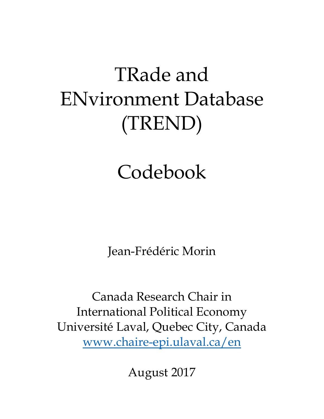# TRade and ENvironment Database (TREND)

# Codebook

Jean-Frédéric Morin

Canada Research Chair in International Political Economy Université Laval, Quebec City, Canada www.chaire-epi.ulaval.ca/en

August 2017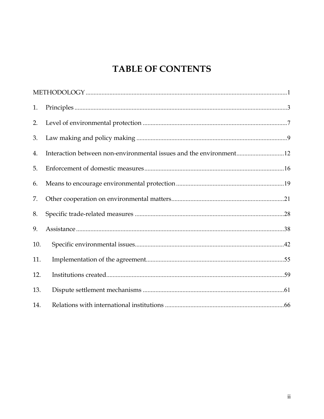# **TABLE OF CONTENTS**

| 1.  |  |
|-----|--|
| 2.  |  |
| 3.  |  |
| 4.  |  |
| 5.  |  |
| 6.  |  |
| 7.  |  |
| 8.  |  |
| 9.  |  |
| 10. |  |
| 11. |  |
| 12. |  |
| 13. |  |
| 14. |  |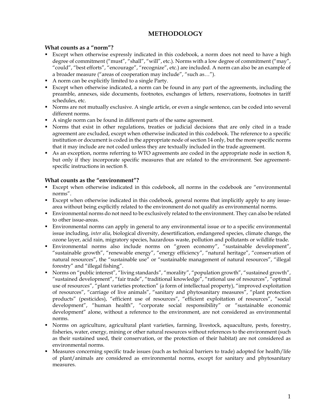# **METHODOLOGY**

# **What counts as a "norm"?**

- Except when otherwise expressly indicated in this codebook, a norm does not need to have a high degree of commitment ("must", "shall", "will", etc.). Norms with a low degree of commitment ("may", "could", "best efforts", "encourage", "recognize", etc.) are included. A norm can also be an example of a broader measure ("areas of cooperation may include", "such as…").
- A norm can be explicitly limited to a single Party.
- Except when otherwise indicated, a norm can be found in any part of the agreements, including the preamble, annexes, side documents, footnotes, exchanges of letters, reservations, footnotes in tariff schedules, etc.
- Norms are not mutually exclusive. A single article, or even a single sentence, can be coded into several different norms.
- A single norm can be found in different parts of the same agreement.
- Norms that exist in other regulations, treaties or judicial decisions that are only cited in a trade agreement are excluded, except when otherwise indicated in this codebook. The reference to a specific institution or document is coded in the appropriate node of section 14 only, but the more specific norms that it may include are not coded unless they are textually included in the trade agreement.
- As an exception, norms referring to WTO agreements are coded in the appropriate node in section 8, but only if they incorporate specific measures that are related to the environment. See agreementspecific instructions in section 8.

# **What counts as the "environment"?**

- Except when otherwise indicated in this codebook, all norms in the codebook are "environmental norms".
- Except when otherwise indicated in this codebook, general norms that implicitly apply to any issuearea without being explicitly related to the environment do not qualify as environmental norms.
- Environmental norms do not need to be exclusively related to the environment. They can also be related to other issue-areas.
- Environmental norms can apply in general to any environmental issue or to a specific environmental issue including, *inter alia*, biological diversity, desertification, endangered species, climate change, the ozone layer, acid rain, migratory species, hazardous waste, pollution and pollutants or wildlife trade.
- Environmental norms also include norms on "green economy", "sustainable development", "sustainable growth", "renewable energy", "energy efficiency", "natural heritage", "conservation of natural resources", the "sustainable use" or "sustainable management of natural resources", "illegal forestry" and "illegal fishing".
- Norms on "public interest", "living standards", "morality", "population growth", "sustained growth", "sustained development", "fair trade", "traditional knowledge", "rational use of resources", "optimal use of resources", "plant varieties protection" (a form of intellectual property), "improved exploitation of resources", "carriage of live animals", "sanitary and phytosanitary measures", "plant protection products" (pesticides), "efficient use of resources", "efficient exploitation of resources", "social development", "human health", "corporate social responsibility" or "sustainable economic development" alone, without a reference to the environment, are not considered as environmental norms.
- Norms on agriculture, agricultural plant varieties, farming, livestock, aquaculture, pests, forestry, fisheries, water, energy, mining or other natural resources without references to the environment (such as their sustained used, their conservation, or the protection of their habitat) are not considered as environmental norms.
- Measures concerning specific trade issues (such as technical barriers to trade) adopted for health/life of plant/animals are considered as environmental norms, except for sanitary and phytosanitary measures.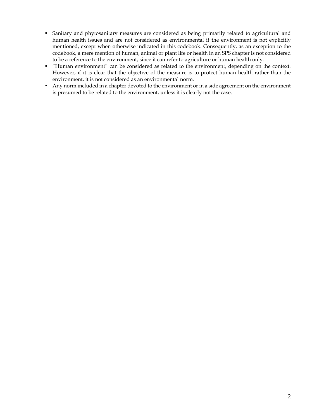- Sanitary and phytosanitary measures are considered as being primarily related to agricultural and human health issues and are not considered as environmental if the environment is not explicitly mentioned, except when otherwise indicated in this codebook. Consequently, as an exception to the codebook, a mere mention of human, animal or plant life or health in an SPS chapter is not considered to be a reference to the environment, since it can refer to agriculture or human health only.
- "Human environment" can be considered as related to the environment, depending on the context. However, if it is clear that the objective of the measure is to protect human health rather than the environment, it is not considered as an environmental norm.
- Any norm included in a chapter devoted to the environment or in a side agreement on the environment is presumed to be related to the environment, unless it is clearly not the case.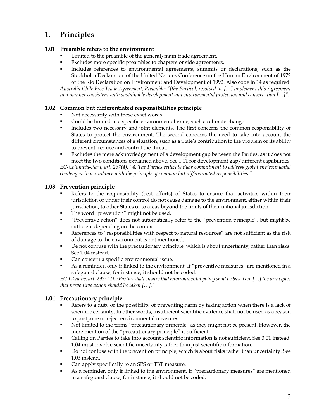# **1. Principles**

# **1.01 Preamble refers to the environment**

- Limited to the preamble of the general/main trade agreement.
- Excludes more specific preambles to chapters or side agreements.
- Includes references to environmental agreements, summits or declarations, such as the Stockholm Declaration of the United Nations Conference on the Human Environment of 1972 or the Rio Declaration on Environment and Development of 1992. Also code in 14 as required.

*Australia-Chile Free Trade Agreement, Preamble: "[the Parties], resolved to: […] implement this Agreement in a manner consistent with sustainable development and environmental protection and conservation […]".* 

# **1.02 Common but differentiated responsibilities principle**

- Not necessarily with these exact words.
- Could be limited to a specific environmental issue, such as climate change.
- Includes two necessary and joint elements. The first concerns the common responsibility of States to protect the environment. The second concerns the need to take into account the different circumstances of a situation, such as a State's contribution to the problem or its ability to prevent, reduce and control the threat.
- Excludes the mere acknowledgement of a development gap between the Parties, as it does not meet the two conditions explained above. See 1.11 for development gap/different capabilities. *EC-Columbia-Peru, art. 267(4): "4. The Parties reiterate their commitment to address global environmental challenges, in accordance with the principle of common but differentiated responsibilities."*

# **1.03 Prevention principle**

- Refers to the responsibility (best efforts) of States to ensure that activities within their jurisdiction or under their control do not cause damage to the environment, either within their jurisdiction, to other States or to areas beyond the limits of their national jurisdiction.
- The word "prevention" might not be used.
- "Preventive action" does not automatically refer to the "prevention principle", but might be sufficient depending on the context.
- References to "responsibilities with respect to natural resources" are not sufficient as the risk of damage to the environment is not mentioned.
- De not confuse with the precautionary principle, which is about uncertainty, rather than risks. See 1.04 instead.
- Can concern a specific environmental issue.
- As a reminder, only if linked to the environment. If "preventive measures" are mentioned in a safeguard clause, for instance, it should not be coded.

*EC-Ukraine, art. 292: "The Parties shall ensure that environmental policy shall be based on […] the principles that preventive action should be taken […]."* 

# **1.04 Precautionary principle**

- Refers to a duty or the possibility of preventing harm by taking action when there is a lack of scientific certainty. In other words, insufficient scientific evidence shall not be used as a reason to postpone or reject environmental measures.
- Not limited to the terms "precautionary principle" as they might not be present. However, the mere mention of the "precautionary principle" is sufficient.
- Calling on Parties to take into account scientific information is not sufficient. See 3.01 instead. 1.04 must involve scientific uncertainty rather than just scientific information.
- Do not confuse with the prevention principle, which is about risks rather than uncertainty. See 1.03 instead.
- Can apply specifically to an SPS or TBT measure.
- As a reminder, only if linked to the environment. If "precautionary measures" are mentioned in a safeguard clause, for instance, it should not be coded.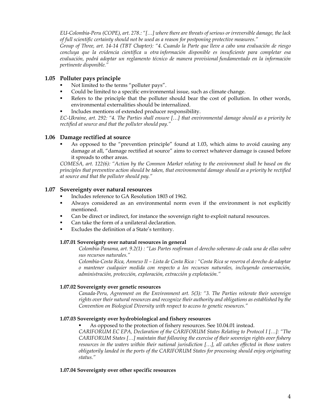*EU-Colombia-Peru (COPE), art. 278.: "[…] where there are threats of serious or irreversible damage, the lack of full scientific certainty should not be used as a reason for postponing protective measures."* 

*Group of Three, art. 14-14 (TBT Chapter): "4. Cuando la Parte que lleve a cabo una evaluación de riesgo concluya que la evidencia científica u otra información disponible es insuficiente para completar esa evaluación, podrá adoptar un reglamento técnico de manera provisional fundamentado en la información pertinente disponible."* 

# **1.05 Polluter pays principle**

- Not limited to the terms "polluter pays".
- Could be limited to a specific environmental issue, such as climate change.
- Refers to the principle that the polluter should bear the cost of pollution. In other words, environmental externalities should be internalized.
- Includes mentions of extended producer responsibility.

*EC-Ukraine, art. 292: "4. The Parties shall ensure […] that environmental damage should as a priority be rectified at source and that the polluter should pay."* 

# **1.06 Damage rectified at source**

 As opposed to the "prevention principle" found at 1.03, which aims to avoid causing any damage at all, "damage rectified at source" aims to correct whatever damage is caused before it spreads to other areas.

*COMESA, art. 122(6): "Action by the Common Market relating to the environment shall be based on the principles that preventive action should be taken, that environmental damage should as a priority be rectified at source and that the polluter should pay."* 

# **1.07 Sovereignty over natural resources**

- Includes reference to GA Resolution 1803 of 1962.
- Always considered as an environmental norm even if the environment is not explicitly mentioned.
- Can be direct or indirect, for instance the sovereign right to exploit natural resources.
- Can take the form of a unilateral declaration.
- Excludes the definition of a State's territory.

#### **1.07.01 Sovereignty over natural resources in general**

*Colombia-Panama, art. 9.2(1) : "Las Partes reafirman el derecho soberano de cada una de ellas sobre sus recursos naturales."*

*Colombia-Costa Rica, Annexo II – Lista de Costa Rica : "Costa Rica se reserva el derecho de adoptar o mantener cualquier medida con respecto a los recursos naturales, incluyendo conservación, administración, protección, exploración, extracción y explotación."*

# **1.07.02 Sovereignty over genetic resources**

 *Canada-Peru, Agreement on the Environment art. 5(3): "3. The Parties reiterate their sovereign rights over their natural resources and recognize their authority and obligations as established by the Convention on Biological Diversity with respect to access to genetic resources."* 

# **1.07.03 Sovereignty over hydrobiological and fishery resources**

As opposed to the protection of fishery resources. See 10.04.01 instead.

*CARIFORUM EC EPA, Declaration of the CARIFORUM States Relating to Protocol I […]: "The CARIFORUM States […] maintain that following the exercise of their sovereign rights over fishery resources in the waters within their national jurisdiction […], all catches effected in those waters obligatorily landed in the ports of the CARIFORUM States for processing should enjoy originating status."* 

#### **1.07.04 Sovereignty over other specific resources**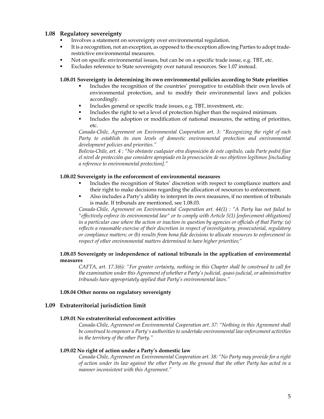# **1.08 Regulatory sovereignty**

- Involves a statement on sovereignty over environmental regulation.
- It is a recognition, not an exception, as opposed to the exception allowing Parties to adopt traderestrictive environmental measures.
- Not on specific environmental issues, but can be on a specific trade issue, e.g. TBT, etc.
- Excludes reference to State sovereignty over natural resources. See 1.07 instead.

#### **1.08.01 Sovereignty in determining its own environmental policies according to State priorities**

- Includes the recognition of the countries' prerogative to establish their own levels of environmental protection, and to modify their environmental laws and policies accordingly.
- Includes general or specific trade issues, e.g. TBT, investment, etc.
- Includes the right to set a level of protection higher than the required minimum.
- Includes the adoption or modification of national measures, the setting of priorities, etc.

*Canada-Chile, Agreement on Environmental Cooperation art. 3: "Recognizing the right of each*  Party to establish its own levels of domestic environmental protection and environmental *development policies and priorities."* 

*Bolivia-Chile, art. 4 : "No obstante cualquier otra disposición de este capítulo, cada Parte podrá fijar el nivel de protección que considere apropiado en la prosecución de sus objetivos legítimos [including a reference to environmental protection]."* 

#### **1.08.02 Sovereignty in the enforcement of environmental measures**

- Includes the recognition of States' discretion with respect to compliance matters and their right to make decisions regarding the allocation of resources to enforcement.
- Also includes a Party's ability to interpret its own measures, if no mention of tribunals is made. If tribunals are mentioned, see 1.08.03.

 *Canada-Chile, Agreement on Environmental Cooperation art. 44(1) : "A Party has not failed to "effectively enforce its environmental law" or to comply with Article 5(1) [enforcement obligations] in a particular case where the action or inaction in question by agencies or officials of that Party: (a) reflects a reasonable exercise of their discretion in respect of investigatory, prosecutorial, regulatory or compliance matters; or (b) results from bona fide decisions to allocate resources to enforcement in respect of other environmental matters determined to have higher priorities;"* 

#### **1.08.03 Sovereignty or independence of national tribunals in the application of environmental measures**

 *CAFTA, art. 17.3(6): "For greater certainty, nothing in this Chapter shall be construed to call for the examination under this Agreement of whether a Party's judicial, quasi-judicial, or administrative tribunals have appropriately applied that Party's environmental laws."* 

#### **1.08.04 Other norms on regulatory sovereignty**

#### **1.09 Extraterritorial jurisdiction limit**

#### **1.09.01 No extraterritorial enforcement activities**

 *Canada-Chile, Agreement on Environmental Cooperation art. 37: "Nothing in this Agreement shall be construed to empower a Party's authorities to undertake environmental law enforcement activities in the territory of the other Party."* 

#### **1.09.02 No right of action under a Party's domestic law**

 *Canada-Chile, Agreement on Environmental Cooperation art. 38: "No Party may provide for a right of action under its law against the other Party on the ground that the other Party has acted in a manner inconsistent with this Agreement."*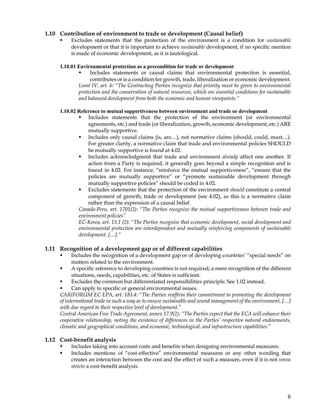# **1.10 Contribution of environment to trade or development (Causal belief)**

 Excludes statements that the protection of the environment is a condition for *sustainable*  development or that it is important to achieve *sustainable* development, if no specific mention is made of economic development, as it is tautological.

#### **1.10.01 Environmental protection as a precondition for trade or development**

 Includes statements or causal claims that environmental protection is essential, contributes or is a condition for growth, trade, liberalization or economic development. Lomé IV, art. 6: "The Contracting Parties recognize that priority must be given to environmental *protection and the conservation of natural resources, which are essential conditions for sustainable and balanced development from both the economic and human viewpoints."* 

#### **1.10.02 Reference to mutual supportiveness between environment and trade or development**

- Includes statements that the protection of the environment (or environmental agreements, etc.) and trade (or liberalization, growth, economic development, etc.) ARE mutually supportive.
- Includes only causal claims (is, are…), not normative claims (should, could, must…). For greater clarity, a normative claim that trade and environmental policies SHOULD be mutually supportive is found at 4.02.
- **Includes acknowledgment that trade and environment** *already* **affect one another. If** action from a Party is required, it generally goes beyond a simple recognition and is found in 4.02. For instance, "reinforce the mutual supportiveness", "ensure that the policies are mutually supportive" or "promote sustainable development through mutually supportive policies" should be coded in 4.02.
- Excludes statements that the protection of the environment *should* constitute a central component of growth, trade or development (see 4.02), as this is a normative claim rather than the expression of a causal belief.

*Canada-Peru, art. 1701(2): "The Parties recognize the mutual supportiveness between trade and environment policies"* 

*EC-Korea, art. 13.1 (2): "The Parties recognise that economic development, social development and environmental protection are interdependent and mutually reinforcing components of sustainable development. […]."* 

# **1.11 Recognition of a development gap or of different capabilities**

- Includes the recognition of a development gap or of developing countries' "special needs" on matters related to the environment.
- A specific reference to developing countries is not required; a mere recognition of the different situations, needs, capabilities, etc. of States is sufficient.
- Excludes the common but differentiated responsibilities principle. See 1.02 instead.
- Can apply to specific or general environmental issues.

*CARIFORUM EC EPA, art. 183.4: "The Parties reaffirm their commitment to promoting the development of international trade in such a way as to ensure sustainable and sound management of the environment, […] with due regard to their respective level of development."* 

*Central American Free Trade Agreement, annex 17.9(2): "The Parties expect that the ECA will enhance their cooperative relationship, noting the existence of differences in the Parties' respective natural endowments, climatic and geographical conditions, and economic, technological, and infrastructure capabilities."* 

# **1.12 Cost-benefit analysis**

- Includes taking into account costs and benefits when designing environmental measures.
- Includes mentions of "cost-effective" environmental measures or any other wording that creates an interaction between the cost and the effect of such a measure, even if it is not *sensu stricto* a cost-benefit analysis.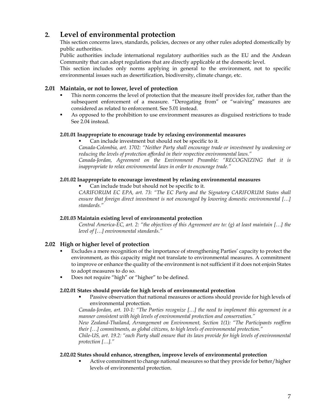# **2. Level of environmental protection**

 This section concerns laws, standards, policies, decrees or any other rules adopted domestically by public authorities.

 Public authorities include international regulatory authorities such as the EU and the Andean Community that can adopt regulations that are directly applicable at the domestic level.

This section includes only norms applying in general to the environment, not to specific environmental issues such as desertification, biodiversity, climate change, etc.

# **2.01 Maintain, or not to lower, level of protection**

- This norm concerns the level of protection that the measure itself provides for, rather than the subsequent enforcement of a measure. "Derogating from" or "waiving" measures are considered as related to enforcement. See 5.01 instead.
- As opposed to the prohibition to use environment measures as disguised restrictions to trade See 2.04 instead.

# **2.01.01 Inappropriate to encourage trade by relaxing environmental measures**

Can include investment but should not be specific to it.

*Canada-Colombia, art. 1702: "Neither Party shall encourage trade or investment by weakening or reducing the levels of protection afforded in their respective environmental laws." Canada-Jordan, Agreement on the Environment Preamble: "RECOGNIZING that it is inappropriate to relax environmental laws in order to encourage trade."* 

#### **2.01.02 Inappropriate to encourage investment by relaxing environmental measures**

Can include trade but should not be specific to it.

*CARIFORUM EC EPA, art. 73: "The EC Party and the Signatory CARIFORUM States shall ensure that foreign direct investment is not encouraged by lowering domestic environmental […] standards."* 

#### **2.01.03 Maintain existing level of environmental protection**

 *Central America-EC, art. 2: "the objectives of this Agreement are to: (g) at least maintain […] the level of […] environmental standards."* 

# **2.02 High or higher level of protection**

- Excludes a mere recognition of the importance of strengthening Parties' capacity to protect the environment, as this capacity might not translate to environmental measures. A commitment to improve or enhance the quality of the environment is not sufficient if it does not enjoin States to adopt measures to do so.
- Does not require "high" or "higher" to be defined.

#### **2.02.01 States should provide for high levels of environmental protection**

 Passive observation that national measures or actions should provide for high levels of environmental protection.

 *Canada-Jordan, art. 10-1: "The Parties recognize […] the need to implement this agreement in a manner consistent with high levels of environmental protection and conservation."* 

 *New Zealand-Thailand, Arrangement on Environment, Section 1(1): "The Participants reaffirm their […] commitments, as global citizens, to high levels of environmental protection."* 

 *Chile-US, art. 19.2: "each Party shall ensure that its laws provide for high levels of environmental protection […]."* 

#### **2.02.02 States should enhance, strengthen, improve levels of environmental protection**

 Active commitment to change national measures so that they provide for better/higher levels of environmental protection.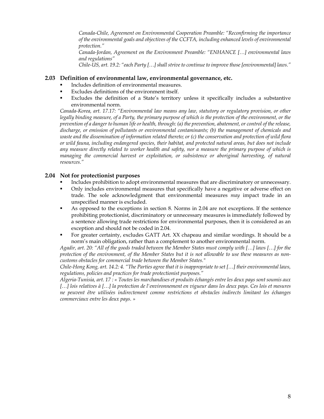*Canada-Chile, Agreement on Environmental Cooperation Preamble: "Reconfirming the importance of the environmental goals and objectives of the CCFTA, including enhanced levels of environmental protection."* 

 *Canada-Jordan, Agreement on the Environment Preamble: "ENHANCE […] environmental laws and regulations"* 

*Chile-US, art. 19.2: "each Party […] shall strive to continue to improve those [environmental] laws."* 

## **2.03 Definition of environmental law, environmental governance, etc.**

- Includes definition of environmental measures.
- Excludes definitions of the environment itself.
- Excludes the definition of a State's territory unless it specifically includes a substantive environmental norm.

*Canada-Korea, art. 17.17: "Environmental law means any law, statutory or regulatory provision, or other legally binding measure, of a Party, the primary purpose of which is the protection of the environment, or the prevention of a danger to human life or health, through: (a) the prevention, abatement, or control of the release, discharge, or emission of pollutants or environmental contaminants; (b) the management of chemicals and waste and the dissemination of information related thereto; or (c) the conservation and protection of wild flora or wild fauna, including endangered species, their habitat, and protected natural areas, but does not include any measure directly related to worker health and safety, nor a measure the primary purpose of which is managing the commercial harvest or exploitation, or subsistence or aboriginal harvesting, of natural resources."* 

# **2.04 Not for protectionist purposes**

- Includes prohibition to adopt environmental measures that are discriminatory or unnecessary.
- Only includes environmental measures that specifically have a negative or adverse effect on trade. The sole acknowledgment that environmental measures *may* impact trade in an unspecified manner is excluded.
- As opposed to the exceptions in section 8. Norms in 2.04 are not exceptions. If the sentence prohibiting protectionist, discriminatory or unnecessary measures is immediately followed by a sentence allowing trade restrictions for environmental purposes, then it is considered as an exception and should not be coded in 2.04.
- For greater certainty, excludes GATT Art. XX chapeau and similar wordings. It should be a norm's main obligation, rather than a complement to another environmental norm.

*Agadir, art. 20: "All of the goods traded between the Member States must comply with […] laws […] for the protection of the environment, of the Member States but it is not allowable to use these measures as noncustoms obstacles for commercial trade between the Member States."* 

*Chile-Hong Kong, art. 14.2: 4. "The Parties agree that it is inappropriate to set […] their environmental laws, regulations, policies and practices for trade protectionist purposes."* 

*Algeria-Tunisia, art. 17 : « Toutes les marchandises et produits échangés entre les deux pays sont soumis aux […] lois relatives à […] la protection de l'environnement en vigueur dans les deux pays. Ces lois et mesures ne peuvent être utilisées indirectement comme restrictions et obstacles indirects limitant les échanges commerciaux entre les deux pays. »*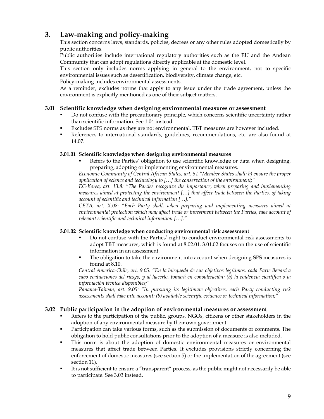# **3. Law-making and policy-making**

 This section concerns laws, standards, policies, decrees or any other rules adopted domestically by public authorities.

 Public authorities include international regulatory authorities such as the EU and the Andean Community that can adopt regulations directly applicable at the domestic level.

 This section only includes norms applying in general to the environment, not to specific environmental issues such as desertification, biodiversity, climate change, etc.

Policy-making includes environmental assessments.

 As a reminder, excludes norms that apply to any issue under the trade agreement, unless the environment is explicitly mentioned as one of their subject matters.

# **3.01 Scientific knowledge when designing environmental measures or assessment**

- Do not confuse with the precautionary principle, which concerns scientific uncertainty rather than scientific information. See 1.04 instead.
- Excludes SPS norms as they are not environmental. TBT measures are however included.
- References to international standards, guidelines, recommendations, etc. are also found at 14.07.

# **3.01.01 Scientific knowledge when designing environmental measures**

 Refers to the Parties' obligation to use scientific knowledge or data when designing, preparing, adopting or implementing environmental measures.

*Economic Community of Central African States, art. 51 "Member States shall: b) ensure the proper application of science and technology to […] the conservation of the environment;"* 

*EC-Korea, art. 13.8: "The Parties recognize the importance, when preparing and implementing measures aimed at protecting the environment […] that affect trade between the Parties, of taking account of scientific and technical information […]."* 

*CETA, art. X.08: "Each Party shall, when preparing and implementing measures aimed at environmental protection which may affect trade or investment between the Parties, take account of relevant scientific and technical information […]."* 

# **3.01.02 Scientific knowledge when conducting environmental risk assessment**

- Do not confuse with the Parties' right to conduct environmental risk assessments to adopt TBT measures, which is found at 8.02.01. 3.01.02 focuses on the use of scientific information in an assessment.
- The obligation to take the environment into account when designing SPS measures is found at 8.10.

*Central America-Chile, art. 9.05: "En la búsqueda de sus objetivos legítimos, cada Parte llevará a cabo evaluaciones del riesgo, y al hacerlo, tomará en consideración: (b) la evidencia científica o la información técnica disponibles;"* 

*Panama-Taiwan, art. 9.05: "In pursuing its legitimate objectives, each Party conducting risk assessments shall take into account: (b) available scientific evidence or technical information;"* 

# **3.02 Public participation in the adoption of environmental measures or assessment**

- Refers to the participation of the public, groups, NGOs, citizens or other stakeholders in the adoption of any environmental measure by their own government.
- Participation can take various forms, such as the submission of documents or comments. The obligation to hold public consultations prior to the adoption of a measure is also included.
- This norm is about the adoption of domestic environmental measures or environmental measures that affect trade between Parties. It excludes provisions strictly concerning the enforcement of domestic measures (see section 5) or the implementation of the agreement (see section 11).
- It is not sufficient to ensure a "transparent" process, as the public might not necessarily be able to participate. See 3.03 instead.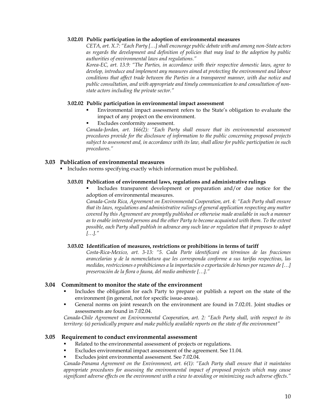#### **3.02.01 Public participation in the adoption of environmental measures**

*CETA, art. X.7: "Each Party […] shall encourage public debate with and among non-State actors as regards the development and definition of policies that may lead to the adoption by public authorities of environmental laws and regulations."* 

*Korea-EC, art. 13.9: "The Parties, in accordance with their respective domestic laws, agree to develop, introduce and implement any measures aimed at protecting the environment and labour conditions that affect trade between the Parties in a transparent manner, with due notice and public consultation, and with appropriate and timely communication to and consultation of nonstate actors including the private sector."* 

#### **3.02.02 Public participation in environmental impact assessment**

- Environmental impact assessment refers to the State's obligation to evaluate the impact of any project on the environment.
- Excludes conformity assessment.

*Canada-Jordan, art. 166(2): "Each Party shall ensure that its environmental assessment procedures provide for the disclosure of information to the public concerning proposed projects subject to assessment and, in accordance with its law, shall allow for public participation in such procedures."* 

# **3.03 Publication of environmental measures**

Includes norms specifying exactly which information must be published.

#### **3.03.01 Publication of environmental laws, regulations and administrative rulings**

 Includes transparent development or preparation and/or due notice for the adoption of environmental measures.

 *Canada-Costa Rica, Agreement on Environmental Cooperation, art. 4: "Each Party shall ensure that its laws, regulations and administrative rulings of general application respecting any matter covered by this Agreement are promptly published or otherwise made available in such a manner as to enable interested persons and the other Party to become acquainted with them. To the extent possible, each Party shall publish in advance any such law or regulation that it proposes to adopt […]."* 

#### **3.03.02 Identification of measures, restrictions or prohibitions in terms of tariff**

*Costa-Rica-Mexico, art. 3-13: "5. Cada Parte identificará en términos de las fracciones arancelarias y de la nomenclatura que les corresponda conforme a sus tarifas respectivas, las medidas, restricciones o prohibiciones a la importación o exportación de bienes por razones de […] preservación de la flora o fauna, del medio ambiente […]."* 

#### **3.04 Commitment to monitor the state of the environment**

- Includes the obligation for each Party to prepare or publish a report on the state of the environment (in general, not for specific issue-areas).
- General norms on joint research on the environment are found in 7.02.01. Joint studies or assessments are found in 7.02.04.

*Canada-Chile Agreement on Environmental Cooperation, art. 2: "Each Party shall, with respect to its territory: (a) periodically prepare and make publicly available reports on the state of the environment"* 

#### **3.05 Requirement to conduct environmental assessment**

- Related to the environmental assessment of projects or regulations.
- Excludes environmental impact assessment of the agreement. See 11.04.
- Excludes joint environmental assessment. See 7.02.04.

*Canada-Panama Agreement on the Environment, art. 6(1): "Each Party shall ensure that it maintains appropriate procedures for assessing the environmental impact of proposed projects which may cause significant adverse effects on the environment with a view to avoiding or minimizing such adverse effects."*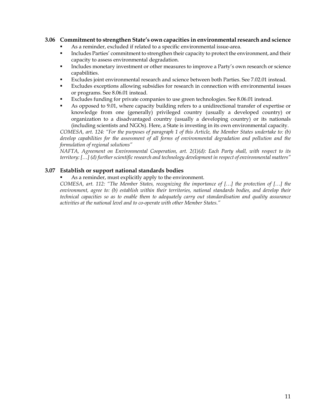## **3.06 Commitment to strengthen State's own capacities in environmental research and science**

- As a reminder, excluded if related to a specific environmental issue-area.
- Includes Parties' commitment to strengthen their capacity to protect the environment, and their capacity to assess environmental degradation.
- **Includes monetary investment or other measures to improve a Party's own research or science** capabilities.
- Excludes joint environmental research and science between both Parties. See 7.02.01 instead.
- Excludes exceptions allowing subsidies for research in connection with environmental issues or programs. See 8.06.01 instead.
- Excludes funding for private companies to use green technologies. See 8.06.01 instead.
- As opposed to 9.01, where capacity building refers to a unidirectional transfer of expertise or knowledge from one (generally) privileged country (usually a developed country) or organization to a disadvantaged country (usually a developing country) or its nationals (including scientists and NGOs). Here, a State is investing in its own environmental capacity.

*COMESA, art. 124: "For the purposes of paragraph 1 of this Article, the Member States undertake to: (b) develop capabilities for the assessment of all forms of environmental degradation and pollution and the formulation of regional solutions"* 

*NAFTA, Agreement on Environmental Cooperation, art. 2(1)(d): Each Party shall, with respect to its territory: […] (d) further scientific research and technology development in respect of environmental matters"* 

#### **3.07 Establish or support national standards bodies**

### As a reminder, must explicitly apply to the environment.

*COMESA, art. 112: "The Member States, recognizing the importance of […] the protection of […] the environment, agree to: (b) establish within their territories, national standards bodies, and develop their technical capacities so as to enable them to adequately carry out standardisation and quality assurance activities at the national level and to co-operate with other Member States."*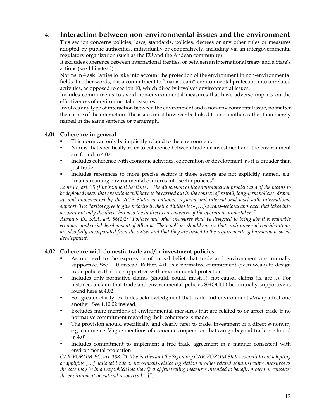# **4. Interaction between non-environmental issues and the environment**

 This section concerns policies, laws, standards, policies, decrees or any other rules or measures adopted by public authorities, individually or cooperatively, including via an intergovernmental regulatory organization (such as the EU and the Andean community).

 It excludes coherence between international treaties, or between an international treaty and a State's actions (see 14 instead).

 Norms in 4 ask Parties to take into account the protection of the environment in non-environmental fields. In other words, it is a commitment to "mainstream" environmental protection into unrelated activities, as opposed to section 10, which directly involves environmental issues.

 Includes commitments to avoid non-environmental measures that have adverse impacts on the effectiveness of environmental measures.

 Involves any type of interaction between the environment and a non-environmental issue, no matter the nature of the interaction. The issues must however be linked to one another, rather than merely named in the same sentence or paragraph.

# **4.01 Coherence in general**

- This norm can only be implicitly related to the environment.
- Norms that specifically refer to coherence between trade or investment and the environment are found in 4.02.
- Includes coherence with economic activities, cooperation or development, as it is broader than just trade.
- Includes references to more precise sectors if those sectors are not explicitly named, e.g. "mainstreaming environmental concerns into sector policies".

*Lomé IV, art. 35 (Environment Section) : "The dimension of the environmental problem and of the means to be deployed mean that operations will have to be carried out in the context of overall, long-term policies, drawn up and implemented by the ACP States at national, regional and international level with international support. The Parties agree to give priority in their activities to: - […]-a trans-sectoral approach that takes into account not only the direct but also the indirect consequences of the operations undertaken."* 

*Albania- EC SAA, art. 86(2)2: "Policies and other measures shall be designed to bring about sustainable economic and social development of Albania. These policies should ensure that environmental considerations are also fully incorporated from the outset and that they are linked to the requirements of harmonious social development."* 

# **4.02 Coherence with domestic trade and/or investment policies**

- As opposed to the expression of causal belief that trade and environment are mutually supportive. See 1.10 instead. Rather, 4.02 is a normative commitment (even weak) to design trade policies that are supportive with environmental protection.
- Includes only normative claims (should, could, must…), not causal claims (is, are…). For instance, a claim that trade and environmental policies SHOULD be mutually supportive is found here at 4.02.
- For greater clarity, excludes acknowledgment that trade and environment *already* affect one another. See 1.10.02 instead.
- Excludes mere mentions of environmental measures that are related to or affect trade if no normative commitment regarding their coherence is made.
- The provision should specifically and clearly refer to trade, investment or a direct synonym, e.g. commerce. Vague mentions of economic cooperation that can go beyond trade are found in 4.01.
- Includes commitment to implement a free trade agreement in a manner consistent with environmental protection

*CARIFORUM-EC, art. 188: "1. The Parties and the Signatory CARIFORUM States commit to not adopting or applying […] national trade or investment-related legislation or other related administrative measures as the case may be in a way which has the effect of frustrating measures intended to benefit, protect or conserve the environment or natural resources […]".*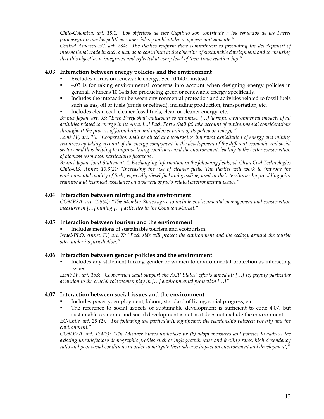*Chile-Colombia, art. 18.1: "Los objetivos de este Capitulo son contribuir a los esfuerzos de las Partes para asegurar que las politicas comerciales y ambientales se apoyen mutuamente."* 

*Central America-EC, art. 284: "The Parties reaffirm their commitment to promoting the development of international trade in such a way as to contribute to the objective of sustainable development and to ensuring that this objective is integrated and reflected at every level of their trade relationship."* 

# **4.03 Interaction between energy policies and the environment**

- Excludes norms on renewable energy. See 10.14.01 instead.
- 4.03 is for taking environmental concerns into account when designing energy policies in general, whereas 10.14 is for producing green or renewable energy specifically.
- Includes the interaction between environmental protection and activities related to fossil fuels such as gas, oil or fuels (crude or refined), including production, transportation, etc.
- Includes clean coal, cleaner fossil fuels, clean or cleaner energy, etc.

*Brunei-Japan, art. 93: "Each Party shall endeavour to minimise, […] harmful environmental impacts of all activities related to energy in its Area. [...] Each Party shall (a) take account of environmental considerations throughout the process of formulation and implementation of its policy on energy."* 

*Lomé IV, art. 16: "Cooperation shall be aimed at encouraging improved exploitation of energy and mining resources by taking account of the energy component in the development of the different economic and social sectors and thus helping to improve living conditions and the environment, leading to the better conservation of biomass resources, particularly fuelwood."* 

*Brunei-Japan, Joint Statement: 4. Exchanging information in the following fields; vi. Clean Coal Technologies Chile-US, Annex 19.3(2): "Increasing the use of cleaner fuels. The Parties will work to improve the environmental quality of fuels, especially diesel fuel and gasoline, used in their territories by providing joint training and technical assistance on a variety of fuels-related environmental issues."* 

# **4.04 Interaction between mining and the environment**

*COMESA, art. 125(4): "The Member States agree to include environmental management and conservation measures in […] mining […] activities in the Common Market."* 

# **4.05 Interaction between tourism and the environment**

Includes mentions of sustainable tourism and ecotourism.

*Israel-PLO, Annex IV, art. X: "Each side will protect the environment and the ecology around the tourist sites under its jurisdiction."* 

# **4.06 Interaction between gender policies and the environment**

 Includes any statement linking gender or women to environmental protection as interacting issues.

*Lomé IV, art. 153: "Cooperation shall support the ACP States' efforts aimed at: […] (e) paying particular attention to the crucial role women play in […] environmental protection […]"* 

# **4.07 Interaction between social issues and the environment**

- Includes poverty, employment, labour, standard of living, social progress, etc.
- The reference to social aspects of sustainable development is sufficient to code 4.07, but sustainable economic and social development is not as it does not include the environment.

*EC-Chile, art. 28 (2): "The following are particularly significant: the relationship between poverty and the environment."* 

*COMESA, art. 124(2):* "*The Member States undertake to: (k) adopt measures and policies to address the existing unsatisfactory demographic profiles such as high growth rates and fertility rates, high dependency ratio and poor social conditions in order to mitigate their adverse impact on environment and development;"*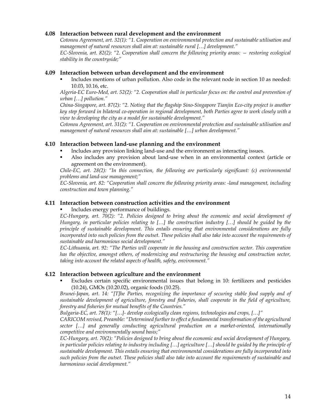# **4.08 Interaction between rural development and the environment**

*Cotonou Agreement, art. 32(1): "1. Cooperation on environmental protection and sustainable utilisation and management of natural resources shall aim at: sustainable rural […] development."* 

*EC-Slovenia, art. 82(2): "2. Cooperation shall concern the following priority areas: — restoring ecological stability in the countryside;"* 

# **4.09 Interaction between urban development and the environment**

 Includes mentions of urban pollution. Also code in the relevant node in section 10 as needed: 10.03, 10.16, etc.

*Algeria-EC Euro-Med, art. 52(2): "2. Cooperation shall in particular focus on: the control and prevention of urban […] pollution."* 

*China-Singapore, art. 87(2): "2. Noting that the flagship Sino-Singapore Tianjin Eco-city project is another key step forward in bilateral co-operation in regional development, both Parties agree to work closely with a view to developing the city as a model for sustainable development."* 

*Cotonou Agreement, art. 31(2): "1. Cooperation on environmental protection and sustainable utilisation and management of natural resources shall aim at: sustainable […] urban development."* 

#### **4.10 Interaction between land-use planning and the environment**

- Includes any provision linking land-use and the environment as interacting issues.
- Also includes any provision about land-use when in an environmental context (article or agreement on the environment).

*Chile-EC, art. 28(2): "In this connection, the following are particularly significant: (c) environmental problems and land-use management;"* 

*EC-Slovenia, art. 82: "Cooperation shall concern the following priority areas: -land management, including construction and town planning."* 

#### **4.11 Interaction between construction activities and the environment**

Includes energy performance of buildings.

*EC-Hungary, art. 70(2): "2. Policies designed to bring about the economic and social development of Hungary, in particular policies relating to […] the construction industry […] should be guided by the principle of sustainable development. This entails ensuring that environmental considerations are fully incorporated into such policies from the outset. These policies shall also take into account the requirements of sustainable and harmonious social development."* 

*EC-Lithuania, art. 92: "The Parties will cooperate in the housing and construction sector. This cooperation has the objective, amongst others, of modernizing and restructuring the housing and construction sector, taking into account the related aspects of health, safety, environment."* 

#### **4.12 Interaction between agriculture and the environment**

 Excludes certain specific environmental issues that belong in 10: fertilizers and pesticides (10.24), GMOs (10.20.02), organic foods (10.25).

*Brunei-Japan, art. 14: "[T]he Parties, recognizing the importance of securing stable food supply and of sustainable development of agriculture, forestry and fisheries, shall cooperate in the field of agriculture, forestry and fisheries for mutual benefits of the Countries."* 

*Bulgaria-EC, art. 78(1): "[…]- develop ecologically clean regions, technologies and crops, […]"* 

*CARICOM revised, Preamble: "Determined further to effect a fundamental transformation of the agricultural sector […] and generally conducting agricultural production on a market-oriented, internationally competitive and environmentally sound basis;"* 

*EC-Hungary, art. 70(2): "Policies designed to bring about the economic and social development of Hungary, in particular policies relating to industry including […] agriculture […] should be guided by the principle of sustainable development. This entails ensuring that environmental considerations are fully incorporated into such policies from the outset. These policies shall also take into account the requirements of sustainable and harmonious social development."*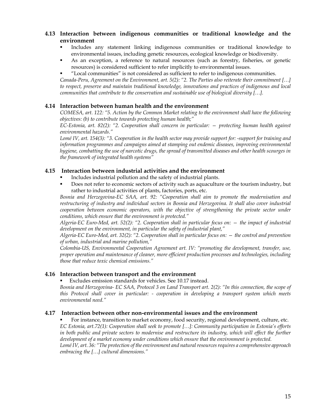# **4.13 Interaction between indigenous communities or traditional knowledge and the environment**

- Includes any statement linking indigenous communities or traditional knowledge to environmental issues, including genetic resources, ecological knowledge or biodiversity.
- As an exception, a reference to natural resources (such as forestry, fisheries, or genetic resources) is considered sufficient to refer implicitly to environmental issues.
- "Local communities" is not considered as sufficient to refer to indigenous communities.

*Canada-Peru, Agreement on the Environment, art. 5(2): "2. The Parties also reiterate their commitment […] to respect, preserve and maintain traditional knowledge, innovations and practices of indigenous and local communities that contribute to the conservation and sustainable use of biological diversity […].* 

# **4.14 Interaction between human health and the environment**

*COMESA, art. 122: "5. Action by the Common Market relating to the environment shall have the following objectives: (b) to contribute towards protecting human health;"* 

*EC-Estonia, art. 82(2): "2. Cooperation shall concern in particular: — protecting human health against environmental hazards."* 

*Lomé IV, art. 154(3): "3. Cooperation in the health sector may provide support for: -support for training and information programmes and campaigns aimed at stamping out endemic diseases, improving environmental hygiene, combatting the use of narcotic drugs, the spread of transmitted diseases and other health scourges in the framework of integrated health systems"* 

# **4.15 Interaction between industrial activities and the environment**

- Includes industrial pollution and the safety of industrial plants.
- Does not refer to economic sectors of activity such as aquaculture or the tourism industry, but rather to industrial activities of plants, factories, ports, etc.

*Bosnia and Herzegovina-EC SAA, art. 92: "Cooperation shall aim to promote the modernisation and restructuring of industry and individual sectors in Bosnia and Herzegovina. It shall also cover industrial cooperation between economic operators, with the objective of strengthening the private sector under conditions, which ensure that the environment is protected."*

*Algeria-EC Euro-Med, art. 52(2): "2. Cooperation shall in particular focus on: — the impact of industrial development on the environment, in particular the safety of industrial plant,"* 

*Algeria-EC Euro-Med, art. 32(2): "2. Cooperation shall in particular focus on: — the control and prevention of urban, industrial and marine pollution,"* 

*Colombia-US, Environmental Cooperation Agreement art. IV: "promoting the development, transfer, use, proper operation and maintenance of cleaner, more efficient production processes and technologies, including those that reduce toxic chemical emissions."* 

# **4.16 Interaction between transport and the environment**

Excludes emission standards for vehicles. See 10.17 instead.

*Bosnia and Herzegovina- EC SAA, Protocol 3 on Land Transport art. 2(2): "In this connection, the scope of this Protocol shall cover in particular: - cooperation in developing a transport system which meets environmental need."*

# **4.17 Interaction between other non-environmental issues and the environment**

 For instance, transition to market economy, food security, regional development, culture, etc. *EC Estonia, art.72(1): Cooperation shall seek to promote […]: Community participation in Estonia's efforts in both public and private sectors to modernise and restructure its industry, which will effect the further development of a market economy under conditions which ensure that the environment is protected. Lomé IV, art. 36: "The protection of the environment and natural resources requires a comprehensive approach embracing the […] cultural dimensions."*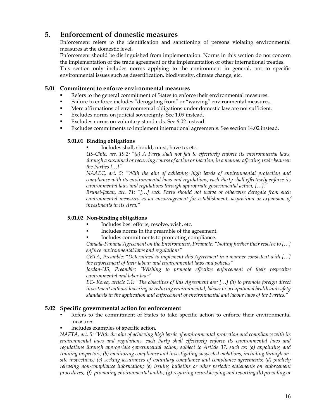# **5. Enforcement of domestic measures**

 Enforcement refers to the identification and sanctioning of persons violating environmental measures at the domestic level.

 Enforcement should be distinguished from implementation. Norms in this section do not concern the implementation of the trade agreement or the implementation of other international treaties.

 This section only includes norms applying to the environment in general, not to specific environmental issues such as desertification, biodiversity, climate change, etc.

# **5.01 Commitment to enforce environmental measures**

- Refers to the general commitment of States to enforce their environmental measures.
- Failure to enforce includes "derogating from" or "waiving" environmental measures.
- Mere affirmations of environmental obligations under domestic law are not sufficient.
- Excludes norms on judicial sovereignty. See 1.09 instead.
- Excludes norms on voluntary standards. See 6.02 instead.
- Excludes commitments to implement international agreements. See section 14.02 instead.

#### **5.01.01 Binding obligations**

Includes shall, should, must, have to, etc.

*US-Chile, art. 19.2: "(a) A Party shall not fail to effectively enforce its environmental laws, through a sustained or recurring course of action or inaction, in a manner affecting trade between the Parties […]"* 

*NAAEC, art. 5: "With the aim of achieving high levels of environmental protection and compliance with its environmental laws and regulations, each Party shall effectively enforce its environmental laws and regulations through appropriate governmental action, […]."* 

*Brunei-Japan, art. 71: "[…] each Party should not waive or otherwise derogate from such environmental measures as an encouragement for establishment, acquisition or expansion of investments in its Area."* 

# **5.01.02 Non-binding obligations**

- Includes best efforts, resolve, wish, etc.
- Includes norms in the preamble of the agreement.
- Includes commitments to promoting compliance.

*Canada-Panama Agreement on the Environment, Preamble: "Noting further their resolve to […] enforce environmental laws and regulations"* 

*CETA, Preamble: "Determined to implement this Agreement in a manner consistent with […] the enforcement of their labour and environmental laws and policies"* 

*Jordan-US, Preamble: "Wishing to promote effective enforcement of their respective environmental and labor law;"* 

*EC- Korea, article 1.1: "The objectives of this Agreement are: […] (h) to promote foreign direct investment without lowering or reducing environmental, labour or occupational health and safety standards in the application and enforcement of environmental and labour laws of the Parties."* 

# **5.02 Specific governmental action for enforcement**

- Refers to the commitment of States to take specific action to enforce their environmental measures.
- Includes examples of specific action.

*NAFTA, art. 5: "With the aim of achieving high levels of environmental protection and compliance with its environmental laws and regulations, each Party shall effectively enforce its environmental laws and regulations through appropriate governmental action, subject to Article 37, such as: (a) appointing and training inspectors; (b) monitoring compliance and investigating suspected violations, including through onsite inspections; (c) seeking assurances of voluntary compliance and compliance agreements; (d) publicly releasing non-compliance information; (e) issuing bulletins or other periodic statements on enforcement procedures; (f) promoting environmental audits; (g) requiring record keeping and reporting;(h) providing or*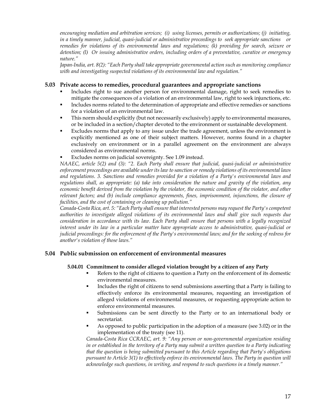*encouraging mediation and arbitration services; (i) using licenses, permits or authorizations; (j) initiating, in a timely manner, judicial, quasi-judicial or administrative proceedings to seek appropriate sanctions or remedies for violations of its environmental laws and regulations; (k) providing for search, seizure or detention; (l) Or issuing administrative orders, including orders of a preventative, curative or emergency nature."* 

*Japan-India, art. 8(2): "Each Party shall take appropriate governmental action such as monitoring compliance with and investigating suspected violations of its environmental law and regulation."* 

## **5.03 Private access to remedies, procedural guarantees and appropriate sanctions**

- Includes right to sue another person for environmental damage, right to seek remedies to mitigate the consequences of a violation of an environmental law, right to seek injunctions, etc.
- Includes norms related to the determination of appropriate and effective remedies or sanctions for a violation of an environmental law.
- This norm should explicitly (but not necessarily exclusively) apply to environmental measures, or be included in a section/chapter devoted to the environment or sustainable development.
- Excludes norms that apply to any issue under the trade agreement, unless the environment is explicitly mentioned as one of their subject matters. However, norms found in a chapter exclusively on environment or in a parallel agreement on the environment are always considered as environmental norms.
- Excludes norms on judicial sovereignty. See 1.09 instead.

*NAAEC, article 5(2) and (3): "2. Each Party shall ensure that judicial, quasi-judicial or administrative enforcement proceedings are available under its law to sanction or remedy violations of its environmental laws and regulations. 3. Sanctions and remedies provided for a violation of a Party's environmental laws and regulations shall, as appropriate: (a) take into consideration the nature and gravity of the violation, any economic benefit derived from the violation by the violator, the economic condition of the violator, and other relevant factors; and (b) include compliance agreements, fines, imprisonment, injunctions, the closure of facilities, and the cost of containing or cleaning up pollution."* 

*Canada-Costa Rica, art. 5: "Each Party shall ensure that interested persons may request the Party's competent authorities to investigate alleged violations of its environmental laws and shall give such requests due consideration in accordance with its law. Each Party shall ensure that persons with a legally recognized interest under its law in a particular matter have appropriate access to administrative, quasi-judicial or judicial proceedings: for the enforcement of the Party's environmental laws; and for the seeking of redress for another's violation of those laws."* 

# **5.04 Public submission on enforcement of environmental measures**

#### **5.04.01 Commitment to consider alleged violation brought by a citizen of any Party**

- Refers to the right of citizens to question a Party on the enforcement of its domestic environmental measures.
- Includes the right of citizens to send submissions asserting that a Party is failing to effectively enforce its environmental measures, requesting an investigation of alleged violations of environmental measures, or requesting appropriate action to enforce environmental measures.
- Submissions can be sent directly to the Party or to an international body or secretariat.
- As opposed to public participation in the adoption of a measure (see 3.02) or in the implementation of the treaty (see 11).

*Canada-Costa Rica CCRAEC, art. 9: "Any person or non-governmental organization residing in or established in the territory of a Party may submit a written question to a Party indicating that the question is being submitted pursuant to this Article regarding that Party's obligations pursuant to Article 3(1) to effectively enforce its environmental laws. The Party in question will acknowledge such questions, in writing, and respond to such questions in a timely manner."*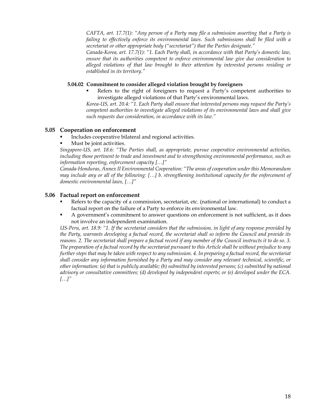*CAFTA, art. 17.7(1): "Any person of a Party may file a submission asserting that a Party is failing to effectively enforce its environmental laws. Such submissions shall be filed with a secretariat or other appropriate body ("secretariat") that the Parties designate."* 

*Canada-Korea, art. 17.7(1): "1. Each Party shall, in accordance with that Party's domestic law, ensure that its authorities competent to enforce environmental law give due consideration to alleged violations of that law brought to their attention by interested persons residing or established in its territory."* 

#### **5.04.02 Commitment to consider alleged violation brought by foreigners**

 Refers to the right of foreigners to request a Party's competent authorities to investigate alleged violations of that Party's environmental laws.

*Korea-US, art. 20.4: "1. Each Party shall ensure that interested persons may request the Party's competent authorities to investigate alleged violations of its environmental laws and shall give such requests due consideration, in accordance with its law."* 

# **5.05 Cooperation on enforcement**

- Includes cooperative bilateral and regional activities.
- Must be joint activities.

*Singapore-US, art. 18.6: "The Parties shall, as appropriate, pursue cooperative environmental activities, including those pertinent to trade and investment and to strengthening environmental performance, such as information reporting, enforcement capacity […]"* 

*Canada-Honduras, Annex II Environmental Cooperation: "The areas of cooperation under this Memorandum may include any or all of the following: […] b. strengthening institutional capacity for the enforcement of domestic environmental laws, […]"* 

#### **5.06 Factual report on enforcement**

- Refers to the capacity of a commission, secretariat, etc. (national or international) to conduct a factual report on the failure of a Party to enforce its environmental law.
- A government's commitment to answer questions on enforcement is not sufficient, as it does not involve an independent examination.

*US-Peru, art. 18.9: "1. If the secretariat considers that the submission, in light of any response provided by the Party, warrants developing a factual record, the secretariat shall so inform the Council and provide its reasons. 2. The secretariat shall prepare a factual record if any member of the Council instructs it to do so. 3. The preparation of a factual record by the secretariat pursuant to this Article shall be without prejudice to any further steps that may be taken with respect to any submission.* 4. In preparing a factual record, the secretariat *shall consider any information furnished by a Party and may consider any relevant technical, scientific, or other information: (a) that is publicly available; (b) submitted by interested persons; (c) submitted by national advisory or consultative committees; (d) developed by independent experts; or (e) developed under the ECA. […]"*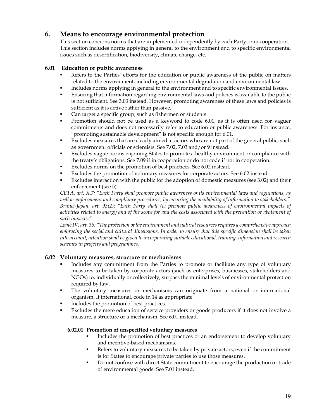# **6. Means to encourage environmental protection**

This section concerns norms that are implemented independently by each Party or in cooperation. This section includes norms applying in general to the environment and to specific environmental issues such as desertification, biodiversity, climate change, etc.

# **6.01 Education or public awareness**

- Refers to the Parties' efforts for the education or public awareness of the public on matters related to the environment, including environmental degradation and environmental law.
- Includes norms applying in general to the environment and to specific environmental issues.
- Ensuring that information regarding environmental laws and policies is available to the public is not sufficient. See 3.03 instead. However, promoting awareness of these laws and policies is sufficient as it is active rather than passive.
- Can target a specific group, such as fishermen or students.
- Promotion should not be used as a keyword to code 6.01, as it is often used for vaguer commitments and does not necessarily refer to education or public awareness. For instance, "promoting sustainable development" is not specific enough for 6.01.
- Excludes measures that are clearly aimed at actors who are not part of the general public, such as government officials or scientists. See 7.02, 7.03 and/or 9 instead.
- Excludes vague norms enjoining States to promote a healthy environment or compliance with the treaty's obligations. See 7.09 if in cooperation or do not code if not in cooperation.
- Excludes norms on the promotion of best practices. See 6.02 instead.
- Excludes the promotion of voluntary measures for corporate actors. See 6.02 instead.
- Excludes interaction with the public for the adoption of domestic measures (see 3.02) and their enforcement (see 5).

*CETA, art. X.7: "Each Party shall promote public awareness of its environmental laws and regulations, as well as enforcement and compliance procedures, by ensuring the availability of information to stakeholders." Brunei-Japan, art. 93(2): "Each Party shall (c) promote public awareness of environmental impacts of activities related to energy and of the scope for and the costs associated with the prevention or abatement of such impacts."* 

*Lomé IV, art. 36: "The protection of the environment and natural resources requires a comprehensive approach embracing the social and cultural dimensions. In order to ensure that this specific dimension shall be taken into account, attention shall be given to incorporating suitable educational, training, information and research schemes in projects and programmes."* 

# **6.02 Voluntary measures, structure or mechanisms**

- Includes any commitment from the Parties to promote or facilitate any type of voluntary measures to be taken by corporate actors (such as enterprises, businesses, stakeholders and NGOs) to, individually or collectively, surpass the minimal levels of environmental protection required by law.
- The voluntary measures or mechanisms can originate from a national or international organism. If international, code in 14 as appropriate.
- Includes the promotion of best practices.
- Excludes the mere education of service providers or goods producers if it does not involve a measure, a structure or a mechanism. See 6.01 instead.

# **6.02.01 Promotion of unspecified voluntary measures**

- Includes the promotion of best practices or an endorsement to develop voluntary and incentive-based mechanisms.
- Refers to voluntary measures to be taken by private actors, even if the commitment is for States to encourage private parties to use those measures.
- Do not confuse with direct State commitment to encourage the production or trade of environmental goods. See 7.01 instead.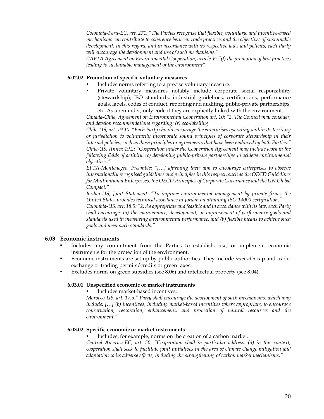*Colombia-Peru-EC, art. 271: "The Parties recognise that flexible, voluntary, and incentive-based mechanisms can contribute to coherence between trade practices and the objectives of sustainable development. In this regard, and in accordance with its respective laws and policies, each Party will encourage the development and use of such mechanisms."* 

*CAFTA Agreement on Environmental Cooperation, article V: "(f) the promotion of best practices leading to sustainable management of the environment"* 

#### **6.02.02 Promotion of specific voluntary measures**

- Includes norms referring to a precise voluntary measure.
- Private voluntary measures notably include corporate social responsibility (stewardship), ISO standards, industrial guidelines, certifications, performance goals, labels, codes of conduct, reporting and auditing, public-private partnerships, etc. As a reminder, only code if they are explicitly linked with the environment.

*Canada-Chile, Agreement on Environmental Cooperation art. 10: "2. The Council may consider, and develop recommendations regarding: (r) eco-labelling."* 

*Chile-US, art. 19.10: "Each Party should encourage the enterprises operating within its territory or jurisdiction to voluntarily incorporate sound principles of corporate stewardship in their internal policies, such as those principles or agreements that have been endorsed by both Parties." Chile-US, Annex 19.2: "Cooperation under the Cooperation Agreement may include work in the following fields of activity: (c) developing public-private partnerships to achieve environmental objectives."* 

*EFTA-Montenegro, Preamble: "[…] affirming their aim to encourage enterprises to observe internationally recognised guidelines and principles in this respect, such as the OECD Guidelines for Multinational Enterprises, the OECD Principles of Corporate Governance and the UN Global Compact."* 

*Jordan-US, Joint Statement: "To improve environmental management by private firms, the United States provides technical assistance in Jordan on attaining ISO 14000 certification."* 

*Colombia-US, art. 18.5: "2. As appropriate and feasible and in accordance with its law, each Party shall encourage: (a) the maintenance, development, or improvement of performance goals and standards used in measuring environmental performance; and (b) flexible means to achieve such goals and meet such standards."* 

#### **6.03 Economic instruments**

- Includes any commitment from the Parties to establish, use, or implement economic instruments for the protection of the environment.
- Economic instruments are set up by public authorities. They include *inter alia* cap and trade, exchange or trading permits/credits or green taxes.
- Excludes norms on green subsidies (see 8.06) and intellectual property (see 8.04).

#### **6.03.01 Unspecified economic or market instruments**

Includes market-based incentives.

*Morocco-US, art. 17.5:" Party shall encourage the development of such mechanisms, which may include: […] (b) incentives, including market-based incentives where appropriate, to encourage conservation, restoration, enhancement, and protection of natural resources and the environment."* 

#### **6.03.02 Specific economic or market instruments**

Includes, for example, norms on the creation of a carbon market.

*Central America-EC, art. 50: "Cooperation shall in particular address: (d) in this context, cooperation shall seek to facilitate joint initiatives in the area of climate change mitigation and adaptation to its adverse effects, including the strengthening of carbon market mechanisms."*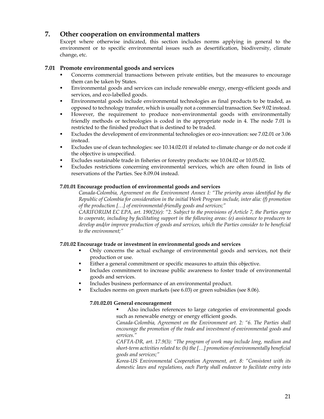# **7. Other cooperation on environmental matters**

Except where otherwise indicated, this section includes norms applying in general to the environment or to specific environmental issues such as desertification, biodiversity, climate change, etc.

# **7.01 Promote environmental goods and services**

- Concerns commercial transactions between private entities, but the measures to encourage them can be taken by States.
- Environmental goods and services can include renewable energy, energy-efficient goods and services, and eco-labelled goods.
- Environmental goods include environmental technologies as final products to be traded, as opposed to technology transfer, which is usually not a commercial transaction. See 9.02 instead.
- However, the requirement to produce non-environmental goods with environmentally friendly methods or technologies is coded in the appropriate node in 4. The node 7.01 is restricted to the finished product that is destined to be traded.
- Excludes the development of environmental technologies or eco-innovation: see 7.02.01 or 3.06 instead.
- Excludes use of clean technologies: see 10.14.02.01 if related to climate change or do not code if the objective is unspecified.
- Excludes sustainable trade in fisheries or forestry products: see 10.04.02 or 10.05.02.
- Excludes restrictions concerning environmental services, which are often found in lists of reservations of the Parties. See 8.09.04 instead.

#### **7.01.01 Encourage production of environmental goods and services**

*Canada-Colombia, Agreement on the Environment Annex I: "The priority areas identified by the Republic of Colombia for consideration in the initial Work Program include, inter alia: (f) promotion of the production […] of environmental-friendly goods and services;"*

*CARIFORUM EC EPA, art. 190(2)(e): "2. Subject to the provisions of Article 7, the Parties agree to cooperate, including by facilitating support in the following areas: (e) assistance to producers to develop and/or improve production of goods and services, which the Parties consider to be beneficial to the environment;"* 

# **7.01.02 Encourage trade or investment in environmental goods and services**

- Only concerns the actual exchange of environmental goods and services, not their production or use.
- Either a general commitment or specific measures to attain this objective.
- Includes commitment to increase public awareness to foster trade of environmental goods and services.
- Includes business performance of an environmental product.
- Excludes norms on green markets (see 6.03) or green subsidies (see 8.06).

# **7.01.02.01 General encouragement**

 Also includes references to large categories of environmental goods such as renewable energy or energy efficient goods.

*Canada-Colombia, Agreement on the Environment art. 2: "6. The Parties shall encourage the promotion of the trade and investment of environmental goods and services."* 

*CAFTA-DR, art. 17.9(3): "The program of work may include long, medium and short-term activities related to: (h) the […] promotion of environmentally beneficial goods and services;"* 

*Korea-US Environmental Cooperation Agreement, art. 8: "Consistent with its domestic laws and regulations, each Party shall endeavor to facilitate entry into*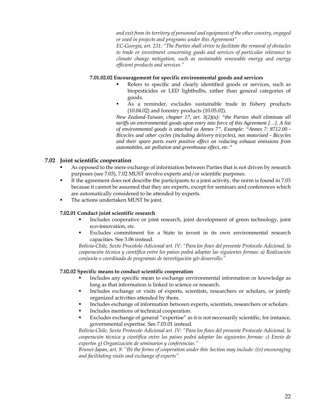*and exit from its territory of personnel and equipment of the other country, engaged or used in projects and programs under this Agreement"*

*EC-Georgia, art. 231: "The Parties shall strive to facilitate the removal of obstacles to trade or investment concerning goods and services of particular relevance to climate change mitigation, such as sustainable renewable energy and energy efficient products and services."* 

#### **7.01.02.02 Encouragement for specific environmental goods and services**

- Refers to specific and clearly identified goods or services, such as biopesticides or LED lightbulbs, rather than general categories of goods.
- As a reminder, excludes sustainable trade in fishery products (10.04.02) and forestry products (10.05.02).

*New Zealand-Taiwan, chapter 17, art. 3(2)(a): "the Parties shall eliminate all tariffs on environmental goods upon entry into force of this Agreement […]. A list of environmental goods is attached as Annex 7". Example: "Annex 7: 8712.00 - Bicycles and other cycles (including delivery tricycles), not motorised - Bicycles and their spare parts exert positive effect on reducing exhaust emissions from automobiles, air pollution and greenhouse effect, etc."* 

# **7.02 Joint scientific cooperation**

- As opposed to the mere exchange of information between Parties that is not driven by research purposes (see 7.03), 7.02 MUST involve experts and/or scientific purposes.
- If the agreement does not describe the participants to a joint activity, the norm is found in 7.03 because it cannot be assumed that they are experts, except for seminars and conferences which are automatically considered to be attended by experts.
- The actions undertaken MUST be joint.

# **7.02.01 Conduct joint scientific research**

- Includes cooperative or joint research, joint development of green technology, joint eco-innovation, etc.
- Excludes commitment for a State to invest in its own environmental research capacities. See 3.06 instead.

*Bolivia-Chile, Sexto Procotolo Adicional art. IV: "Para los fines del presente Protocolo Adicional, la cooperación técnica y científica entre los países podrá adoptar las siguientes formas: a) Realización conjunta o coordinada de programas de investigación y/o desarrollo."* 

# **7.02.02 Specific means to conduct scientific cooperation**

- Includes any specific mean to exchange environmental information or knowledge as long as that information is linked to science or research.
- Includes exchange or visits of experts, scientists, researchers or scholars, or jointly organized activities attended by them.
- Includes exchange of information between experts, scientists, researchers or scholars.
- **Includes mentions of technical cooperation.**
- Excludes exchange of general "expertise" as it is not necessarily scientific, for instance, governmental expertise. See 7.03.01 instead.

*Bolivia-Chile, Sexto Protocolo Adicional art. IV: "Para los fines del presente Protocolo Adicional, la cooperación técnica y científica entre los países podrá adoptar las siguientes formas: c) Envío de expertos g) Organización de seminarios y conferencias."* 

*Brunei-Japan, art. 9: "(b) the forms of cooperation under this Section may include: (iv) encouraging and facilitating visits and exchange of experts"*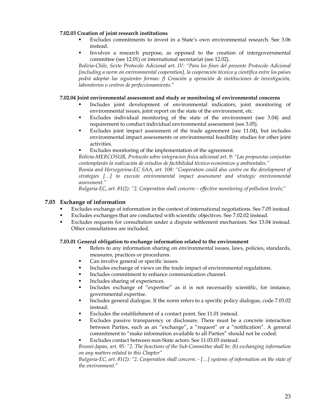#### **7.02.03 Creation of joint research institutions**

- Excludes commitments to invest in a State's own environmental research. See 3.06 instead.
- Involves a research purpose, as opposed to the creation of intergovernmental committee (see 12.01) or international secretariat (see 12.02).

*Bolivia-Chile, Sexto Protocolo Adicional art. IV: "Para los fines del presente Protocolo Adicional [including a norm on environmental cooperation], la cooperación técnica y científica entre los países podrá adoptar las siguientes formas: f) Creación y operación de instituciones de investigación, laboratorios o centros de perfeccionamiento."* 

#### **7.02.04 Joint environmental assessment and study or monitoring of environmental concerns**

- Includes joint development of environmental indicators, joint monitoring of environmental issues, joint report on the state of the environment, etc.
- Excludes individual monitoring of the state of the environment (see 3.04) and requirement to conduct individual environmental assessment (see 3.05).
- Excludes joint impact assessment of the trade agreement (see 11.04), but includes environmental impact assessments or environmental feasibility studies for other joint activities.
- Excludes monitoring of the implementation of the agreement.

*Bolivia-MERCOSUR, Protocolo sobre integracion fisica adicional art. 9: "Las propuestas conjuntas contemplarán la realización de estudios de factibilidad técnico-económicos y ambientales."*

*Bosnia and Herzegovina-EC SAA, art. 108: "Cooperation could also centre on the development of strategies […] to execute environmental impact assessment and strategic environmental assessment."*

*Bulgaria-EC, art. 81(2): "2. Cooperation shall concern: - effective monitoring of pollution levels;"* 

# **7.03 Exchange of information**

- Excludes exchange of information in the context of international negotiations. See 7.05 instead.
- Excludes exchanges that are conducted with scientific objectives. See 7.02.02 instead.
- Excludes requests for consultation under a dispute settlement mechanism. See 13.04 instead. Other consultations are included.

#### **7.03.01 General obligation to exchange information related to the environment**

- Refers to any information sharing on environmental issues, laws, policies, standards, measures, practices or procedures.
- Can involve general or specific issues.
- Includes exchange of views on the trade impact of environmental regulations.
- Includes commitment to enhance communication channel.
- Includes sharing of experiences.
- Includes exchange of "expertise" as it is not necessarily scientific, for instance, governmental expertise.
- Includes general dialogue. If the norm refers to a specific policy dialogue, code 7.03.02 instead.
- Excludes the establishment of a contact point. See 11.01 instead.
- Excludes passive transparency or disclosure. There must be a concrete interaction between Parties, such as an "exchange", a "request" or a "notification". A general commitment to "make information available to all Parties" should not be coded.

Excludes contact between non-State actors. See 11.03.03 instead.

*Brunei-Japan, art. 95: "2. The functions of the Sub-Committee shall be: (b) exchanging information on any matters related to this Chapter"*

*Bulgaria-EC, art. 81(2): "2. Cooperation shall concern: - […] systems of information on the state of the environment."*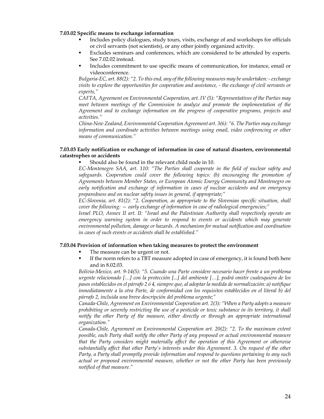#### **7.03.02 Specific means to exchange information**

- Includes policy dialogues, study tours, visits, exchange of and workshops for officials or civil servants (not scientists), or any other jointly organized activity.
- Excludes seminars and conferences, which are considered to be attended by experts. See 7.02.02 instead.
- Includes commitment to use specific means of communication, for instance, email or videoconference.

*Bulgaria-EC, art. 88(2): "2. To this end, any of the following measures may be undertaken: - exchange visits to explore the opportunities for cooperation and assistance, - the exchange of civil servants or experts,"*

*CAFTA, Agreement on Environmental Cooperation, art. IV (5): "Representatives of the Parties may meet between meetings of the Commission to analyze and promote the implementation of the Agreement and to exchange information on the progress of cooperative programs, projects and activities."* 

*China-New Zealand, Environmental Cooperation Agreement art. 3(6): "6. The Parties may exchange information and coordinate activities between meetings using email, video conferencing or other means of communication."* 

#### **7.03.03 Early notification or exchange of information in case of natural disasters, environmental catastrophes or accidents**

Should also be found in the relevant child node in 10.

*EC-Montenegro SAA, art. 110: "The Parties shall cooperate in the field of nuclear safety and*  safeguards. Cooperation could cover the following topics: (b) encouraging the promotion of *Agreements between Member States, or European Atomic Energy Community and Montenegro on early notification and exchange of information in cases of nuclear accidents and on emergency preparedness and on nuclear safety issues in general, if appropriate;"*

*EC-Slovenia, art. 81(2): "2. Cooperation, as appropriate to the Slovenian specific situation, shall cover the following: — early exchange of information in case of radiological emergencies;"*

*Israel PLO, Annex II art. II: "Israel and the Palestinian Authority shall respectively operate an emergency warning system in order to respond to events or accidents which may generate environmental pollution, damage or hazards. A mechanism for mutual notification and coordination in cases of such events or accidents shall be established."* 

#### **7.03.04 Provision of information when taking measures to protect the environment**

- The measure can be urgent or not.
- If the norm refers to a TBT measure adopted in case of emergency, it is found both here and in 8.02.03.

*Bolivia-Mexico, art. 9-14(5): "5. Cuando una Parte considere necesario hacer frente a un problema urgente relacionado […] con la protección [...] del ambiente […], podrá omitir cualesquiera de los pasos establecidos en el párrafo 2 ó 4, siempre que, al adoptar la medida de normalización: a) notifique inmediatamente a la otra Parte, de conformidad con los requisitos establecidos en el literal b) del párrafo 2, incluida una breve descripción del problema urgente;"*

*Canada-Chile, Agreement on Environmental Cooperation art. 2(3): "When a Party adopts a measure prohibiting or severely restricting the use of a pesticide or toxic substance in its territory, it shall notify the other Party of the measure, either directly or through an appropriate international organization."*

*Canada-Chile, Agreement on Environmental Cooperation art. 20(2): "2. To the maximum extent possible, each Party shall notify the other Party of any proposed or actual environmental measure that the Party considers might materially affect the operation of this Agreement or otherwise substantially affect that other Party's interests under this Agreement. 3. On request of the other Party, a Party shall promptly provide information and respond to questions pertaining to any such actual or proposed environmental measure, whether or not the other Party has been previously notified of that measure."*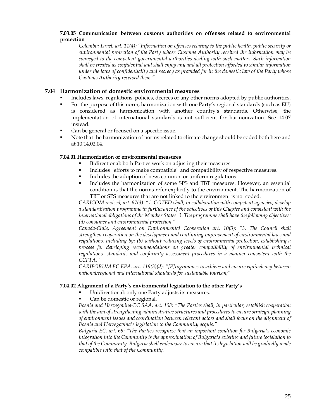# **7.03.05 Communication between customs authorities on offenses related to environmental protection**

*Colombia-Israel, art. 11(4): "Information on offenses relating to the public health, public security or environmental protection of the Party whose Customs Authority received the information may be conveyed to the competent governmental authorities dealing with such matters. Such information shall be treated as confidential and shall enjoy any and all protection afforded to similar information under the laws of confidentiality and secrecy as provided for in the domestic law of the Party whose Customs Authority received them."* 

# **7.04 Harmonization of domestic environmental measures**

- Includes laws, regulations, policies, decrees or any other norms adopted by public authorities.
- For the purpose of this norm, harmonization with one Party's regional standards (such as EU) is considered as harmonization with another country's standards. Otherwise, the implementation of international standards is not sufficient for harmonization. See 14.07 instead.
- Can be general or focused on a specific issue.
- Note that the harmonization of norms related to climate change should be coded both here and at 10.14.02.04.

# **7.04.01 Harmonization of environmental measures**

- Bidirectional: both Parties work on adjusting their measures.
- Includes "efforts to make compatible" and compatibility of respective measures.
- Includes the adoption of new, common or uniform regulations.
- Includes the harmonization of some SPS and TBT measures. However, an essential condition is that the norms refer explicitly to the environment. The harmonization of TBT or SPS measures that are not linked to the environment is not coded.

*CARICOM revised, art. 67(3): "1. COTED shall, in collaboration with competent agencies, develop a standardisation programme in furtherance of the objectives of this Chapter and consistent with the international obligations of the Member States. 3. The programme shall have the following objectives: (d) consumer and environmental protection."* 

*Canada-Chile, Agreement on Environmental Cooperation art. 10(3): "3. The Council shall strengthen cooperation on the development and continuing improvement of environmental laws and regulations, including by: (b) without reducing levels of environmental protection, establishing a*  process for developing recommendations on greater compatibility of environmental technical *regulations, standards and conformity assessment procedures in a manner consistent with the CCFTA."*

*CARIFORUM EC EPA, art. 119(3)(d): "[P]rogrammes to achieve and ensure equivalency between national/regional and international standards for sustainable tourism;"*

#### **7.04.02 Alignment of a Party's environmental legislation to the other Party's**

- Unidirectional: only one Party adjusts its measures.
- Can be domestic or regional.

*Bosnia and Herzegovina-EC SAA, art. 108: "The Parties shall, in particular, establish cooperation with the aim of strengthening administrative structures and procedures to ensure strategic planning of environment issues and coordination between relevant actors and shall focus on the alignment of Bosnia and Herzegovina's legislation to the Community acquis."*

*Bulgaria-EC, art. 69: "The Parties recognize that an important condition for Bulgaria's economic integration into the Community is the approximation of Bulgaria's existing and future legislation to that of the Community. Bulgaria shall endeavour to ensure that its legislation will be gradually made compatible with that of the Community."*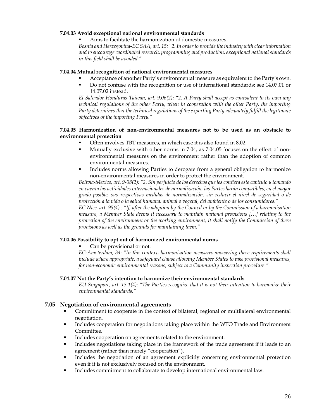#### **7.04.03 Avoid exceptional national environmental standards**

Aims to facilitate the harmonization of domestic measures.

*Bosnia and Herzegovina-EC SAA, art. 15: "2. In order to provide the industry with clear information and to encourage coordinated research, programming and production, exceptional national standards in this field shall be avoided."* 

#### **7.04.04 Mutual recognition of national environmental measures**

- Acceptance of another Party's environmental measure as equivalent to the Party's own.
- Do not confuse with the recognition or use of international standards: see 14.07.01 or 14.07.02 instead.

*El Salvador-Honduras-Taiwan, art. 9.06(2): "2. A Party shall accept as equivalent to its own any technical regulations of the other Party, when in cooperation with the other Party, the importing Party determines that the technical regulations of the exporting Party adequately fulfill the legitimate objectives of the importing Party."* 

#### **7.04.05 Harmonization of non-environmental measures not to be used as an obstacle to environmental protection**

- Often involves TBT measures, in which case it is also found in 8.02.
- Mutually exclusive with other norms in 7.04, as 7.04.05 focuses on the effect of nonenvironmental measures on the environment rather than the adoption of common environmental measures.
- Includes norms allowing Parties to derogate from a general obligation to harmonize non-environmental measures in order to protect the environment.

*Bolivia-Mexico, art. 9-08(2): "2. Sin perjuicio de los derechos que les confiera este capítulo y tomando en cuenta las actividades internacionales de normalización, las Partes harán compatibles, en el mayor grado posible, sus respectivas medidas de normalización, sin reducir el nivel de seguridad o de protección a la vida o la salud humana, animal o vegetal, del ambiente o de los consumidores."*

*EC Nice, art. 95(4) : "If, after the adoption by the Council or by the Commission of a harmonisation measure, a Member State deems it necessary to maintain national provisions […] relating to the protection of the environment or the working environment, it shall notify the Commission of these provisions as well as the grounds for maintaining them."* 

#### **7.04.06 Possibility to opt out of harmonized environmental norms**

Can be provisional or not.

*EC-Amsterdam, 34: "In this context, harmonization measures answering these requirements shall include where appropriate, a safeguard clause allowing Member States to take provisional measures, for non-economic environmental reasons, subject to a Community inspection procedure."* 

# **7.04.07 Not the Party's intention to harmonize their environmental standards**

*EU-Singapore, art. 13.1(4): "The Parties recognize that it is not their intention to harmonize their environmental standards."* 

#### **7.05 Negotiation of environmental agreements**

- Commitment to cooperate in the context of bilateral, regional or multilateral environmental negotiation.
- Includes cooperation for negotiations taking place within the WTO Trade and Environment Committee.
- Includes cooperation on agreements related to the environment.
- Includes negotiations taking place in the framework of the trade agreement if it leads to an agreement (rather than merely "cooperation").
- Includes the negotiation of an agreement explicitly concerning environmental protection even if it is not exclusively focused on the environment.
- Includes commitment to collaborate to develop international environmental law.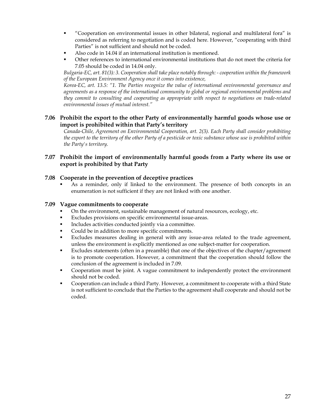- "Cooperation on environmental issues in other bilateral, regional and multilateral fora" is considered as referring to negotiation and is coded here. However, "cooperating with third Parties" is not sufficient and should not be coded.
- Also code in 14.04 if an international institution is mentioned.
- Other references to international environmental institutions that do not meet the criteria for 7.05 should be coded in 14.04 only.

*Bulgaria-EC, art. 81(3): 3. Cooperation shall take place notably through: - cooperation within the framework of the European Environment Agency once it comes into existence,* 

*Korea-EC, art. 13.5: "1. The Parties recognize the value of international environmental governance and agreements as a response of the international community to global or regional environmental problems and they commit to consulting and cooperating as appropriate with respect to negotiations on trade-related environmental issues of mutual interest."* 

**7.06 Prohibit the export to the other Party of environmentally harmful goods whose use or import is prohibited within that Party's territory** 

*Canada-Chile, Agreement on Environmental Cooperation, art. 2(3). Each Party shall consider prohibiting the export to the territory of the other Party of a pesticide or toxic substance whose use is prohibited within the Party's territory.* 

# **7.07 Prohibit the import of environmentally harmful goods from a Party where its use or export is prohibited by that Party**

# **7.08 Cooperate in the prevention of deceptive practices**

 As a reminder, only if linked to the environment. The presence of both concepts in an enumeration is not sufficient if they are not linked with one another.

#### **7.09 Vague commitments to cooperate**

- On the environment, sustainable management of natural resources, ecology, etc.
- Excludes provisions on specific environmental issue-areas.
- Includes activities conducted jointly via a committee.
- Could be in addition to more specific commitments.
- Excludes measures dealing in general with any issue-area related to the trade agreement, unless the environment is explicitly mentioned as one subject-matter for cooperation.
- Excludes statements (often in a preamble) that one of the objectives of the chapter/agreement is to promote cooperation. However, a commitment that the cooperation should follow the conclusion of the agreement is included in 7.09.
- Cooperation must be joint. A vague commitment to independently protect the environment should not be coded.
- Cooperation can include a third Party. However, a commitment to cooperate with a third State is not sufficient to conclude that the Parties to the agreement shall cooperate and should not be coded.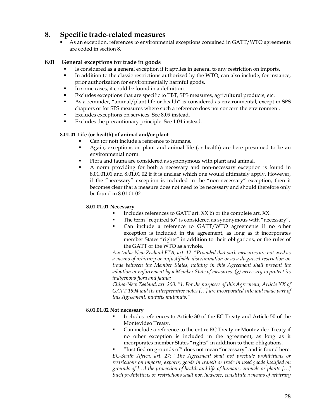# **8. Specific trade-related measures**

 As an exception, references to environmental exceptions contained in GATT/WTO agreements are coded in section 8.

# **8.01 General exceptions for trade in goods**

- Is considered as a general exception if it applies in general to any restriction on imports.
- In addition to the classic restrictions authorized by the WTO, can also include, for instance, prior authorization for environmentally harmful goods.
- In some cases, it could be found in a definition.
- Excludes exceptions that are specific to TBT, SPS measures, agricultural products, etc.
- As a reminder, "animal/plant life or health" is considered as environmental, except in SPS chapters or for SPS measures where such a reference does not concern the environment.
- Excludes exceptions on services. See 8.09 instead.
- Excludes the precautionary principle. See 1.04 instead.

# **8.01.01 Life (or health) of animal and/or plant**

- Can (or not) include a reference to humans.
- Again, exceptions on plant and animal life (or health) are here presumed to be an environmental norm.
- Flora and fauna are considered as synonymous with plant and animal.
- A norm providing for both a necessary and non-necessary exception is found in 8.01.01.01 and 8.01.01.02 if it is unclear which one would ultimately apply. However, if the "necessary" exception is included in the "non-necessary" exception, then it becomes clear that a measure does not need to be necessary and should therefore only be found in 8.01.01.02.

#### **8.01.01.01 Necessary**

- Includes references to GATT art. XX b) or the complete art. XX.
- The term "required to" is considered as synonymous with "necessary".
- Can include a reference to GATT/WTO agreements if no other exception is included in the agreement, as long as it incorporates member States "rights" in addition to their obligations, or the rules of the GATT or the WTO as a whole.

*Australia-New Zealand FTA, art. 12: "Provided that such measures are not used as a means of arbitrary or unjustifiable discrimination or as a disguised restriction on trade between the Member States, nothing in this Agreement shall prevent the adoption or enforcement by a Member State of measures: (g) necessary to protect its indigenous flora and fauna;"* 

*China-New Zealand, art. 200: "1. For the purposes of this Agreement, Article XX of GATT 1994 and its interpretative notes […] are incorporated into and made part of this Agreement, mutatis mutandis."* 

# **8.01.01.02 Not necessary**

- Includes references to Article 30 of the EC Treaty and Article 50 of the Montevideo Treaty.
- Can include a reference to the entire EC Treaty or Montevideo Treaty if no other exception is included in the agreement, as long as it incorporates member States "rights" in addition to their obligations.
- "Justified on grounds of" does not mean "necessary" and is found here. *EC-South Africa, art. 27: "The Agreement shall not preclude prohibitions or restrictions on imports, exports, goods in transit or trade in used goods justified on grounds of […] the protection of health and life of humans, animals or plants […] Such prohibitions or restrictions shall not, however, constitute a means of arbitrary*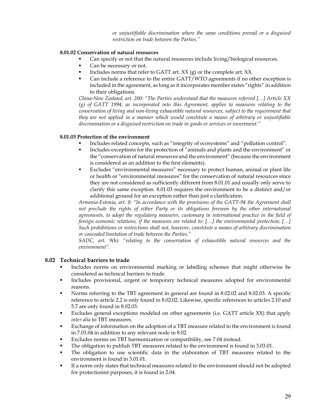*or unjustifiable discrimination where the same conditions prevail or a disguised restriction on trade between the Parties."* 

## **8.01.02 Conservation of natural resources**

- Can specify or not that the natural resources include living/biological resources.
- Can be necessary or not.
- Includes norms that refer to GATT art.  $XX$  (g) or the complete art.  $XX$ .
- Can include a reference to the entire GATT/WTO agreements if no other exception is included in the agreement, as long as it incorporates member states "rights" in addition to their obligations.

*China-New Zealand, art. 200: "The Parties understand that the measures referred […] Article XX (g) of GATT 1994, as incorporated into this Agreement, applies to measures relating to the conservation of living and non-living exhaustible natural resources, subject to the requirement that they are not applied in a manner which would constitute a means of arbitrary or unjustifiable discrimination or a disguised restriction on trade in goods or services or investment."* 

#### **8.01.03 Protection of the environment**

- Includes related concepts, such as "integrity of ecosystems" and "pollution control".
- Includes exceptions for the protection of "animals and plants and the environment" or the "conservation of natural resources and the environment" (because the environment is considered as an addition to the first elements).
- Excludes "environmental measures" necessary to protect human, animal or plant life or health or "environmental measures" for the conservation of natural resources since they are not considered as sufficiently different from 8.01.01 and usually only serve to clarify this same exception. 8.01.03 requires the environment to be a distinct and/or additional ground for an exception rather than just a clarification.

*Armenia-Estonia, art. 8: "In accordance with the provisions of the GATT-94 the Agreement shall not preclude the rights of either Party or its obligations foreseen by the other international agreements, to adopt the regulatory measures, customary in international practice in the field of foreign economic relations, if the measures are related to: […] the environmental protection; […] Such prohibitions or restrictions shall not, however, constitute a means of arbitrary discrimination or concealed limitation of trade between the Parties."* 

*SADC, art. 9(h): "relating to the conservation of exhaustible natural resources and the environment".* 

# **8.02 Technical barriers to trade**

- Includes norms on environmental marking or labelling schemes that might otherwise be considered as technical barriers to trade.
- **Includes provisional, urgent or temporary technical measures adopted for environmental** reasons.
- Norms referring to the TBT agreement in general are found in 8.02.02 and 8.02.03. A specific reference to article 2.2 is only found in 8.02.02. Likewise, specific references to articles 2.10 and 5.7 are only found in 8.02.03.
- Excludes general exceptions modeled on other agreements (i.e. GATT article XX) that apply *inter alia* to TBT measures.
- Exchange of information on the adoption of a TBT measure related to the environment is found in 7.03.04 in addition to any relevant node in 8.02.
- Excludes norms on TBT harmonization or compatibility, see 7.04 instead.
- The obligation to publish TBT measures related to the environment is found in 3.03.01.
- The obligation to use scientific data in the elaboration of TBT measures related to the environment is found in 3.01.01.
- If a norm only states that technical measures related to the environment should not be adopted for protectionist purposes, it is found in 2.04.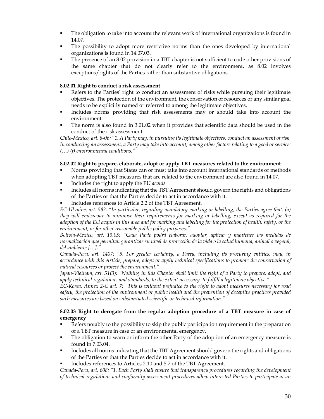- The obligation to take into account the relevant work of international organizations is found in 14.07.
- The possibility to adopt more restrictive norms than the ones developed by international organizations is found in 14.07.03.
- The presence of an 8.02 provision in a TBT chapter is not sufficient to code other provisions of the same chapter that do not clearly refer to the environment, as 8.02 involves exceptions/rights of the Parties rather than substantive obligations.

# **8.02.01 Right to conduct a risk assessment**

- Refers to the Parties' right to conduct an assessment of risks while pursuing their legitimate objectives. The protection of the environment, the conservation of resources or any similar goal needs to be explicitly named or referred to among the legitimate objectives.
- Includes norms providing that risk assessments may or should take into account the environment.
- The norm is also found in 3.01.02 when it provides that scientific data should be used in the conduct of the risk assessment.

*Chile-Mexico, art. 8-06: "1. A Party may, in pursuing its legitimate objectives, conduct an assessment of risk. In conducting an assessment, a Party may take into account, among other factors relating to a good or service: (…) (f) environmental conditions."* 

#### **8.02.02 Right to prepare, elaborate, adopt or apply TBT measures related to the environment**

- Norms providing that States can or must take into account international standards or methods when adopting TBT measures that are related to the environment are also found in 14.07.
- Includes the right to apply the EU *acquis.*
- Includes all norms indicating that the TBT Agreement should govern the rights and obligations of the Parties or that the Parties decide to act in accordance with it.
- Includes references to Article 2.2 of the TBT Agreement.

*EC-Ukraine, art. 582: "In particular, regarding mandatory marking or labelling, the Parties agree that: (a) they will endeavour to minimise their requirements for marking or labelling, except as required for the adoption of the EU acquis in this area and for marking and labelling for the protection of health, safety, or the environment, or for other reasonable public policy purposes;"* 

*Bolivia-Mexico, art. 13.05: "Cada Parte podrá elaborar, adoptar, aplicar y mantener las medidas de normalización que permitan garantizar su nivel de protección de la vida o la salud humana, animal o vegetal, del ambiente […]."* 

*Canada-Peru, art. 1407: "5. For greater certainty, a Party, including its procuring entities, may, in accordance with this Article, prepare, adopt or apply technical specifications to promote the conservation of natural resources or protect the environment."* 

*Japan-Vietnam, art. 51(3): "Nothing in this Chapter shall limit the right of a Party to prepare, adopt, and apply technical regulations and standards, to the extent necessary, to fulfill a legitimate objective."* 

*EC-Korea, Annex 2-C art. 7: "This is without prejudice to the right to adopt measures necessary for road safety, the protection of the environment or public health and the prevention of deceptive practices provided such measures are based on substantiated scientific or technical information."* 

#### **8.02.03 Right to derogate from the regular adoption procedure of a TBT measure in case of emergency**

- Refers notably to the possibility to skip the public participation requirement in the preparation of a TBT measure in case of an environmental emergency.
- The obligation to warn or inform the other Party of the adoption of an emergency measure is found in 7.03.04.
- Includes all norms indicating that the TBT Agreement should govern the rights and obligations of the Parties or that the Parties decide to act in accordance with it.
- Includes references to Articles 2.10 and 5.7 of the TBT Agreement.

*Canada-Peru, art. 608: "1. Each Party shall ensure that transparency procedures regarding the development of technical regulations and conformity assessment procedures allow interested Parties to participate at an*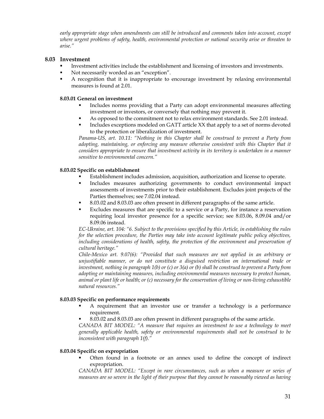*early appropriate stage when amendments can still be introduced and comments taken into account, except where urgent problems of safety, health, environmental protection or national security arise or threaten to arise."* 

#### **8.03 Investment**

- Investment activities include the establishment and licensing of investors and investments.
- Not necessarily worded as an "exception".
- A recognition that it is inappropriate to encourage investment by relaxing environmental measures is found at 2.01.

#### **8.03.01 General on investment**

- Includes norms providing that a Party can adopt environmental measures affecting investment or investors, or conversely that nothing may prevent it.
- As opposed to the commitment not to relax environment standards. See 2.01 instead.
- **Includes exceptions modeled on GATT article XX that apply to a set of norms devoted** to the protection or liberalization of investment.

*Panama-US, art. 10.11: "Nothing in this Chapter shall be construed to prevent a Party from adopting, maintaining, or enforcing any measure otherwise consistent with this Chapter that it considers appropriate to ensure that investment activity in its territory is undertaken in a manner sensitive to environmental concern."* 

#### **8.03.02 Specific on establishment**

- Establishment includes admission, acquisition, authorization and license to operate.
- Includes measures authorizing governments to conduct environmental impact assessments of investments prior to their establishment. Excludes joint projects of the Parties themselves; see 7.02.04 instead.
- 8.03.02 and 8.03.03 are often present in different paragraphs of the same article.
- Excludes measures that are specific to a service or a Party, for instance a reservation requiring local investor presence for a specific service; see 8.03.06, 8.09.04 and/or 8.09.06 instead.

*EC-Ukraine, art. 104: "6. Subject to the provisions specified by this Article, in establishing the rules for the selection procedure, the Parties may take into account legitimate public policy objectives, including considerations of health, safety, the protection of the environment and preservation of cultural heritage."* 

*Chile-Mexico art. 9.07(6): "Provided that such measures are not applied in an arbitrary or unjustifiable manner, or do not constitute a disguised restriction on international trade or investment, nothing in paragraph 1(b) or (c) or 3(a) or (b) shall be construed to prevent a Party from adopting or maintaining measures, including environmental measures necessary to protect human, animal or plant life or health; or (c) necessary for the conservation of living or non-living exhaustible natural resources."* 

# **8.03.03 Specific on performance requirements**

- A requirement that an investor use or transfer a technology is a performance requirement.
- 8.03.02 and 8.03.03 are often present in different paragraphs of the same article.

*CANADA BIT MODEL: "A measure that requires an investment to use a technology to meet generally applicable health, safety or environmental requirements shall not be construed to be inconsistent with paragraph 1(f)."* 

#### **8.03.04 Specific on expropriation**

 Often found in a footnote or an annex used to define the concept of indirect expropriation.

*CANADA BIT MODEL: "Except in rare circumstances, such as when a measure or series of measures are so severe in the light of their purpose that they cannot be reasonably viewed as having*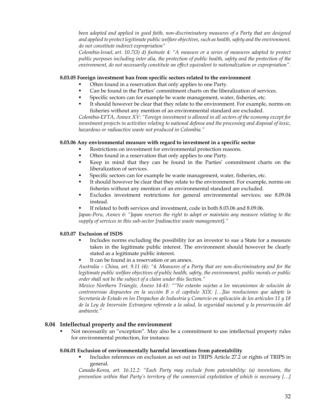*been adopted and applied in good faith, non-discriminatory measures of a Party that are designed and applied to protect legitimate public welfare objectives, such as health, safety and the environment, do not constitute indirect expropriation"* 

*Colombia-Israel, art. 10.7(3) d) footnote 4: "A measure or a series of measures adopted to protect public purposes including inter alia, the protection of public health, safety and the protection of the environment, do not necessarily constitute an effect equivalent to nationalization or expropriation".* 

#### **8.03.05 Foreign investment ban from specific sectors related to the environment**

- Often found in a reservation that only applies to one Party.
- Can be found in the Parties' commitment charts on the liberalization of services.
- Specific sectors can for example be waste management, water, fisheries, etc.
- It should however be clear that they relate to the environment. For example, norms on fisheries without any mention of an environmental standard are excluded.

*Colombia-EFTA, Annex XV: "Foreign investment is allowed in all sectors of the economy except for investment projects in activities relating to national defense and the processing and disposal of toxic, hazardous or radioactive waste not produced in Colombia."* 

#### **8.03.06 Any environmental measure with regard to investment in a specific sector**

- Restrictions on investment for environmental protection reasons.
- Often found in a reservation that only applies to one Party.
- Keep in mind that they can be found in the Parties' commitment charts on the liberalization of services.
- Specific sectors can for example be waste management, water, fisheries, etc.
- It should however be clear that they relate to the environment. For example, norms on fisheries without any mention of an environmental standard are excluded.
- Excludes investment restrictions for general environmental services; see 8.09.04 instead.
- If related to both services and investment, code in both 8.03.06 and 8.09.06.

*Japan-Peru, Annex 6: "Japan reserves the right to adopt or maintain any measure relating to the supply of services in this sub-sector [radioactive waste management]."* 

## **8.03.07 Exclusion of ISDS**

- Includes norms excluding the possibility for an investor to sue a State for a measure taken in the legitimate public interest. The environment should however be clearly stated as a legitimate public interest.
- It can be found in a reservation or an annex.

*Australia – China, art. 9.11 (4): "4. Measures of a Party that are non-discriminatory and for the legitimate public welfare objectives of public health, safety, the environment, public morals or public order shall not be the subject of a claim under this Section."* 

*Mexico Northern Triangle, Anexo 14-41: ""No estarán sujetas a los mecanismos de solución de controversias dispuestos en la sección B o el capítulo XIX: […]las resoluciones que adopte la Secretaría de Estado en los Despachos de Industria y Comercio en aplicación de los artículos 11 y 18 de la Ley de Inversión Extranjera referente a la salud, la seguridad nacional y la preservación del ambiente."* 

#### **8.04 Intellectual property and the environment**

 Not necessarily an "exception". May also be a commitment to use intellectual property rules for environmental protection, for instance.

#### **8.04.01 Exclusion of environmentally harmful inventions from patentability**

 Includes references on exclusion as set out in TRIPS Article 27.2 or rights of TRIPS in general.

*Canada-Korea, art. 16.12.2: "Each Party may exclude from patentability: (a) inventions, the prevention within that Party's territory of the commercial exploitation of which is necessary […]*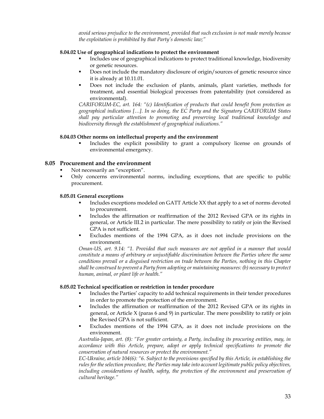*avoid serious prejudice to the environment, provided that such exclusion is not made merely because the exploitation is prohibited by that Party's domestic law;"* 

## **8.04.02 Use of geographical indications to protect the environment**

- Includes use of geographical indications to protect traditional knowledge, biodiversity or genetic resources.
- Does not include the mandatory disclosure of origin/sources of genetic resource since it is already at 10.11.01.
- Does not include the exclusion of plants, animals, plant varieties, methods for treatment, and essential biological processes from patentability (not considered as environmental).

*CARIFORUM-EC, art. 164: "(c) Identification of products that could benefit from protection as geographical indications […]. In so doing, the EC Party and the Signatory CARIFORUM States shall pay particular attention to promoting and preserving local traditional knowledge and biodiversity through the establishment of geographical indications."* 

# **8.04.03 Other norms on intellectual property and the environment**

 Includes the explicit possibility to grant a compulsory license on grounds of environmental emergency.

# **8.05 Procurement and the environment**

- Not necessarily an "exception".
- Only concerns environmental norms, including exceptions, that are specific to public procurement.

#### **8.05.01 General exceptions**

- Includes exceptions modeled on GATT Article XX that apply to a set of norms devoted to procurement.
- Includes the affirmation or reaffirmation of the 2012 Revised GPA or its rights in general, or Article III.2 in particular. The mere possibility to ratify or join the Revised GPA is not sufficient.
- Excludes mentions of the 1994 GPA, as it does not include provisions on the environment.

*Oman-US, art. 9.14: "1. Provided that such measures are not applied in a manner that would constitute a means of arbitrary or unjustifiable discrimination between the Parties where the same conditions prevail or a disguised restriction on trade between the Parties, nothing in this Chapter shall be construed to prevent a Party from adopting or maintaining measures: (b) necessary to protect human, animal, or plant life or health."* 

#### **8.05.02 Technical specification or restriction in tender procedure**

- Includes the Parties' capacity to add technical requirements in their tender procedures in order to promote the protection of the environment.
- Includes the affirmation or reaffirmation of the 2012 Revised GPA or its rights in general, or Article X (paras 6 and 9) in particular. The mere possibility to ratify or join the Revised GPA is not sufficient.
- Excludes mentions of the 1994 GPA, as it does not include provisions on the environment.

*Australia-Japan, art. (8): "For greater certainty, a Party, including its procuring entities, may, in accordance with this Article, prepare, adopt or apply technical specifications to promote the conservation of natural resources or protect the environment."* 

*EC-Ukraine, article 104(6): "6. Subject to the provisions specified by this Article, in establishing the rules for the selection procedure, the Parties may take into account legitimate public policy objectives, including considerations of health, safety, the protection of the environment and preservation of cultural heritage."*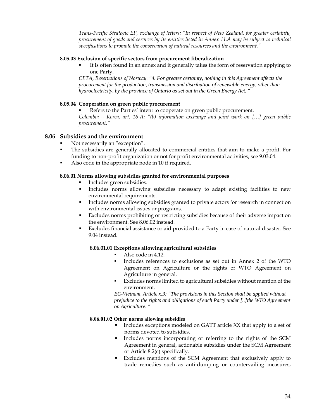*Trans-Pacific Strategic EP, exchange of letters: "In respect of New Zealand, for greater certainty, procurement of goods and services by its entities listed in Annex 11.A may be subject to technical specifications to promote the conservation of natural resources and the environment."* 

#### **8.05.03 Exclusion of specific sectors from procurement liberalization**

 It is often found in an annex and it generally takes the form of reservation applying to one Party.

*CETA, Reservations of Norway*: *"4. For greater certainty, nothing in this Agreement affects the procurement for the production, transmission and distribution of renewable energy, other than hydroelectricity, by the province of Ontario as set out in the Green Energy Act. "*

# **8.05.04 Cooperation on green public procurement**

 Refers to the Parties' intent to cooperate on green public procurement. *Colombia – Korea, art. 16-A: "(b) information exchange and joint work on […] green public procurement."* 

# **8.06 Subsidies and the environment**

- Not necessarily an "exception".
- The subsidies are generally allocated to commercial entities that aim to make a profit. For funding to non-profit organization or not for profit environmental activities, see 9.03.04.
- Also code in the appropriate node in 10 if required.

#### **8.06.01 Norms allowing subsidies granted for environmental purposes**

- Includes green subsidies.
- Includes norms allowing subsidies necessary to adapt existing facilities to new environmental requirements.
- Includes norms allowing subsidies granted to private actors for research in connection with environmental issues or programs.
- Excludes norms prohibiting or restricting subsidies because of their adverse impact on the environment. See 8.06.02 instead.
- Excludes financial assistance or aid provided to a Party in case of natural disaster. See 9.04 instead.

# **8.06.01.01 Exceptions allowing agricultural subsidies**

- Also code in 4.12.
- Includes references to exclusions as set out in Annex 2 of the WTO Agreement on Agriculture or the rights of WTO Agreement on Agriculture in general.
- Excludes norms limited to agricultural subsidies without mention of the environment.

*EC-Vietnam, Article x.3: "The provisions in this Section shall be applied without prejudice to the rights and obligations of each Party under [..]the WTO Agreement on Agriculture. "* 

#### **8.06.01.02 Other norms allowing subsidies**

- Includes exceptions modeled on GATT article XX that apply to a set of norms devoted to subsidies.
- Includes norms incorporating or referring to the rights of the SCM Agreement in general, actionable subsidies under the SCM Agreement or Article 8.2(c) specifically.
- Excludes mentions of the SCM Agreement that exclusively apply to trade remedies such as anti-dumping or countervailing measures,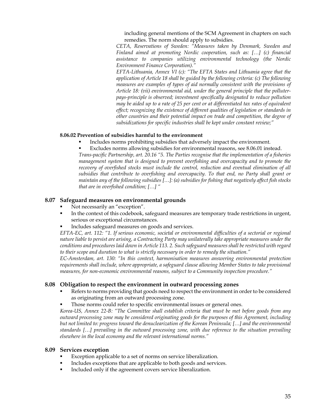including general mentions of the SCM Agreement in chapters on such remedies. The norm should apply to subsidies.

*CETA, Reservations of Sweden: "Measures taken by Denmark, Sweden and Finland aimed at promoting Nordic cooperation, such as: […] (c) financial assistance to companies utilizing environmental technology (the Nordic Environment Finance Corporation)."* 

*EFTA-Lithuania, Annex VI (c): "The EFTA States and Lithuania agree that the application of Article 18 shall be guided by the following criteria: (c) The following measures are examples of types of aid normally consistent with the provisions of Article 18: (vii) environmental aid, under the general principle that the polluterpays-principle is observed; investment specifically designated to reduce pollution may be aided up to a rate of 25 per cent or at differentiated tax rates of equivalent effect; recognizing the existence of different qualities of legislation or standards in other countries and their potential impact on trade and competition, the degree of subsidizations for specific industries shall be kept under constant review;"* 

# **8.06.02 Prevention of subsidies harmful to the environment**

Includes norms prohibiting subsidies that adversely impact the environment.

 Excludes norms allowing subsidies for environmental reasons, see 8.06.01 instead. *Trans-pacific Partnership, art. 20.16 "5. The Parties recognise that the implementation of a fisheries management system that is designed to prevent overfishing and overcapacity and to promote the recovery of overfished stocks must include the control, reduction and eventual elimination of all subsidies that contribute to overfishing and overcapacity. To that end, no Party shall grant or maintain any of the following subsidies […]: (a) subsidies for fishing that negatively affect fish stocks that are in overfished condition; […] "* 

# **8.07 Safeguard measures on environmental grounds**

- Not necessarily an "exception".
- In the context of this codebook, safeguard measures are temporary trade restrictions in urgent, serious or exceptional circumstances.
- Includes safeguard measures on goods and services.

*EFTA-EC, art. 112: "1. If serious economic, societal or environmental difficulties of a sectorial or regional nature liable to persist are arising, a Contracting Party may unilaterally take appropriate measures under the conditions and procedures laid down in Article 113. 2. Such safeguard measures shall be restricted with regard to their scope and duration to what is strictly necessary in order to remedy the situation."* 

*EC-Amsterdam, art. 130: "In this context, harmonisation measures answering environmental protection requirements shall include, where appropriate, a safeguard clause allowing Member States to take provisional measures, for non-economic environmental reasons, subject to a Community inspection procedure."* 

# **8.08 Obligation to respect the environment in outward processing zones**

- Refers to norms providing that goods need to respect the environment in order to be considered as originating from an outward processing zone.
- Those norms could refer to specific environmental issues or general ones.

*Korea-US, Annex 22-B: "The Committee shall establish criteria that must be met before goods from any outward processing zone may be considered originating goods for the purposes of this Agreement, including but not limited to: progress toward the denuclearization of the Korean Peninsula; […] and the environmental standards […] prevailing in the outward processing zone, with due reference to the situation prevailing elsewhere in the local economy and the relevant international norms."* 

## **8.09 Services exception**

- Exception applicable to a set of norms on service liberalization.
- Includes exceptions that are applicable to both goods and services.
- Included only if the agreement covers service liberalization.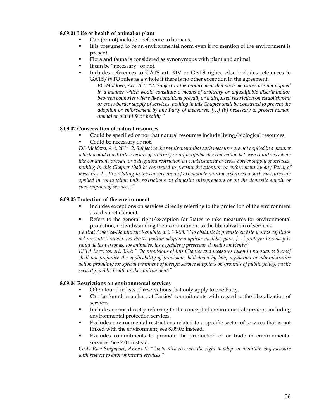## **8.09.01 Life or health of animal or plant**

- Can (or not) include a reference to humans.
- It is presumed to be an environmental norm even if no mention of the environment is present.
- Flora and fauna is considered as synonymous with plant and animal.
- It can be "necessary" or not.
- Includes references to GATS art. XIV or GATS rights. Also includes references to GATS/WTO rules as a whole if there is no other exception in the agreement.

*EC-Moldova, Art. 261: "2. Subject to the requirement that such measures are not applied in a manner which would constitute a means of arbitrary or unjustifiable discrimination between countries where like conditions prevail, or a disguised restriction on establishment or cross-border supply of services, nothing in this Chapter shall be construed to prevent the adoption or enforcement by any Party of measures: […] (b) necessary to protect human, animal or plant life or health; "* 

#### **8.09.02 Conservation of natural resources**

- Could be specified or not that natural resources include living/biological resources.
- Could be necessary or not.

*EC-Moldova, Art. 261: "2. Subject to the requirement that such measures are not applied in a manner which would constitute a means of arbitrary or unjustifiable discrimination between countries where like conditions prevail, or a disguised restriction on establishment or cross-border supply of services, nothing in this Chapter shall be construed to prevent the adoption or enforcement by any Party of measures: […](c) relating to the conservation of exhaustible natural resources if such measures are applied in conjunction with restrictions on domestic entrepreneurs or on the domestic supply or consumption of services; "* 

#### **8.09.03 Protection of the environment**

- Includes exceptions on services directly referring to the protection of the environment as a distinct element.
- Refers to the general right/exception for States to take measures for environmental protection, notwithstanding their commitment to the liberalization of services.

*Central America-Dominican Republic, art. 10-08: "No obstante lo previsto en éste y otros capítulos del presente Tratado, las Partes podrán adoptar o aplicar medidas para: […] proteger la vida y la salud de las personas, los animales, los vegetales y preservar el medio ambiente;"* 

*EFTA Services, art. 33.2: "The provisions of this Chapter and measures taken in pursuance thereof shall not prejudice the applicability of provisions laid down by law, regulation or administrative action providing for special treatment of foreign service suppliers on grounds of public policy, public security, public health or the environment."* 

#### **8.09.04 Restrictions on environmental services**

- Often found in lists of reservations that only apply to one Party.
- Can be found in a chart of Parties' commitments with regard to the liberalization of services.
- Includes norms directly referring to the concept of environmental services, including environmental protection services.
- Excludes environmental restrictions related to a specific sector of services that is not linked with the environment; see 8.09.06 instead.
- Excludes commitments to promote the production of or trade in environmental services. See 7.01 instead.

*Costa Rica-Singapore, Annex II: "Costa Rica reserves the right to adopt or maintain any measure with respect to environmental services."*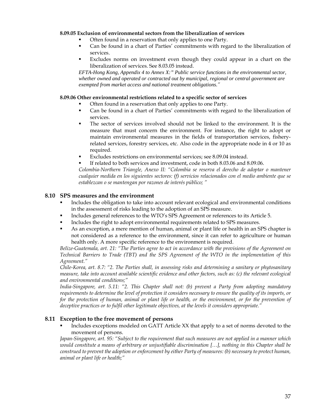# **8.09.05 Exclusion of environmental sectors from the liberalization of services**

- Often found in a reservation that only applies to one Party.
- Can be found in a chart of Parties' commitments with regard to the liberalization of services.
- Excludes norms on investment even though they could appear in a chart on the liberalization of services. See 8.03.05 instead.

*EFTA-Hong Kong, Appendix 4 to Annex X:" Public service functions in the environmental sector, whether owned and operated or contracted out by municipal, regional or central government are exempted from market access and national treatment obligations."* 

# **8.09.06 Other environmental restrictions related to a specific sector of services**

- Often found in a reservation that only applies to one Party.
- Can be found in a chart of Parties' commitments with regard to the liberalization of services.
- The sector of services involved should not be linked to the environment. It is the measure that must concern the environment. For instance, the right to adopt or maintain environmental measures in the fields of transportation services, fisheryrelated services, forestry services, etc. Also code in the appropriate node in 4 or 10 as required.
- Excludes restrictions on environmental services; see 8.09.04 instead.
- If related to both services and investment, code in both 8.03.06 and 8.09.06.

*Colombia-Northern Triangle, Anexo II: "Colombia se reserva el derecho de adoptar o mantener cualquier medida en los siguientes sectores: (f) servicios relacionados con el medio ambiente que se establezcan o se mantengan por razones de interés público; "* 

# **8.10 SPS measures and the environment**

- Includes the obligation to take into account relevant ecological and environmental conditions in the assessment of risks leading to the adoption of an SPS measure.
- Includes general references to the WTO's SPS Agreement or references to its Article 5.
- Includes the right to adopt environmental requirements related to SPS measures.
- As an exception, a mere mention of human, animal or plant life or health in an SPS chapter is not considered as a reference to the environment, since it can refer to agriculture or human health only. A more specific reference to the environment is required.

*Belize-Guatemala, art. 21: "The Parties agree to act in accordance with the provisions of the Agreement on Technical Barriers to Trade (TBT) and the SPS Agreement of the WTO in the implementation of this Agreement."* 

*Chile-Korea, art. 8.7: "2. The Parties shall, in assessing risks and determining a sanitary or phytosanitary measure, take into account available scientific evidence and other factors, such as: (c) the relevant ecological and environmental conditions;"* 

*India-Singapore, art. 5.11: "2. This Chapter shall not: (b) prevent a Party from adopting mandatory requirements to determine the level of protection it considers necessary to ensure the quality of its imports, or for the protection of human, animal or plant life or health, or the environment, or for the prevention of deceptive practices or to fulfil other legitimate objectives, at the levels it considers appropriate."* 

# **8.11 Exception to the free movement of persons**

 Includes exceptions modeled on GATT Article XX that apply to a set of norms devoted to the movement of persons.

*Japan-Singapore, art. 95: "Subject to the requirement that such measures are not applied in a manner which would constitute a means of arbitrary or unjustifiable discrimination […], nothing in this Chapter shall be construed to prevent the adoption or enforcement by either Party of measures: (b) necessary to protect human, animal or plant life or health;"*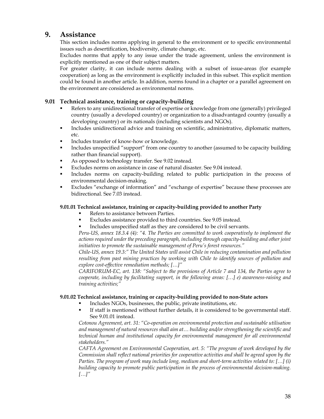# **9. Assistance**

This section includes norms applying in general to the environment or to specific environmental issues such as desertification, biodiversity, climate change, etc.

Excludes norms that apply to any issue under the trade agreement, unless the environment is explicitly mentioned as one of their subject matters.

For greater clarity, it can include norms dealing with a subset of issue-areas (for example cooperation) as long as the environment is explicitly included in this subset. This explicit mention could be found in another article. In addition, norms found in a chapter or a parallel agreement on the environment are considered as environmental norms.

# **9.01 Technical assistance, training or capacity-building**

- Refers to any unidirectional transfer of expertise or knowledge from one (generally) privileged country (usually a developed country) or organization to a disadvantaged country (usually a developing country) or its nationals (including scientists and NGOs).
- Includes unidirectional advice and training on scientific, administrative, diplomatic matters, etc.
- Includes transfer of know-how or knowledge.
- Includes unspecified "support" from one country to another (assumed to be capacity building rather than financial support).
- As opposed to technology transfer. See 9.02 instead.
- Excludes norms on assistance in case of natural disaster. See 9.04 instead.
- Includes norms on capacity-building related to public participation in the process of environmental decision-making.
- Excludes "exchange of information" and "exchange of expertise" because these processes are bidirectional. See 7.03 instead.

# **9.01.01 Technical assistance, training or capacity-building provided to another Party**

- Refers to assistance between Parties.
- Excludes assistance provided to third countries. See 9.05 instead.
- Includes unspecified staff as they are considered to be civil servants.

*Peru-US, annex 18.3.4 (4): "4. The Parties are committed to work cooperatively to implement the actions required under the preceding paragraph, including through capacity-building and other joint initiatives to promote the sustainable management of Peru's forest resources."* 

*Chile-US, annex 19.3:" The United States will assist Chile in reducing contamination and pollution resulting from past mining practices by working with Chile to identify sources of pollution and explore cost-effective remediation methods; […]"* 

*CARIFORUM-EC, art. 138: "Subject to the provisions of Article 7 and 134, the Parties agree to cooperate, including by facilitating support, in the following areas: […] e) awareness-raising and training activities;"* 

# **9.01.02 Technical assistance, training or capacity-building provided to non-State actors**

- Includes NGOs, businesses, the public, private institutions, etc.
- If staff is mentioned without further details, it is considered to be governmental staff. See 9.01.01 instead.

*Cotonou Agreement, art. 31: "Co-operation on environmental protection and sustainable utilisation and management of natural resources shall aim at… building and/or strengthening the scientific and technical human and institutional capacity for environmental management for all environmental stakeholders."* 

*CAFTA Agreement on Environmental Cooperation, art. 5: "The program of work developed by the Commission shall reflect national priorities for cooperative activities and shall be agreed upon by the Parties. The program of work may include long, medium and short-term activities related to: […] (i) building capacity to promote public participation in the process of environmental decision-making. […]"*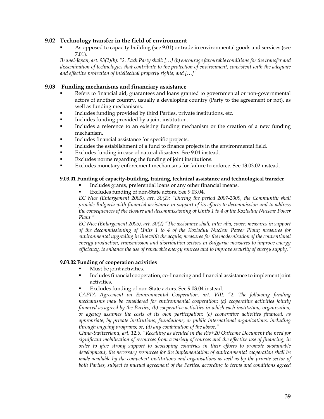# **9.02 Technology transfer in the field of environment**

 As opposed to capacity building (see 9.01) or trade in environmental goods and services (see 7.01).

*Brunei-Japan, art. 93(2)(b): "2. Each Party shall: […] (b) encourage favourable conditions for the transfer and dissemination of technologies that contribute to the protection of environment, consistent with the adequate and effective protection of intellectual property rights; and […]"* 

# **9.03 Funding mechanisms and financiary assistance**

- Refers to financial aid, guarantees and loans granted to governmental or non-governmental actors of another country, usually a developing country (Party to the agreement or not), as well as funding mechanisms.
- Includes funding provided by third Parties, private institutions, etc.
- Includes funding provided by a joint institution.
- Includes a reference to an existing funding mechanism or the creation of a new funding mechanism.
- Includes financial assistance for specific projects.
- Includes the establishment of a fund to finance projects in the environmental field.
- Excludes funding in case of natural disasters. See 9.04 instead.
- Excludes norms regarding the funding of joint institutions.
- Excludes monetary enforcement mechanisms for failure to enforce. See 13.03.02 instead.

# **9.03.01 Funding of capacity-building, training, technical assistance and technological transfer**

- Includes grants, preferential loans or any other financial means.
- Excludes funding of non-State actors. See 9.03.04.

*EC Nice (Enlargement 2005), art. 30(2): "During the period 2007-2009, the Community shall provide Bulgaria with financial assistance in support of its efforts to decommission and to address the consequences of the closure and decommissioning of Units 1 to 4 of the Kozloduy Nuclear Power Plant."* 

*EC Nice (Enlargement 2005), art. 30(2) "The assistance shall, inter alia, cover: measures in support of the decommissioning of Units 1 to 4 of the Kozloduy Nuclear Power Plant; measures for*  environmental upgrading in line with the acquis; measures for the modernisation of the conventional *energy production, transmission and distribution sectors in Bulgaria; measures to improve energy efficiency, to enhance the use of renewable energy sources and to improve security of energy supply."* 

## **9.03.02 Funding of cooperation activities**

- Must be joint activities.
- Includes financial cooperation, co-financing and financial assistance to implement joint activities.
- Excludes funding of non-State actors. See 9.03.04 instead.

*CAFTA Agreement on Environmental Cooperation, art. VIII: "2. The following funding mechanisms may be considered for environmental cooperation: (a) cooperative activities jointly financed as agreed by the Parties; (b) cooperative activities in which each institution, organization, or agency assumes the costs of its own participation; (c) cooperative activities financed, as appropriate, by private institutions, foundations, or public international organizations, including through ongoing programs; or, (d) any combination of the above."* 

*China-Switzerland, art. 12.6: "Recalling as decided in the Rio+20 Outcome Document the need for significant mobilisation of resources from a variety of sources and the effective use of financing, in order to give strong support to developing countries in their efforts to promote sustainable development, the necessary resources for the implementation of environmental cooperation shall be made available by the competent institutions and organisations as well as by the private sector of both Parties, subject to mutual agreement of the Parties, according to terms and conditions agreed*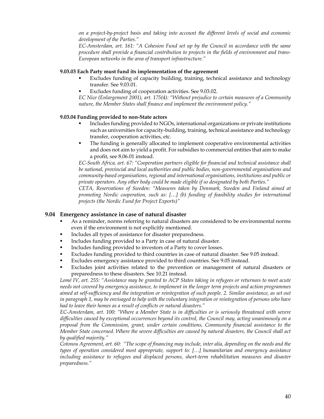*on a project-by-project basis and taking into account the different levels of social and economic development of the Parties."* 

*EC-Amsterdam, art. 161: "A Cohesion Fund set up by the Council in accordance with the same procedure shall provide a financial contribution to projects in the fields of environment and trans-European networks in the area of transport infrastructure."* 

# **9.03.03 Each Party must fund its implementation of the agreement**

- Excludes funding of capacity building, training, technical assistance and technology transfer. See 9.03.01.
- Excludes funding of cooperation activities. See 9.03.02.

*EC Nice (Enlargement 2001), art. 175(4): "Without prejudice to certain measures of a Community nature, the Member States shall finance and implement the environment policy."* 

# **9.03.04 Funding provided to non-State actors**

- Includes funding provided to NGOs, international organizations or private institutions such as universities for capacity-building, training, technical assistance and technology transfer, cooperation activities, etc.
- The funding is generally allocated to implement cooperative environmental activities and does not aim to yield a profit. For subsidies to commercial entities that aim to make a profit, see 8.06.01 instead.

*EC-South Africa, art. 67: "Cooperation partners eligible for financial and technical assistance shall be national, provincial and local authorities and public bodies, non-governmental organisations and community-based organisations, regional and international organisations, institutions and public or private operators. Any other body could be made eligible if so designated by both Parties."* 

*CETA, Reservations of Sweden: "Measures taken by Denmark, Sweden and Finland aimed at promoting Nordic cooperation, such as: […] (b) funding of feasibility studies for international projects (the Nordic Fund for Project Exports)"* 

# **9.04 Emergency assistance in case of natural disaster**

- As a reminder, norms referring to natural disasters are considered to be environmental norms even if the environment is not explicitly mentioned.
- Includes all types of assistance for disaster preparedness.
- **Includes funding provided to a Party in case of natural disaster.**
- Includes funding provided to investors of a Party to cover losses.
- Excludes funding provided to third countries in case of natural disaster. See 9.05 instead.
- Excludes emergency assistance provided to third countries. See 9.05 instead.
- Excludes joint activities related to the prevention or management of natural disasters or preparedness to these disasters. See 10.21 instead.

*Lomé IV, art. 255: "Assistance may be granted to ACP States taking in refugees or returnees to meet acute needs not covered by emergency assistance, to implement in the longer term projects and action programmes aimed at self-sufficiency and the integration or reintegration of such people. 2. Similar assistance, as set out in paragraph 1, may be envisaged to help with the voluntary integration or reintegration of persons who have had to leave their homes as a result of conflicts or natural disasters."* 

*EC-Amsterdam, art. 100: "Where a Member State is in difficulties or is seriously threatened with severe difficulties caused by exceptional occurrences beyond its control, the Council may, acting unanimously on a proposal from the Commission, grant, under certain conditions, Community financial assistance to the Member State concerned. Where the severe difficulties are caused by natural disasters, the Council shall act by qualified majority."* 

*Cotonou Agreement, art. 60: "The scope of financing may include, inter alia, depending on the needs and the types of operation considered most appropriate, support to: […] humanitarian and emergency assistance including assistance to refugees and displaced persons, short-term rehabilitation measures and disaster preparedness."*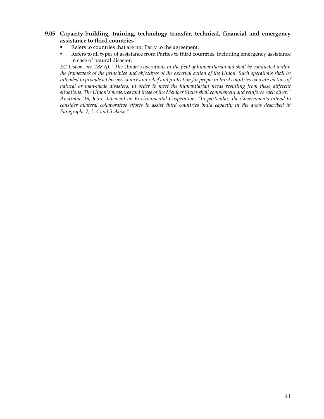# **9.05 Capacity-building, training, technology transfer, technical, financial and emergency assistance to third countries**

- Refers to countries that are not Party to the agreement.
- Refers to all types of assistance from Parties to third countries, including emergency assistance in case of natural disaster.

*EC-Lisbon, art. 188 (j): "The Union's operations in the field of humanitarian aid shall be conducted within the framework of the principles and objectives of the external action of the Union. Such operations shall be intended to provide ad hoc assistance and relief and protection for people in third countries who are victims of natural or man-made disasters, in order to meet the humanitarian needs resulting from these different situations. The Union's measures and those of the Member States shall complement and reinforce each other." Australia-US, Joint statement on Environmental Cooperation: "In particular, the Governments intend to consider bilateral collaborative efforts to assist third countries build capacity in the areas described in Paragraphs 2, 3, 4 and 5 above."*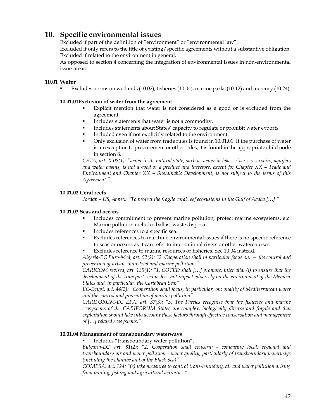# **10. Specific environmental issues**

Excluded if part of the definition of "environment" or "environmental law".

Excluded if only refers to the title of existing/specific agreements without a substantive obligation. Excluded if related to the environment in general.

As opposed to section 4 concerning the integration of environmental issues in non-environmental issue-areas.

# **10.01 Water**

Excludes norms on wetlands (10.02), fisheries (10.04), marine parks (10.12) and mercury (10.24).

# **10.01.01 Exclusion of water from the agreement**

- Explicit mention that water is not considered as a good or is excluded from the agreement.
- Includes statements that water is not a commodity.
- Includes statements about States' capacity to regulate or prohibit water exports.
- Included even if not explicitly related to the environment.
- Only exclusion of water from trade rules is found in 10.01.01. If the purchase of water is an exception to procurement or other rules, it is found in the appropriate child node in section 8.

*CETA, art. X.08(1): "water in its natural state, such as water in lakes, rivers, reservoirs, aquifers and water basins, is not a good or a product and therefore, except for Chapter XX – Trade and Environment and Chapter XX – Sustainable Development, is not subject to the terms of this Agreement."* 

# **10.01.02 Coral reefs**

*Jordan – US, Annex: "To protect the fragile coral reef ecosystems in the Gulf of Aqaba […] "* 

# **10.01.03 Seas and oceans**

- Includes commitment to prevent marine pollution, protect marine ecosystems, etc. Marine pollution includes ballast waste disposal.
- Includes references to a specific sea.
- Excludes references to maritime environmental issues if there is no specific reference to seas or oceans as it can refer to international rivers or other watercourses.
- Excludes reference to marine resources or fisheries. See 10.04 instead.

*Algeria-EC Euro-Med, art. 52(2): "2. Cooperation shall in particular focus on: — the control and prevention of urban, industrial and marine pollution,"* 

*CARICOM revised, art. 135(1): "1. COTED shall […] promote, inter alia: (i) to ensure that the development of the transport sector does not impact adversely on the environment of the Member States and, in particular, the Caribbean Sea;"* 

*EC-Egypt, art. 44(2): "Cooperation shall focus, in particular, on: quality of Mediterranean water and the control and prevention of marine pollution"* 

*CARIFORUM-EC EPA, art. 37(3): "3. The Parties recognise that the fisheries and marine ecosystems of the CARIFORUM States are complex, biologically diverse and fragile and that exploitation should take into account these factors through effective conservation and management of […] related ecosystems."* 

# **10.01.04 Management of transboundary waterways**

Includes "transboundary water pollution".

*Bulgaria-EC, art. 81(2): "2. Cooperation shall concern: - combating local, regional and transboundary air and water pollution - water quality, particularly of transboundary waterways (including the Danube and of the Black Sea)"* 

*COMESA, art. 124: "(e) take measures to control trans-boundary, air and water pollution arising from mining, fishing and agricultural activities."*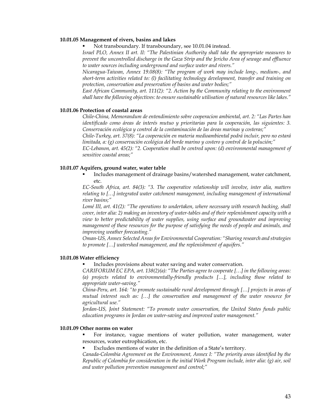#### **10.01.05 Management of rivers, basins and lakes**

Not transboundary. If transboundary, see 10.01.04 instead.

*Israel PLO, Annex II art. II: "The Palestinian Authority shall take the appropriate measures to prevent the uncontrolled discharge in the Gaza Strip and the Jericho Area of sewage and effluence to water sources including underground and surface water and rivers."* 

*Nicaragua-Taiwan, Annex 19.08(8): "The program of work may include long-, medium-, and short-term activities related to: (l) facilitating technology development, transfer and training on protection, conservation and preservation of basins and water bodies;"* 

*East African Community, art. 111(2): "2. Action by the Community relating to the environment shall have the following objectives: to ensure sustainable utilisation of natural resources like lakes."* 

## **10.01.06 Protection of coastal areas**

*Chile-China, Memorandum de entendimiento sobre cooperacion ambiental, art. 2: "Las Partes han identificado como áreas de interés mutuo y prioritarias para la cooperación, las siguientes: 3. Conservación ecológica y control de la contaminación de las áreas marinas y costeras;"* 

*Chile-Turkey, art. 37(8): "La cooperación en materia medioambiental podrá incluir, pero no estará limitada, a: (g) conservación ecológica del borde marino y costero y control de la polución;"* 

*EC-Lebanon, art. 45(2): "2. Cooperation shall be centred upon: (d) environmental management of sensitive coastal areas;"* 

#### **10.01.07 Aquifers, ground water, water table**

 Includes management of drainage basins/watershed management, water catchment, etc.

*EC-South Africa, art. 84(3): "3. The cooperative relationship will involve, inter alia, matters relating to […] integrated water catchment management, including management of international river basins;"* 

*Lomé III, art. 41(2): "The operations to undertaken, where necessary with research backing, shall cover, inter alia: 2) making an inventory of water-tables and of their replenishment capacity with a view to better predictability of water supplies, using surface and groundwater and improving management of these resources for the purpose of satisfying the needs of people and animals, and improving weather forecasting."* 

*Oman-US, Annex Selected Areas for Environmental Cooperation: "Sharing research and strategies to promote […] watershed management, and the replenishment of aquifers."* 

#### **10.01.08 Water efficiency**

Includes provisions about water saving and water conservation.

*CARIFORUM EC EPA, art. 138(2)(a): "The Parties agree to cooperate […] in the following areas: (a) projects related to environmentally-friendly products […], including those related to appropriate water-saving."* 

*China-Peru, art. 164: "to promote sustainable rural development through […] projects in areas of mutual interest such as: […] the conservation and management of the water resource for agricultural use."* 

*Jordan-US, Joint Statement: "To promote water conservation, the United States funds public education programs in Jordan on water-saving and improved water management."* 

### **10.01.09 Other norms on water**

 For instance, vague mentions of water pollution, water management, water resources, water eutrophication, etc.

Excludes mentions of water in the definition of a State's territory.

*Canada-Colombia Agreement on the Environment, Annex I: "The priority areas identified by the Republic of Colombia for consideration in the initial Work Program include, inter alia: (g) air, soil and water pollution prevention management and control;"*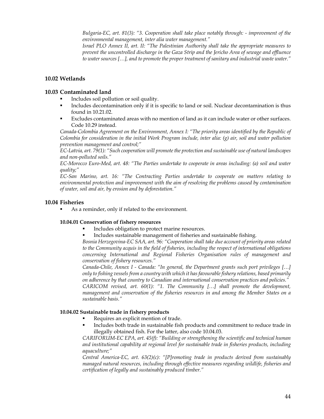*Bulgaria-EC, art. 81(3): "3. Cooperation shall take place notably through: - improvement of the environmental management, inter alia water management."* 

*Israel PLO Annex II, art. II: "The Palestinian Authority shall take the appropriate measures to prevent the uncontrolled discharge in the Gaza Strip and the Jericho Area of sewage and effluence to water sources […], and to promote the proper treatment of sanitary and industrial waste water."* 

# **10.02 Wetlands**

# **10.03 Contaminated land**

- Includes soil pollution or soil quality.
- Includes decontamination only if it is specific to land or soil. Nuclear decontamination is thus found in 10.21.02.
- Excludes contaminated areas with no mention of land as it can include water or other surfaces. Code 10.29 instead.

*Canada-Colombia Agreement on the Environment, Annex I: "The priority areas identified by the Republic of Colombia for consideration in the initial Work Program include, inter alia: (g) air, soil and water pollution prevention management and control;"* 

*EC-Latvia, art. 79(1): "Such cooperation will promote the protection and sustainable use of natural landscapes and non-polluted soils."* 

*EC-Morocco Euro-Med, art. 48: "The Parties undertake to cooperate in areas including: (a) soil and water quality;"* 

*EC-San Marino, art. 16: "The Contracting Parties undertake to cooperate on matters relating to environmental protection and improvement with the aim of resolving the problems caused by contamination of water, soil and air, by erosion and by deforestation."*

# **10.04 Fisheries**

As a reminder, only if related to the environment.

# **10.04.01 Conservation of fishery resources**

- Includes obligation to protect marine resources.
- Includes sustainable management of fisheries and sustainable fishing.

*Bosnia Herzegovina-EC SAA, art. 96: "Cooperation shall take due account of priority areas related to the Community acquis in the field of fisheries, including the respect of international obligations concerning International and Regional Fisheries Organisation rules of management and conservation of fishery resources."* 

*Canada-Chile, Annex I - Canada: "In general, the Department grants such port privileges […] only to fishing vessels from a country with which it has favourable fishery relations, based primarily on adherence by that country to Canadian and international conservation practices and policies."* 

*CARICOM revised, art. 60(1): "1. The Community […] shall promote the development, management and conservation of the fisheries resources in and among the Member States on a sustainable basis."* 

# **10.04.02 Sustainable trade in fishery products**

- Requires an explicit mention of trade.
- Includes both trade in sustainable fish products and commitment to reduce trade in illegally obtained fish. For the latter, also code 10.04.03.

*CARIFORUM-EC EPA, art. 45(f): "Building or strengthening the scientific and technical human and institutional capability at regional level for sustainable trade in fisheries products, including aquaculture;"* 

*Central America-EC, art. 63(2)(c): "[P]romoting trade in products derived from sustainably managed natural resources, including through effective measures regarding wildlife, fisheries and certification of legally and sustainably produced timber."*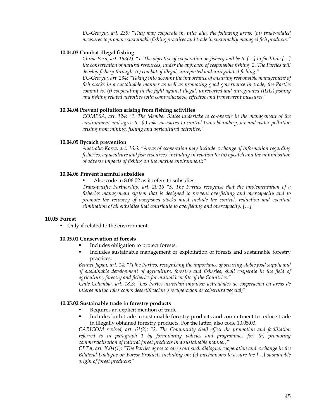*EC-Georgia, art. 239: "They may cooperate in, inter alia, the following areas: (m) trade-related measures to promote sustainable fishing practices and trade in sustainably managed fish products."* 

## **10.04.03 Combat illegal fishing**

*China-Peru, art. 163(2): "1. The objective of cooperation on fishery will be to […] to facilitate […] the conservation of natural resources, under the approach of responsible fishing. 2. The Parties will develop fishery through: (c) combat of illegal, unreported and unregulated fishing."* 

*EC-Georgia, art. 234: "Taking into account the importance of ensuring responsible management of fish stocks in a sustainable manner as well as promoting good governance in trade, the Parties commit to: (f) cooperating in the fight against illegal, unreported and unregulated (IUU) fishing and fishing related activities with comprehensive, effective and transparent measures."* 

### **10.04.04 Prevent pollution arising from fishing activities**

*COMESA, art. 124: "1. The Member States undertake to co-operate in the management of the environment and agree to: (e) take measures to control trans-boundary, air and water pollution arising from mining, fishing and agricultural activities."* 

#### **10.04.05 Bycatch prevention**

*Australia-Korea, art. 16.6: "Areas of cooperation may include exchange of information regarding fisheries, aquaculture and fish resources, including in relation to: (a) bycatch and the minimisation of adverse impacts of fishing on the marine environment;"* 

# **10.04.06 Prevent harmful subsidies**

Also code in 8.06.02 as it refers to subsidies.

*Trans-pacific Partnership, art. 20.16 "5. The Parties recognise that the implementation of a fisheries management system that is designed to prevent overfishing and overcapacity and to promote the recovery of overfished stocks must include the control, reduction and eventual elimination of all subsidies that contribute to overfishing and overcapacity. […] "* 

## **10.05 Forest**

• Only if related to the environment.

# **10.05.01 Conservation of forests**

- Includes obligation to protect forests.
- Includes sustainable management or exploitation of forests and sustainable forestry practices.

*Brunei-Japan, art. 14: "[T]he Parties, recognising the importance of securing stable food supply and of sustainable development of agriculture, forestry and fisheries, shall cooperate in the field of agriculture, forestry and fisheries for mutual benefits of the Countries."* 

*Chile-Colombia, art. 18.3: "Las Partes acuerdan impulsar actividades de cooperacion en areas de interes mutuo tales como: desertificacion y recuperacion de cobertura vegetal;"* 

#### **10.05.02 Sustainable trade in forestry products**

- Requires an explicit mention of trade.
- Includes both trade in sustainable forestry products and commitment to reduce trade in illegally obtained forestry products. For the latter, also code 10.05.03.

*CARICOM revised, art. 61(2): "2. The Community shall effect the promotion and facilitation referred to in paragraph 1 by formulating policies and programmes for: (h) promoting commercialisation of natural forest products in a sustainable manner;"* 

*CETA, art. X.04(1): "The Parties agree to carry out such dialogue, cooperation and exchange in the Bilateral Dialogue on Forest Products including on: (c) mechanisms to assure the […] sustainable origin of forest products;"*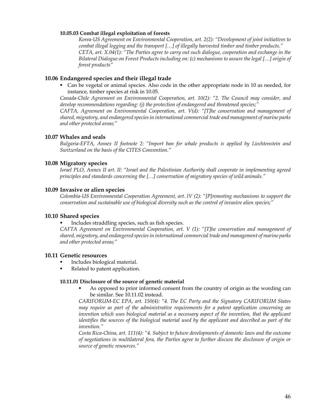#### **10.05.03 Combat illegal exploitation of forests**

*Korea-US Agreement on Environmental Cooperation, art. 2(2): "Development of joint initiatives to combat illegal logging and the transport […] of illegally harvested timber and timber products." CETA, art. X.04(1): "The Parties agree to carry out such dialogue, cooperation and exchange in the Bilateral Dialogue on Forest Products including on: (c) mechanisms to assure the legal […] origin of forest products"* 

# **10.06 Endangered species and their illegal trade**

 Can be vegetal or animal species. Also code in the other appropriate node in 10 as needed, for instance, timber species at risk in 10.05.

*Canada-Chile Agreement on Environmental Cooperation, art. 10(2): "2. The Council may consider, and develop recommendations regarding: (j) the protection of endangered and threatened species;"* 

*CAFTA, Agreement on Environmental Cooperation, art. V(d): "[T]he conservation and management of shared, migratory, and endangered species in international commercial trade and management of marine parks and other protected areas;"* 

# **10.07 Whales and seals**

*Bulgaria-EFTA, Annex II footnote 2: "Import ban for whale products is applied by Liechtenstein and Switzerland on the basis of the CITES Convention."* 

# **10.08 Migratory species**

*Israel PLO, Annex II art. II: "Israel and the Palestinian Authority shall cooperate in implementing agreed principles and standards concerning the […] conservation of migratory species of wild animals."* 

## **10.09 Invasive or alien species**

*Colombia-US Environmental Cooperation Agreement, art. IV (2): "[P]romoting mechanisms to support the conservation and sustainable use of biological diversity such as the control of invasive alien species;"* 

## **10.10 Shared species**

Includes straddling species, such as fish species.

*CAFTA Agreement on Environmental Cooperation, art. V (1): "[T]he conservation and management of shared, migratory, and endangered species in international commercial trade and management of marine parks and other protected areas;"* 

## **10.11 Genetic resources**

- Includes biological material.
- Related to patent application.

## **10.11.01 Disclosure of the source of genetic material**

 As opposed to prior informed consent from the country of origin as the wording can be similar. See 10.11.02 instead.

*CARIFORUM-EC EPA, art. 150(4): "4. The EC Party and the Signatory CARIFORUM States may require as part of the administrative requirements for a patent application concerning an invention which uses biological material as a necessary aspect of the invention, that the applicant identifies the sources of the biological material used by the applicant and described as part of the invention."* 

*Costa Rica-China, art. 111(4): "4. Subject to future developments of domestic laws and the outcome of negotiations in multilateral fora, the Parties agree to further discuss the disclosure of origin or source of genetic resources."*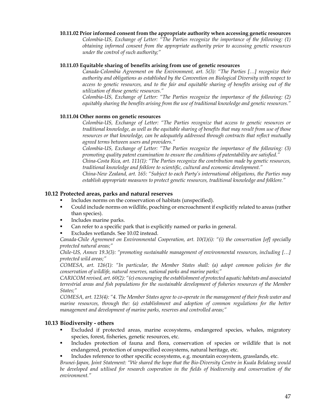## **10.11.02 Prior informed consent from the appropriate authority when accessing genetic resources**

*Colombia-US, Exchange of Letter: "The Parties recognize the importance of the following: (1) obtaining informed consent from the appropriate authority prior to accessing genetic resources under the control of such authority;"* 

### **10.11.03 Equitable sharing of benefits arising from use of genetic resources**

*Canada-Colombia Agreement on the Environment, art. 5(3): "The Parties […] recognize their authority and obligations as established by the Convention on Biological Diversity with respect to access to genetic resources, and to the fair and equitable sharing of benefits arising out of the utilization of those genetic resources."* 

*Colombia-US, Exchange of Letter: "The Parties recognize the importance of the following: (2) equitably sharing the benefits arising from the use of traditional knowledge and genetic resources."* 

# **10.11.04 Other norms on genetic resources**

*Colombia-US, Exchange of Letter: "The Parties recognize that access to genetic resources or traditional knowledge, as well as the equitable sharing of benefits that may result from use of those resources or that knowledge, can be adequately addressed through contracts that reflect mutually agreed terms between users and providers."* 

*Colombia-US, Exchange of Letter: "The Parties recognize the importance of the following: (3) promoting quality patent examination to ensure the conditions of patentability are satisfied." China-Costa Rica, art. 111(1): "The Parties recognize the contribution made by genetic resources, traditional knowledge and folklore to scientific, cultural and economic development."* 

*China-New Zealand, art. 165: "Subject to each Party's international obligations, the Parties may establish appropriate measures to protect genetic resources, traditional knowledge and folklore."* 

#### **10.12 Protected areas, parks and natural reserves**

- Includes norms on the conservation of habitats (unspecified).
- Could include norms on wildlife, poaching or encroachment if explicitly related to areas (rather than species).
- Includes marine parks.
- Can refer to a specific park that is explicitly named or parks in general.
- Excludes wetlands. See 10.02 instead.

*Canada-Chile Agreement on Environmental Cooperation, art. 10(1)(i): "(i) the conservation [of] specially protected natural areas;"* 

*Chile-US, Annex 19.3(3): "promoting sustainable management of environmental resources, including […] protected wild areas;"* 

*COMESA, art. 126(1): "In particular, the Member States shall: (a) adopt common policies for the conservation of wildlife, natural reserves, national parks and marine parks;"* 

*CARICOM revised, art. 60(2): "(e) encouraging the establishment of protected aquatic habitats and associated terrestrial areas and fish populations for the sustainable development of fisheries resources of the Member States;"* 

*COMESA, art. 123(4): "4. The Member States agree to co-operate in the management of their fresh water and marine resources, through the: (a) establishment and adoption of common regulations for the better management and development of marine parks, reserves and controlled areas;"* 

## **10.13 Biodiversity - others**

- Excluded if protected areas, marine ecosystems, endangered species, whales, migratory species, forest, fisheries, genetic resources, etc.
- Includes protection of fauna and flora, conservation of species or wildlife that is not endangered, protection of unspecified ecosystems, natural heritage, etc.
- Includes reference to other specific ecosystems, e.g. mountain ecosystem, grasslands, etc.

*Brunei-Japan, Joint Statement: "We shared the hope that the Bio-Diversity Centre in Kuala Belalong would be developed and utilised for research cooperation in the fields of biodiversity and conservation of the environment."*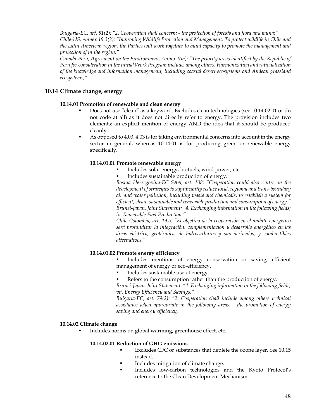*Bulgaria-EC, art. 81(2): "2. Cooperation shall concern: - the protection of forests and flora and fauna;" Chile-US, Annex 19.3(2): "Improving Wildlife Protection and Management. To protect wildlife in Chile and the Latin American region, the Parties will work together to build capacity to promote the management and protection of in the region."* 

*Canada-Peru, Agreement on the Environment, Annex I(m): "The priority areas identified by the Republic of Peru for consideration in the initial Work Program include, among others: Harmonization and rationalization of the knowledge and information management, including coastal desert ecosystems and Andean grassland ecosystems;"* 

# **10.14 Climate change, energy**

# **10.14.01 Promotion of renewable and clean energy**

- Does not use "clean" as a keyword. Excludes clean technologies (see 10.14.02.01 or do not code at all) as it does not directly refer to energy. The provision includes two elements: an explicit mention of energy AND the idea that it should be produced cleanly.
- As opposed to 4.03. 4.03 is for taking environmental concerns into account in the energy sector in general, whereas 10.14.01 is for producing green or renewable energy specifically.

# **10.14.01.01 Promote renewable energy**

- Includes solar energy, biofuels, wind power, etc.
- Includes sustainable production of energy.

*Bosnia Herzegovina-EC SAA, art. 108: "Cooperation could also centre on the development of strategies to significantly reduce local, regional and trans-boundary air and water pollution, including waste and chemicals, to establish a system for efficient, clean, sustainable and renewable production and consumption of energy," Brunei-Japan, Joint Statement: "4. Exchanging information in the following fields; iv. Renewable Fuel Production."* 

*Chile-Colombia, art. 19.5: "El objetivo de la cooperación en el ámbito energético será profundizar la integración, complementación y desarrollo energético en las áreas eléctrica, geotérmica, de hidrocarburos y sus derivados, y combustibles alternativos."* 

## **10.14.01.02 Promote energy efficiency**

 Includes mentions of energy conservation or saving, efficient management of energy or eco-efficiency.

- Includes sustainable use of energy.
- Refers to the consumption rather than the production of energy.

*Brunei-Japan, Joint Statement: "4. Exchanging information in the following fields; vii. Energy Efficiency and Savings."* 

*Bulgaria-EC, art. 79(2): "2. Cooperation shall include among others technical assistance when appropriate in the following areas: - the promotion of energy saving and energy efficiency,"* 

## **10.14.02 Climate change**

Includes norms on global warming, greenhouse effect, etc.

# **10.14.02.01 Reduction of GHG emissions**

- Excludes CFC or substances that deplete the ozone layer. See 10.15 instead.
- Includes mitigation of climate change.
- Includes low-carbon technologies and the Kyoto Protocol's reference to the Clean Development Mechanism.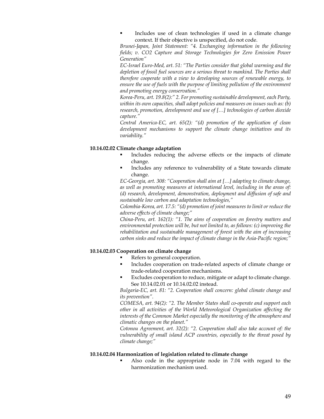Includes use of clean technologies if used in a climate change context. If their objective is unspecified, do not code.

*Brunei-Japan, Joint Statement: "4. Exchanging information in the following fields; v. CO2 Capture and Storage Technologies for Zero Emission Power Generation"* 

*EC-Israel Euro-Med, art. 51: "The Parties consider that global warming and the*  depletion of fossil fuel sources are a serious threat to mankind. The Parties shall *therefore cooperate with a view to developing sources of renewable energy, to ensure the use of fuels with the purpose of limiting pollution of the environment and promoting energy conservation."* 

*Korea-Peru, art. 19.8(2):" 2. For promoting sustainable development, each Party, within its own capacities, shall adopt policies and measures on issues such as: (b) research, promotion, development and use of […] technologies of carbon dioxide capture."* 

*Central America-EC, art. 65(2): "(d) promotion of the application of clean development mechanisms to support the climate change initiatives and its variability."* 

# **10.14.02.02 Climate change adaptation**

- Includes reducing the adverse effects or the impacts of climate change.
- Includes any reference to vulnerability of a State towards climate change.

*EC-Georgia, art. 308: "Cooperation shall aim at […] adapting to climate change, as well as promoting measures at international level, including in the areas of: (d) research, development, demonstration, deployment and diffusion of safe and sustainable low carbon and adaptation technologies,"* 

*Colombia-Korea, art. 17.5: "(d) promotion of joint measures to limit or reduce the adverse effects of climate change;"* 

*China-Peru, art. 162(1): "1. The aims of cooperation on forestry matters and environmental protection will be, but not limited to, as follows: (c) improving the rehabilitation and sustainable management of forest with the aim of increasing carbon sinks and reduce the impact of climate change in the Asia-Pacific region;"* 

#### **10.14.02.03 Cooperation on climate change**

- Refers to general cooperation.
- Includes cooperation on trade-related aspects of climate change or trade-related cooperation mechanisms.
- Excludes cooperation to reduce, mitigate or adapt to climate change. See 10.14.02.01 or 10.14.02.02 instead.

*Bulgaria-EC, art. 81: "2. Cooperation shall concern: global climate change and its prevention".* 

*COMESA, art. 94(2): "2. The Member States shall co-operate and support each other in all activities of the World Meteorological Organization affecting the interests of the Common Market especially the monitoring of the atmosphere and climatic changes on the planet."* 

*Cotonou Agreement, art. 32(2): "2. Cooperation shall also take account of: the vulnerability of small island ACP countries, especially to the threat posed by climate change;"* 

#### **10.14.02.04 Harmonization of legislation related to climate change**

 Also code in the appropriate node in 7.04 with regard to the harmonization mechanism used.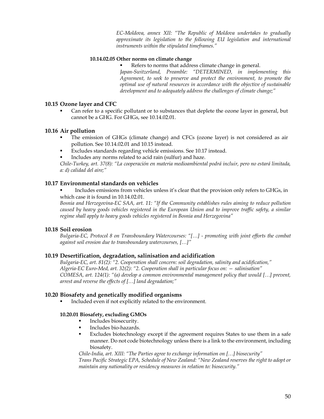*EC-Moldova, annex XII: "The Republic of Moldova undertakes to gradually approximate its legislation to the following EU legislation and international instruments within the stipulated timeframes."* 

## **10.14.02.05 Other norms on climate change**

Refers to norms that address climate change in general.

*Japan-Switzerland, Preamble: "DETERMINED, in implementing this Agreement, to seek to preserve and protect the environment, to promote the optimal use of natural resources in accordance with the objective of sustainable development and to adequately address the challenges of climate change;"* 

# **10.15 Ozone layer and CFC**

 Can refer to a specific pollutant or to substances that deplete the ozone layer in general, but cannot be a GHG. For GHGs, see 10.14.02.01.

# **10.16 Air pollution**

- The emission of GHGs (climate change) and CFCs (ozone layer) is not considered as air pollution. See 10.14.02.01 and 10.15 instead.
- Excludes standards regarding vehicle emissions. See 10.17 instead.
- Includes any norms related to acid rain (sulfur) and haze.

*Chile-Turkey, art. 37(8): "La cooperación en materia medioambiental podrá incluir, pero no estará limitada, a: d) calidad del aire;"* 

# **10.17 Environmental standards on vehicles**

 Includes emissions from vehicles unless it's clear that the provision only refers to GHGs, in which case it is found in 10.14.02.01.

*Bosnia and Herzegovina-EC SAA, art. 11: "If the Community establishes rules aiming to reduce pollution caused by heavy goods vehicles registered in the European Union and to improve traffic safety, a similar regime shall apply to heavy goods vehicles registered in Bosnia and Herzegovina"* 

# **10.18 Soil erosion**

*Bulgaria-EC, Protocol 8 on Transboundary Watercourses: "[…] - promoting with joint efforts the combat against soil erosion due to transboundary watercourses, […]"* 

# **10.19 Desertification, degradation, salinisation and acidification**

*Bulgaria-EC, art. 81(2): "2. Cooperation shall concern: soil degradation, salinity and acidification," Algeria-EC Euro-Med, art. 32(2): "2. Cooperation shall in particular focus on: — salinisation" COMESA, art. 124(1): "(a) develop a common environmental management policy that would […] prevent, arrest and reverse the effects of […] land degradation;"* 

## **10.20 Biosafety and genetically modified organisms**

Included even if not explicitly related to the environment.

# **10.20.01 Biosafety, excluding GMOs**

- Includes biosecurity.
- **Includes bio-hazards.**
- Excludes biotechnology except if the agreement requires States to use them in a safe manner. Do not code biotechnology unless there is a link to the environment, including biosafety.

*Chile-India, art. XIII: "The Parties agree to exchange information on […] biosecurity" Trans Pacific Strategic EPA, Schedule of New Zealand: "New Zealand reserves the right to adopt or maintain any nationality or residency measures in relation to: biosecurity."*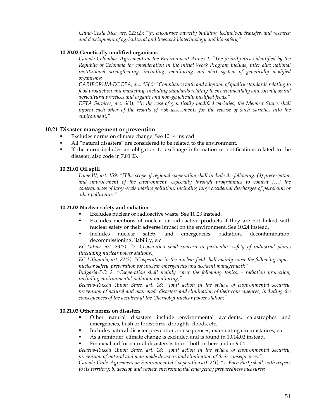*China-Costa Rica, art. 123(2): "(h) encourage capacity building, technology transfer, and research and development of agricultural and livestock biotechnology and bio-safety;"* 

# **10.20.02 Genetically modified organisms**

*Canada-Colombia, Agreement on the Environment Annex I: "The priority areas identified by the Republic of Colombia for consideration in the initial Work Program include, inter alia: national institutional strengthening, including: monitoring and alert system of genetically modified organisms;"* 

*CARIFORUM-EC EPA, art. 45(c): "Compliance with and adoption of quality standards relating to food production and marketing, including standards relating to environmentally and socially sound agricultural practices and organic and non-genetically modified foods;"* 

*EFTA Services, art. 6(3): "In the case of genetically modified varieties, the Member States shall inform each other of the results of risk assessments for the release of such varieties into the environment."* 

# **10.21 Disaster management or prevention**

- Excludes norms on climate change. See 10.14 instead.
- All "natural disasters" are considered to be related to the environment.
- If the norm includes an obligation to exchange information or notifications related to the disaster, also code in 7.03.03.

# **10.21.01 Oil spill**

*Lomé IV, art. 159: "[T]he scope of regional cooperation shall include the following: (d) preservation and improvement of the environment, especially through programmes to combat […] the consequences of large-scale marine pollution, including large accidental discharges of petroleum or other pollutants."* 

## **10.21.02 Nuclear safety and radiation**

- Excludes nuclear or radioactive waste. See 10.23 instead.
- Excludes mentions of nuclear or radioactive products if they are not linked with nuclear safety or their adverse impact on the environment. See 10.24 instead.
- Includes nuclear safety and emergencies, radiation, decontamination, decommissioning, liability, etc.

*EC-Latvia, art. 83(2): "2. Cooperation shall concern in particular: safety of industrial plants (including nuclear power stations),"* 

*EC-Lithuania, art. 82(2): "Cooperation in the nuclear field shall mainly cover the following topics: nuclear safety, preparation for nuclear emergencies and accident management;"*

*Bulgaria-EC: 2. "Cooperation shall mainly cover the following topics: - radiation protection, including environmental radiation monitoring,"* 

*Belarus-Russia Union State, art. 18: "Joint action in the sphere of environmental security, prevention of natural and man-made disasters and elimination of their consequences, including the consequences of the accident at the Chernobyl nuclear power station;"* 

# **10.21.03 Other norms on disasters**

- Other natural disasters include environmental accidents, catastrophes and emergencies, bush or forest fires, droughts, floods, etc.
- Includes natural disaster prevention, consequences, extenuating circumstances, etc.
- As a reminder, climate change is excluded and is found in 10.14.02 instead.
- Financial aid for natural disasters is found both in here and in 9.04.

*Belarus-Russia Union State, art. 18: "Joint action in the sphere of environmental security, prevention of natural and man-made disasters and elimination of their consequences."* 

*Canada-Chile, Agreement on Environmental Cooperation art. 2(1): "1. Each Party shall, with respect to its territory: b. develop and review environmental emergency preparedness measures;"*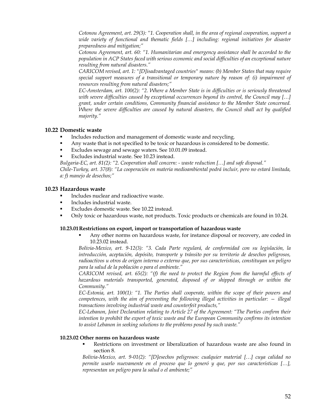*Cotonou Agreement, art. 29(3): "1. Cooperation shall, in the area of regional cooperation, support a wide variety of functional and thematic fields […] including: regional initiatives for disaster preparedness and mitigation;"* 

*Cotonou Agreement, art. 60: "1. Humanitarian and emergency assistance shall be accorded to the population in ACP States faced with serious economic and social difficulties of an exceptional nature resulting from natural disasters."* 

*CARICOM revised, art. 1: "[D]isadvantaged countries" means: (b) Member States that may require special support measures of a transitional or temporary nature by reason of: (i) impairment of resources resulting from natural disasters;"* 

*EC-Amsterdam, art. 100(2): "2. Where a Member State is in difficulties or is seriously threatened with severe difficulties caused by exceptional occurrences beyond its control, the Council may […] grant, under certain conditions, Community financial assistance to the Member State concerned. Where the severe difficulties are caused by natural disasters, the Council shall act by qualified majority."* 

# **10.22 Domestic waste**

- Includes reduction and management of domestic waste and recycling.
- Any waste that is not specified to be toxic or hazardous is considered to be domestic.
- Excludes sewage and sewage waters. See 10.01.09 instead.
- Excludes industrial waste. See 10.23 instead.

*Bulgaria-EC, art. 81(2): "2. Cooperation shall concern: - waste reduction […] and safe disposal."* 

*Chile-Turkey, art. 37(8): "La cooperación en materia medioambiental podrá incluir, pero no estará limitada, a: f) manejo de desechos;"* 

# **10.23 Hazardous waste**

- Includes nuclear and radioactive waste.
- Includes industrial waste.
- **Excludes domestic waste. See 10.22 instead.**
- Only toxic or hazardous waste, not products. Toxic products or chemicals are found in 10.24.

## **10.23.01Restrictions on export, import or transportation of hazardous waste**

 Any other norms on hazardous waste, for instance disposal or recovery, are coded in 10.23.02 instead.

*Bolivia-Mexico, art. 9-12(3): "3. Cada Parte regulará, de conformidad con su legislación, la introducción, aceptación, depósito, transporte y tránsito por su territorio de desechos peligrosos, radioactivos u otros de origen interno o externo que, por sus características, constituyan un peligro para la salud de la población o para el ambiente."* 

*CARICOM revised, art. 65(2): "(f) the need to protect the Region from the harmful effects of hazardous materials transported, generated, disposed of or shipped through or within the Community."* 

*EC-Estonia, art. 100(1): "1. The Parties shall cooperate, within the scope of their powers and competences, with the aim of preventing the following illegal activities in particular: — illegal transactions involving industrial waste and counterfeit products,"* 

*EC-Lebanon, Joint Declaration relating to Article 27 of the Agreement: "The Parties confirm their intention to prohibit the export of toxic waste and the European Community confirms its intention to assist Lebanon in seeking solutions to the problems posed by such waste."* 

# **10.23.02 Other norms on hazardous waste**

 Restrictions on investment or liberalization of hazardous waste are also found in section 8.

*Bolivia-Mexico, art. 9-01(2): "[D]esechos peligrosos: cualquier material […] cuya calidad no permite usarlo nuevamente en el proceso que lo generó y que, por sus características […], representan un peligro para la salud o el ambiente;"*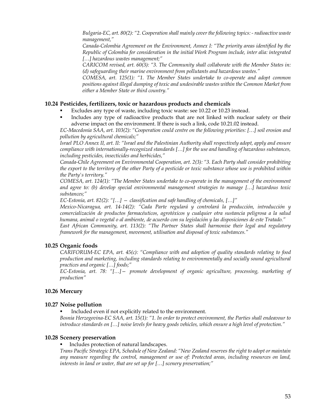*Bulgaria-EC, art. 80(2): "2. Cooperation shall mainly cover the following topics: - radioactive waste management,"* 

*Canada-Colombia Agreement on the Environment, Annex I: "The priority areas identified by the Republic of Colombia for consideration in the initial Work Program include, inter alia: integrated […] hazardous wastes management;"* 

*CARICOM revised, art. 60(3): "3. The Community shall collaborate with the Member States in: (d) safeguarding their marine environment from pollutants and hazardous wastes."* 

*COMESA, art. 125(1): "1. The Member States undertake to co-operate and adopt common positions against illegal dumping of toxic and undesirable wastes within the Common Market from either a Member State or third country."* 

# **10.24 Pesticides, fertilizers, toxic or hazardous products and chemicals**

- Excludes any type of waste, including toxic waste: see 10.22 or 10.23 instead.
- Includes any type of radioactive products that are not linked with nuclear safety or their adverse impact on the environment. If there is such a link, code 10.21.02 instead.

*EC-Macedonia SAA, art. 103(2): "Cooperation could centre on the following priorities: […] soil erosion and pollution by agricultural chemicals;"* 

*Israel PLO Annex II, art. II: "Israel and the Palestinian Authority shall respectively adopt, apply and ensure compliance with internationally-recognized standards […] for the use and handling of hazardous substances, including pesticides, insecticides and herbicides,"*

*Canada-Chile Agreement on Environmental Cooperation, art. 2(3): "3. Each Party shall consider prohibiting the export to the territory of the other Party of a pesticide or toxic substance whose use is prohibited within the Party's territory."* 

*COMESA, art. 124(1): "The Member States undertake to co-operate in the management of the environment and agree to: (b) develop special environmental management strategies to manage […] hazardous toxic substances;"* 

*EC-Estonia, art. 82(2): "[…] — classification and safe handling of chemicals, […]"* 

*Mexico-Nicaragua, art. 14-14(2): "Cada Parte regulará y controlará la producción, introducción y comercialización de productos farmacéuticos, agrotóxicos y cualquier otra sustancia peligrosa a la salud humana, animal o vegetal o al ambiente, de acuerdo con su legislación y las disposiciones de este Tratado."* 

*East African Community, art. 113(2): "The Partner States shall harmonise their legal and regulatory framework for the management, movement, utilisation and disposal of toxic substances."* 

# **10.25 Organic foods**

*CARIFORUM-EC EPA, art. 45(c): "Compliance with and adoption of quality standards relating to food production and marketing, including standards relating to environmentally and socially sound agricultural practices and organic […] foods;"* 

*EC-Estonia, art. 78: "[…]— promote development of organic agriculture, processing, marketing of production"* 

# **10.26 Mercury**

## **10.27 Noise pollution**

Included even if not explicitly related to the environment.

*Bosnia Herzegovina-EC SAA, art. 15(1): "1. In order to protect environment, the Parties shall endeavour to introduce standards on […] noise levels for heavy goods vehicles, which ensure a high level of protection."* 

## **10.28 Scenery preservation**

#### Includes protection of natural landscapes.

*Trans Pacific Strategic EPA, Schedule of New Zealand: "New Zealand reserves the right to adopt or maintain any measure regarding the control, management or use of: Protected areas, including resources on land, interests in land or water, that are set up for […] scenery preservation;"*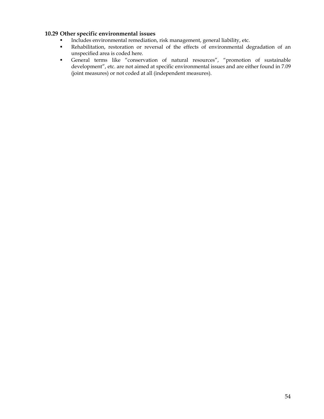# **10.29 Other specific environmental issues**

- Includes environmental remediation, risk management, general liability, etc.<br>Rehabilitation, restoration or reversal of the effects of environmental de
- Rehabilitation, restoration or reversal of the effects of environmental degradation of an unspecified area is coded here.
- General terms like "conservation of natural resources", "promotion of sustainable development", etc. are not aimed at specific environmental issues and are either found in 7.09 (joint measures) or not coded at all (independent measures).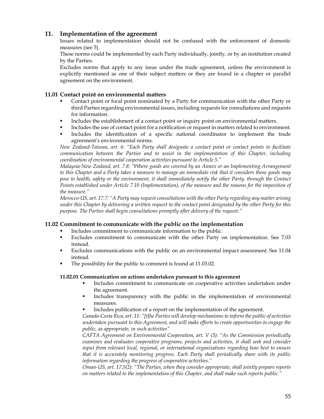# **11. Implementation of the agreement**

Issues related to implementation should not be confused with the enforcement of domestic measures (see 5).

These norms could be implemented by each Party individually, jointly, or by an institution created by the Parties.

Excludes norms that apply to any issue under the trade agreement, unless the environment is explicitly mentioned as one of their subject matters or they are found in a chapter or parallel agreement on the environment.

# **11.01 Contact point on environmental matters**

- Contact point or focal point nominated by a Party for communication with the other Party or third Parties regarding environmental issues, including requests for consultations and requests for information.
- Includes the establishment of a contact point or inquiry point on environmental matters.
- Includes the use of contact point for a notification or request in matters related to environment. Includes the identification of a specific national coordinator to implement the trade
- agreement's environmental norms. *New Zealand-Taiwan, art. 6: "Each Party shall designate a contact point or contact points to facilitate*

*communication between the Parties and to assist in the implementation of this Chapter, including coordination of environmental cooperation activities pursuant to Article 5."* 

*Malaysia-New Zealand, art. 7.8: "Where goods are covered by an Annex or an Implementing Arrangement to this Chapter and a Party takes a measure to manage an immediate risk that it considers those goods may pose to health, safety or the environment, it shall immediately notify the other Party, through the Contact Points established under Article 7.10 (Implementation), of the measure and the reasons for the imposition of the measure."* 

*Morocco-US, art. 17.7: "A Party may request consultations with the other Party regarding any matter arising under this Chapter by delivering a written request to the contact point designated by the other Party for this purpose. The Parties shall begin consultations promptly after delivery of the request."* 

# **11.02 Commitment to communicate with the public on the implementation**

- Includes commitment to communicate information to the public.
- Excludes commitment to communicate with the other Party on implementation. See 7.03 instead.
- Excludes communications with the public on an environmental impact assessment. See 11.04 instead.
- The possibility for the public to comment is found at 11.03.02.

# **11.02.01 Communication on actions undertaken pursuant to this agreement**

- Includes commitment to communicate on cooperative activities undertaken under the agreement.
- Includes transparency with the public in the implementation of environmental measures.
- Includes publication of a report on the implementation of the agreement.

*Canada-Costa Rica, art. 11: "[t]he Parties will develop mechanisms to inform the public of activities undertaken pursuant to this Agreement, and will make efforts to create opportunities to engage the public, as appropriate, in such activities"* 

*CAFTA Agreement on Environmental Cooperation, art. V (3): "As the Commission periodically examines and evaluates cooperative programs, projects and activities, it shall seek and consider input from relevant local, regional, or international organizations regarding how best to ensure that it is accurately monitoring progress. Each Party shall periodically share with its public information regarding the progress of cooperative activities."* 

*Oman-US, art. 17.5(2): "The Parties, when they consider appropriate, shall jointly prepare reports on matters related to the implementation of this Chapter, and shall make such reports public."*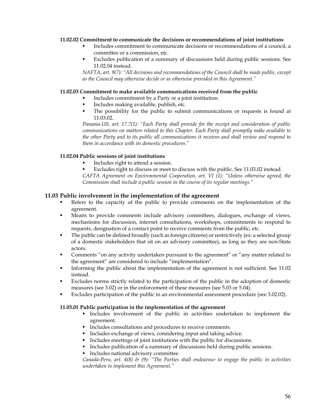## **11.02.02 Commitment to communicate the decisions or recommendations of joint institutions**

- Includes commitment to communicate decisions or recommendations of a council, a committee or a commission, etc.
- Excludes publication of a summary of discussions held during public sessions. See 11.02.04 instead.

*NAFTA, art. 9(7): "All decisions and recommendations of the Council shall be made public, except as the Council may otherwise decide or as otherwise provided in this Agreement."* 

## **11.02.03 Commitment to make available communications received from the public**

- Includes commitment by a Party or a joint institution.
- Includes making available, publish, etc.
- The possibility for the public to submit communications or requests is found at 11.03.02.

*Panama-US, art. 17.7(1): "Each Party shall provide for the receipt and consideration of public communications on matters related to this Chapter. Each Party shall promptly make available to the other Party and to its public all communications it receives and shall review and respond to them in accordance with its domestic procedures."* 

## **11.02.04 Public sessions of joint institutions**

- Includes right to attend a session.
- Excludes right to discuss or meet to discuss with the public. See 11.03.02 instead.

*CAFTA Agreement on Environmental Cooperation, art. VI (1): "Unless otherwise agreed, the Commission shall include a public session in the course of its regular meetings."* 

#### **11.03 Public involvement in the implementation of the agreement**

- Refers to the capacity of the public to provide comments on the implementation of the agreement.
- Means to provide comments include advisory committees, dialogues, exchange of views, mechanisms for discussion, internet consultations, workshops, commitments to respond to requests, designation of a contact point to receive comments from the public, etc.
- The public can be defined broadly (such as foreign citizens) or restrictively (ex: a selected group of a domestic stakeholders that sit on an advisory committee), as long as they are non-State actors.
- Comments "on any activity undertaken pursuant to the agreement" or "any matter related to the agreement" are considered to include "implementation".
- Informing the public about the implementation of the agreement is not sufficient. See 11.02 instead.
- Excludes norms strictly related to the participation of the public in the adoption of domestic measures (see 3.02) or in the enforcement of these measures (see 5.03 or 5.04).
- Excludes participation of the public in an environmental assessment procedure (see 3.02.02).

#### **11.03.01 Public participation in the implementation of the agreement**

- Includes involvement of the public in activities undertaken to implement the agreement.
- Includes consultations and procedures to receive comments.
- Includes exchange of views, considering input and taking advice.
- Includes meetings of joint institutions with the public for discussions.
- Includes publication of a summary of discussions held during public sessions.
- Includes national advisory committee.

*Canada-Peru, art. 4(8) & (9): "The Parties shall endeavour to engage the public in activities undertaken to implement this Agreement."*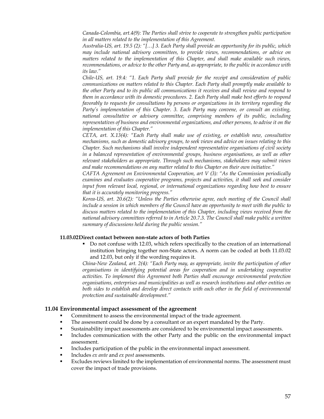*Canada-Colombia, art.4(9): The Parties shall strive to cooperate to strengthen public participation in all matters related to the implementation of this Agreement.* 

*Australia-US, art. 19.5 (2): "[…] 3. Each Party shall provide an opportunity for its public, which may include national advisory committees, to provide views, recommendations, or advice on matters related to the implementation of this Chapter, and shall make available such views, recommendations, or advice to the other Party and, as appropriate, to the public in accordance with its law."* 

*Chile-US, art. 19.4: "1. Each Party shall provide for the receipt and consideration of public communications on matters related to this Chapter. Each Party shall promptly make available to the other Party and to its public all communications it receives and shall review and respond to them in accordance with its domestic procedures. 2. Each Party shall make best efforts to respond favorably to requests for consultations by persons or organizations in its territory regarding the Party's implementation of this Chapter. 3. Each Party may convene, or consult an existing, national consultative or advisory committee, comprising members of its public, including representatives of business and environmental organizations, and other persons, to advise it on the implementation of this Chapter."* 

*CETA, art. X.13(4): "Each Party shall make use of existing, or establish new, consultative mechanisms, such as domestic advisory groups, to seek views and advice on issues relating to this Chapter. Such mechanisms shall involve independent representative organisations of civil society in a balanced representation of environmental groups, business organisations, as well as other relevant stakeholders as appropriate. Through such mechanisms, stakeholders may submit views and make recommendations on any matter related to this Chapter on their own initiative."* 

*CAFTA Agreement on Environmental Cooperation, art V (3): "As the Commission periodically examines and evaluates cooperative programs, projects and activities, it shall seek and consider input from relevant local, regional, or international organizations regarding how best to ensure that it is accurately monitoring progress."* 

*Korea-US, art. 20.6(2): "Unless the Parties otherwise agree, each meeting of the Council shall include a session in which members of the Council have an opportunity to meet with the public to discuss matters related to the implementation of this Chapter, including views received from the national advisory committees referred to in Article 20.7.3. The Council shall make public a written summary of discussions held during the public session."* 

#### **11.03.02Direct contact between non-state actors of both Parties**

 Do not confuse with 12.03, which refers specifically to the creation of an international institution bringing together non-State actors. A norm can be coded at both 11.03.02 and 12.03, but only if the wording requires it.

*China-New Zealand, art. 2(4): "Each Party may, as appropriate, invite the participation of other organisations in identifying potential areas for cooperation and in undertaking cooperative activities. To implement this Agreement both Parties shall encourage environmental protection organisations, enterprises and municipalities as well as research institutions and other entities on both sides to establish and develop direct contacts with each other in the field of environmental protection and sustainable development."* 

# **11.04 Environmental impact assessment of the agreement**

- Commitment to assess the environmental impact of the trade agreement.
- The assessment could be done by a consultant or an expert mandated by the Party.
- Sustainability impact assessments are considered to be environmental impact assessments.
- Includes communication with the other Party and the public on the environmental impact assessment.
- Includes participation of the public in the environmental impact assessment.
- Includes *ex ante* and *ex post* assessments.
- Excludes reviews limited to the implementation of environmental norms. The assessment must cover the impact of trade provisions.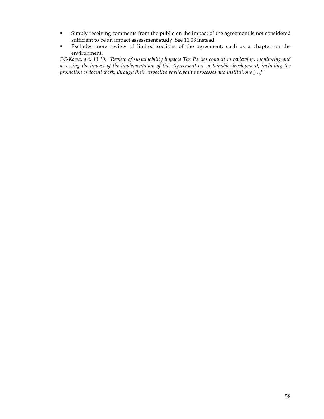- Simply receiving comments from the public on the impact of the agreement is not considered sufficient to be an impact assessment study. See 11.03 instead.
- Excludes mere review of limited sections of the agreement, such as a chapter on the environment.

*EC-Korea, art. 13.10: "Review of sustainability impacts The Parties commit to reviewing, monitoring and assessing the impact of the implementation of this Agreement on sustainable development, including the promotion of decent work, through their respective participative processes and institutions […]"*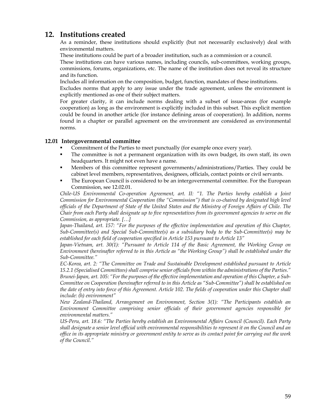# **12. Institutions created**

As a reminder, these institutions should explicitly (but not necessarily exclusively) deal with environmental matters.

These institutions could be part of a broader institution, such as a commission or a council.

These institutions can have various names, including councils, sub-committees, working groups, commissions, forums, organizations, etc. The name of the institution does not reveal its structure and its function.

Includes all information on the composition, budget, function, mandates of these institutions.

Excludes norms that apply to any issue under the trade agreement, unless the environment is explicitly mentioned as one of their subject matters.

For greater clarity, it can include norms dealing with a subset of issue-areas (for example cooperation) as long as the environment is explicitly included in this subset. This explicit mention could be found in another article (for instance defining areas of cooperation). In addition, norms found in a chapter or parallel agreement on the environment are considered as environmental norms.

# **12.01 Intergovernmental committee**

- Commitment of the Parties to meet punctually (for example once every year).
- The committee is not a permanent organization with its own budget, its own staff, its own headquarters. It might not even have a name.
- Members of this committee represent governments/administrations/Parties. They could be cabinet level members, representatives, designees, officials, contact points or civil servants.
- The European Council is considered to be an intergovernmental committee. For the European Commission, see 12.02.01.

*Chile-US Environmental Co-operation Agreement, art. II: "1. The Parties hereby establish a Joint Commission for Environmental Cooperation (the "Commission") that is co-chaired by designated high level officials of the Department of State of the United States and the Ministry of Foreign Affairs of Chile. The Chair from each Party shall designate up to five representatives from its government agencies to serve on the Commission, as appropriate. […]* 

*Japan-Thailand, art. 157: "For the purposes of the effective implementation and operation of this Chapter, Sub-Committee(s) and Special Sub-Committee(s) as a subsidiary body to the Sub-Committee(s) may be established for each field of cooperation specified in Article 153 pursuant to Article 13"* 

*Japan-Vietnam, art. 30(1): "Pursuant to Article 114 of the Basic Agreement, the Working Group on Environment (hereinafter referred to in this Article as "the Working Group") shall be established under the Sub-Committee."* 

*EC-Korea, art. 2: "The Committee on Trade and Sustainable Development established pursuant to Article 15.2.1 (Specialised Committees) shall comprise senior officials from within the administrations of the Parties." Brunei-Japan, art. 105: "For the purposes of the effective implementation and operation of this Chapter, a Sub-Committee on Cooperation (hereinafter referred to in this Article as "Sub-Committee") shall be established on the date of entry into force of this Agreement. Article 102. The fields of cooperation under this Chapter shall include: (h) environment"* 

*New Zealand-Thailand, Arrangement on Environment, Section 3(1): "The Participants establish an Environment Committee comprising senior officials of their government agencies responsible for environmental matters."* 

*US-Peru, art. 18.6: "The Parties hereby establish an Environmental Affairs Council (Council). Each Party shall designate a senior level official with environmental responsibilities to represent it on the Council and an office in its appropriate ministry or government entity to serve as its contact point for carrying out the work of the Council."*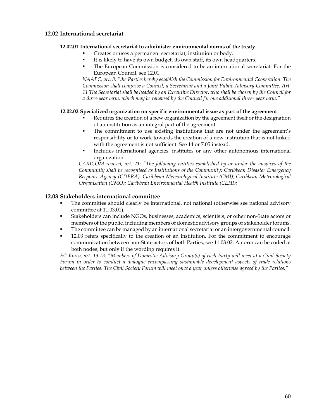# **12.02 International secretariat**

# **12.02.01 International secretariat to administer environmental norms of the treaty**

- Creates or uses a permanent secretariat, institution or body.
- It is likely to have its own budget, its own staff, its own headquarters.
- The European Commission is considered to be an international secretariat. For the European Council, see 12.01.

*NAAEC, art. 8: "the Parties hereby establish the Commission for Environmental Cooperation. The Commission shall comprise a Council, a Secretariat and a Joint Public Advisory Committee. Art. 11 The Secretariat shall be headed by an Executive Director, who shall be chosen by the Council for a three-year term, which may be renewed by the Council for one additional three- year term."* 

# **12.02.02 Specialized organization on specific environmental issue as part of the agreement**

- Requires the creation of a new organization by the agreement itself or the designation of an institution as an integral part of the agreement.
- The commitment to use existing institutions that are not under the agreement's responsibility or to work towards the creation of a new institution that is not linked with the agreement is not sufficient. See 14 or 7.05 instead.
- Includes international agencies, institutes or any other autonomous international organization.

*CARICOM revised, art. 21: "The following entities established by or under the auspices of the Community shall be recognised as Institutions of the Community: Caribbean Disaster Emergency Response Agency (CDERA); Caribbean Meteorological Institute (CMI); Caribbean Meteorological Organisation (CMO); Caribbean Environmental Health Institute (CEHI);"* 

# **12.03 Stakeholders international committee**

- The committee should clearly be international, not national (otherwise see national advisory committee at 11.03.01).
- Stakeholders can include NGOs, businesses, academics, scientists, or other non-State actors or members of the public, including members of domestic advisory groups or stakeholder forums.
- The committee can be managed by an international secretariat or an intergovernmental council.
- 12.03 refers specifically to the creation of an institution. For the commitment to encourage communication between non-State actors of both Parties, see 11.03.02. A norm can be coded at both nodes, but only if the wording requires it.

*EC-Korea, art. 13.13: "Members of Domestic Advisory Group(s) of each Party will meet at a Civil Society Forum in order to conduct a dialogue encompassing sustainable development aspects of trade relations between the Parties. The Civil Society Forum will meet once a year unless otherwise agreed by the Parties."*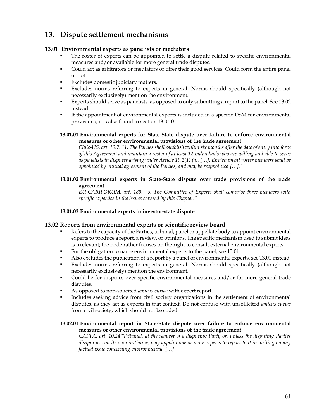# **13. Dispute settlement mechanisms**

# **13.01 Environmental experts as panelists or mediators**

- The roster of experts can be appointed to settle a dispute related to specific environmental measures and/or available for more general trade disputes.
- Could act as arbitrators or mediators or offer their good services. Could form the entire panel or not.
- Excludes domestic judiciary matters.
- Excludes norms referring to experts in general. Norms should specifically (although not necessarily exclusively) mention the environment.
- Experts should serve as panelists, as opposed to only submitting a report to the panel. See 13.02 instead.
- If the appointment of environmental experts is included in a specific DSM for environmental provisions, it is also found in section 13.04.01.

# **13.01.01 Environmental experts for State-State dispute over failure to enforce environmental measures or other environmental provisions of the trade agreement**

*Chile-US, art. 19.7: "1. The Parties shall establish within six months after the date of entry into force of this Agreement and maintain a roster of at least 12 individuals who are willing and able to serve as panelists in disputes arising under Article 19.2(1) (a). […]. Environment roster members shall be appointed by mutual agreement of the Parties, and may be reappointed […]."* 

# **13.01.02 Environmental experts in State-State dispute over trade provisions of the trade agreement**

*EU-CARIFORUM, art. 189: "6. The Committee of Experts shall comprise three members with specific expertise in the issues covered by this Chapter."* 

# **13.01.03 Environmental experts in investor-state dispute**

# **13.02 Reports from environmental experts or scientific review board**

- Refers to the capacity of the Parties, tribunal, panel or appellate body to appoint environmental experts to produce a report, a review, or opinions. The specific mechanism used to submit ideas is irrelevant; the node rather focuses on the right to consult external environmental experts.
- For the obligation to name environmental experts to the panel, see 13.01.
- Also excludes the publication of a report by a panel of environmental experts, see 13.01 instead.
- Excludes norms referring to experts in general. Norms should specifically (although not necessarily exclusively) mention the environment.
- Could be for disputes over specific environmental measures and/or for more general trade disputes.
- As opposed to non-solicited *amicus curiae* with expert report.
- Includes seeking advice from civil society organizations in the settlement of environmental disputes, as they act as experts in that context. Do not confuse with unsollicited *amicus curiae*  from civil society, which should not be coded.

# **13.02.01 Environmental report in State-State dispute over failure to enforce environmental measures or other environmental provisions of the trade agreement**

*CAFTA, art. 10.24"Tribunal, at the request of a disputing Party or, unless the disputing Parties disapprove, on its own initiative, may appoint one or more experts to report to it in writing on any factual issue concerning environmental, […]"*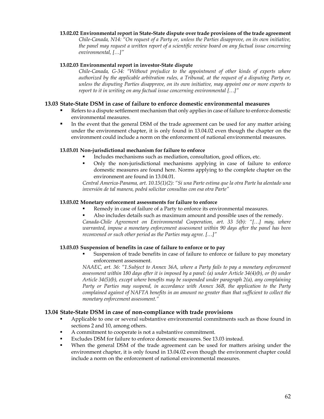### **13.02.02 Environmental report in State-State dispute over trade provisions of the trade agreement**

*Chile-Canada, N14: "On request of a Party or, unless the Parties disapprove, on its own initiative, the panel may request a written report of a scientific review board on any factual issue concerning environmental, […]"* 

## **13.02.03 Environmental report in investor-State dispute**

*Chile-Canada, G-34: "Without prejudice to the appointment of other kinds of experts where authorized by the applicable arbitration rules, a Tribunal, at the request of a disputing Party or, unless the disputing Parties disapprove, on its own initiative, may appoint one or more experts to report to it in writing on any factual issue concerning environmental […]"* 

# **13.03 State-State DSM in case of failure to enforce domestic environmental measures**

- Refers to a dispute settlement mechanism that only applies in case of failure to enforce domestic environmental measures.
- In the event that the general DSM of the trade agreement can be used for any matter arising under the environment chapter, it is only found in 13.04.02 even though the chapter on the environment could include a norm on the enforcement of national environmental measures.

#### **13.03.01 Non-jurisdictional mechanism for failure to enforce**

- Includes mechanisms such as mediation, consultation, good offices, etc.
- Only the non-jurisdictional mechanisms applying in case of failure to enforce domestic measures are found here. Norms applying to the complete chapter on the environment are found in 13.04.01.

*Central America-Panama, art. 10.15(1)(2): "Si una Parte estima que la otra Parte ha alentado una inversión de tal manera, podrá solicitar consultas con esa otra Parte"* 

#### **13.03.02 Monetary enforcement assessments for failure to enforce**

- Remedy in case of failure of a Party to enforce its environmental measures.
	- Also includes details such as maximum amount and possible uses of the remedy.

*Canada-Chile Agreement on Environmental Cooperation, art. 33 5(b): "[…] may, where warranted, impose a monetary enforcement assessment within 90 days after the panel has been reconvened or such other period as the Parties may agree. […]"* 

# **13.03.03 Suspension of benefits in case of failure to enforce or to pay**

 Suspension of trade benefits in case of failure to enforce or failure to pay monetary enforcement assessment.

*NAAEC, art. 36: "1.Subject to Annex 36A, where a Party fails to pay a monetary enforcement assessment within 180 days after it is imposed by a panel: (a) under Article 34(4)(b), or (b) under Article 34(5)(b), except where benefits may be suspended under paragraph 2(a), any complaining Party or Parties may suspend, in accordance with Annex 36B, the application to the Party complained against of NAFTA benefits in an amount no greater than that sufficient to collect the monetary enforcement assessment."* 

# **13.04 State-State DSM in case of non-compliance with trade provisions**

- Applicable to one or several substantive environmental commitments such as those found in sections 2 and 10, among others.
- A commitment to cooperate is not a substantive commitment.
- Excludes DSM for failure to enforce domestic measures. See 13.03 instead.
- When the general DSM of the trade agreement can be used for matters arising under the environment chapter, it is only found in 13.04.02 even though the environment chapter could include a norm on the enforcement of national environmental measures.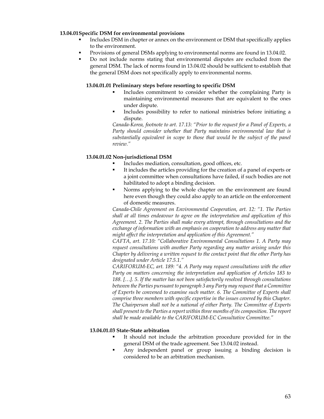# **13.04.01Specific DSM for environmental provisions**

- Includes DSM in chapter or annex on the environment or DSM that specifically applies to the environment.
- Provisions of general DSMs applying to environmental norms are found in 13.04.02.
- Do not include norms stating that environmental disputes are excluded from the general DSM. The lack of norms found in 13.04.02 should be sufficient to establish that the general DSM does not specifically apply to environmental norms.

# **13.04.01.01 Preliminary steps before resorting to specific DSM**

- Includes commitment to consider whether the complaining Party is maintaining environmental measures that are equivalent to the ones under dispute.
- Includes possibility to refer to national ministries before initiating a dispute.

*Canada-Korea, footnote to art. 17.13: "Prior to the request for a Panel of Experts, a Party should consider whether that Party maintains environmental law that is substantially equivalent in scope to those that would be the subject of the panel review."* 

# **13.04.01.02 Non-jurisdictional DSM**

- Includes mediation, consultation, good offices, etc.
- It includes the articles providing for the creation of a panel of experts or a joint committee when consultations have failed, if such bodies are not habilitated to adopt a binding decision.
- Norms applying to the whole chapter on the environment are found here even though they could also apply to an article on the enforcement of domestic measures.

*Canada-Chile Agreement on Environmental Cooperation, art. 12: "1. The Parties shall at all times endeavour to agree on the interpretation and application of this Agreement. 2. The Parties shall make every attempt, through consultations and the*  exchange of information with an emphasis on cooperation to address any matter that *might affect the interpretation and application of this Agreement."* 

*CAFTA, art. 17.10: "Collaborative Environmental Consultations 1. A Party may request consultations with another Party regarding any matter arising under this Chapter by delivering a written request to the contact point that the other Party has designated under Article 17.5.1."* 

*CARIFORUM-EC, art. 189: "4. A Party may request consultations with the other Party on matters concerning the interpretation and application of Articles 183 to 188. […]. 5. If the matter has not been satisfactorily resolved through consultations between the Parties pursuant to paragraph 3 any Party may request that a Committee of Experts be convened to examine such matter. 6. The Committee of Experts shall comprise three members with specific expertise in the issues covered by this Chapter. The Chairperson shall not be a national of either Party. The Committee of Experts shall present to the Parties a report within three months of its composition. The report shall be made available to the CARIFORUM-EC Consultative Committee."* 

## **13.04.01.03 State-State arbitration**

- It should not include the arbitration procedure provided for in the general DSM of the trade agreement. See 13.04.02 instead.
- Any independent panel or group issuing a binding decision is considered to be an arbitration mechanism.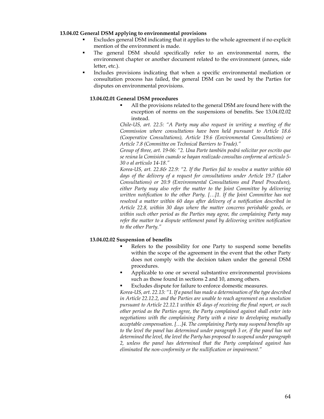## **13.04.02 General DSM applying to environmental provisions**

- Excludes general DSM indicating that it applies to the whole agreement if no explicit mention of the environment is made.
- The general DSM should specifically refer to an environmental norm, the environment chapter or another document related to the environment (annex, side letter, etc.).
- Includes provisions indicating that when a specific environmental mediation or consultation process has failed, the general DSM can be used by the Parties for disputes on environmental provisions.

### **13.04.02.01 General DSM procedures**

 All the provisions related to the general DSM are found here with the exception of norms on the suspensions of benefits. See 13.04.02.02 instead.

*Chile-US, art. 22.5: "A Party may also request in writing a meeting of the Commission where consultations have been held pursuant to Article 18.6 (Cooperative Consultations), Article 19.6 (Environmental Consultations) or Article 7.8 (Committee on Technical Barriers to Trade)."* 

*Group of three, art. 19-06: "2. Una Parte también podrá solicitar por escrito que se reúna la Comisión cuando se hayan realizado consultas conforme al artículo 5- 30 o al artículo 14-18."* 

*Korea-US, art. 22.8& 22.9: "2. If the Parties fail to resolve a matter within 60 days of the delivery of a request for consultations under Article 19.7 (Labor Consultations) or 20.9 (Environmental Consultations and Panel Procedure), either Party may also refer the matter to the Joint Committee by delivering written notification to the other Party. […]1. If the Joint Committee has not resolved a matter within 60 days after delivery of a notification described in Article 22.8, within 30 days where the matter concerns perishable goods, or*  within such other period as the Parties may agree, the complaining Party may *refer the matter to a dispute settlement panel by delivering written notification to the other Party."* 

#### **13.04.02.02 Suspension of benefits**

- Refers to the possibility for one Party to suspend some benefits within the scope of the agreement in the event that the other Party does not comply with the decision taken under the general DSM procedures.
- Applicable to one or several substantive environmental provisions such as those found in sections 2 and 10, among others.
- Excludes dispute for failure to enforce domestic measures.

*Korea-US, art. 22.13: "1. If a panel has made a determination of the type described in Article 22.12.2, and the Parties are unable to reach agreement on a resolution pursuant to Article 22.12.1 within 45 days of receiving the final report, or such other period as the Parties agree, the Party complained against shall enter into negotiations with the complaining Party with a view to developing mutually acceptable compensation. […]4. The complaining Party may suspend benefits up to the level the panel has determined under paragraph 3 or, if the panel has not determined the level, the level the Party has proposed to suspend under paragraph 2, unless the panel has determined that the Party complained against has eliminated the non-conformity or the nullification or impairment."*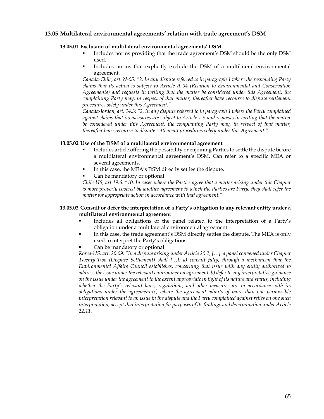# **13.05 Multilateral environmental agreements' relation with trade agreement's DSM**

# **13.05.01 Exclusion of multilateral environmental agreements' DSM**

- Includes norms providing that the trade agreement's DSM should be the only DSM used.
- Includes norms that explicitly exclude the DSM of a multilateral environmental agreement.

*Canada-Chile, art. N-05: "2. In any dispute referred to in paragraph 1 where the responding Party claims that its action is subject to Article A-04 (Relation to Environmental and Conservation Agreements) and requests in writing that the matter be considered under this Agreement, the complaining Party may, in respect of that matter, thereafter have recourse to dispute settlement procedures solely under this Agreement."* 

*Canada-Jordan, art. 14.3: "2. In any dispute referred to in paragraph 1 where the Party complained against claims that its measures are subject to Article 1-5 and requests in writing that the matter be considered under this Agreement, the complaining Party may, in respect of that matter, thereafter have recourse to dispute settlement procedures solely under this Agreement."* 

# **13.05.02 Use of the DSM of a multilateral environmental agreement**

- Includes article offering the possibility or enjoining Parties to settle the dispute before a multilateral environmental agreement's DSM. Can refer to a specific MEA or several agreements.
- In this case, the MEA's DSM directly settles the dispute.
- Can be mandatory or optional.

*Chile-US, art 19.6: "10. In cases where the Parties agree that a matter arising under this Chapter is more properly covered by another agreement to which the Parties are Party, they shall refer the matter for appropriate action in accordance with that agreement."* 

# **13.05.03 Consult or defer the interpretation of a Party's obligation to any relevant entity under a multilateral environmental agreement**

- Includes all obligations of the panel related to the interpretation of a Party's obligation under a multilateral environmental agreement.
- In this case, the trade agreement's DSM directly settles the dispute. The MEA is only used to interpret the Party's obligations.
- Can be mandatory or optional.

*Korea-US, art. 20.09: "In a dispute arising under Article 20.2, […] a panel convened under Chapter Twenty-Two (Dispute Settlement) shall […]: a) consult fully, through a mechanism that the Environmental Affairs Council establishes, concerning that issue with any entity authorized to address the issue under the relevant environmental agreement; b) defer to any interpretative guidance on the issue under the agreement to the extent appropriate in light of its nature and status, including whether the Party's relevant laws, regulations, and other measures are in accordance with its obligations under the agreement;(c) where the agreement admits of more than one permissible interpretation relevant to an issue in the dispute and the Party complained against relies on one such interpretation, accept that interpretation for purposes of its findings and determination under Article 22.11."*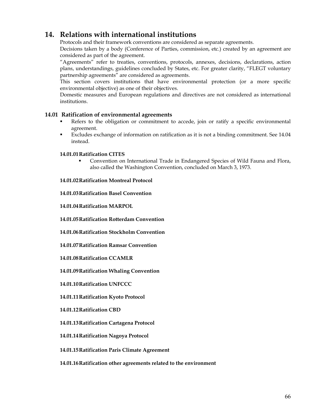# **14. Relations with international institutions**

Protocols and their framework conventions are considered as separate agreements.

Decisions taken by a body (Conference of Parties, commission, etc.) created by an agreement are considered as part of the agreement.

"Agreements" refer to treaties, conventions, protocols, annexes, decisions, declarations, action plans, understandings, guidelines concluded by States, etc. For greater clarity, "FLEGT voluntary partnership agreements" are considered as agreements.

This section covers institutions that have environmental protection (or a more specific environmental objective) as one of their objectives.

Domestic measures and European regulations and directives are not considered as international institutions.

# **14.01 Ratification of environmental agreements**

- Refers to the obligation or commitment to accede, join or ratify a specific environmental agreement.
- Excludes exchange of information on ratification as it is not a binding commitment. See 14.04 instead.

# **14.01.01Ratification CITES**

 Convention on International Trade in Endangered Species of Wild Fauna and Flora, also called the Washington Convention, concluded on March 3, 1973.

# **14.01.02Ratification Montreal Protocol**

**14.01.03Ratification Basel Convention** 

**14.01.04Ratification MARPOL** 

**14.01.05Ratification Rotterdam Convention** 

**14.01.06Ratification Stockholm Convention** 

**14.01.07Ratification Ramsar Convention** 

**14.01.08Ratification CCAMLR** 

**14.01.09Ratification Whaling Convention** 

**14.01.10Ratification UNFCCC** 

**14.01.11Ratification Kyoto Protocol** 

**14.01.12Ratification CBD** 

**14.01.13Ratification Cartagena Protocol** 

**14.01.14Ratification Nagoya Protocol** 

**14.01.15Ratification Paris Climate Agreement** 

**14.01.16Ratification other agreements related to the environment**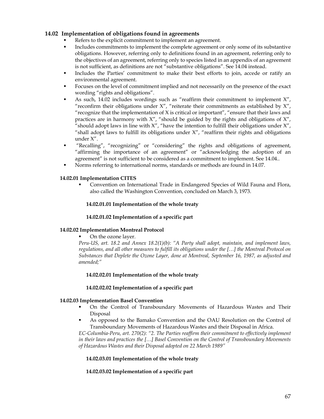# **14.02 Implementation of obligations found in agreements**

- Refers to the explicit commitment to implement an agreement.
- Includes commitments to implement the complete agreement or only some of its substantive obligations. However, referring only to definitions found in an agreement, referring only to the objectives of an agreement, referring only to species listed in an appendix of an agreement is not sufficient, as definitions are not "substantive obligations". See 14.04 instead.
- Includes the Parties' commitment to make their best efforts to join, accede or ratify an environmental agreement.
- Focuses on the level of commitment implied and not necessarily on the presence of the exact wording "rights and obligations".
- As such, 14.02 includes wordings such as "reaffirm their commitment to implement X", "reconfirm their obligations under  $X''$ , "reiterate their commitments as established by  $X''$ , "recognize that the implementation of  $X$  is critical or important", "ensure that their laws and practices are in harmony with X", "should be guided by the rights and obligations of X", "should adopt laws in line with  $X''$ , "have the intention to fulfill their obligations under  $X''$ , "shall adopt laws to fulfill its obligations under  $X''$ , "reaffirm their rights and obligations under X".
- "Recalling", "recognizing" or "considering" the rights and obligations of agreement, "affirming the importance of an agreement" or "acknowledging the adoption of an agreement" is not sufficient to be considered as a commitment to implement. See 14.04..
- Norms referring to international norms, standards or methods are found in 14.07.

# **14.02.01 Implementation CITES**

 Convention on International Trade in Endangered Species of Wild Fauna and Flora, also called the Washington Convention, concluded on March 3, 1973.

## **14.02.01.01 Implementation of the whole treaty**

## **14.02.01.02 Implementation of a specific part**

## **14.02.02 Implementation Montreal Protocol**

## On the ozone layer.

*Peru-US, art. 18.2 and Annex 18.2(1)(b): "A Party shall adopt, maintain, and implement laws, regulations, and all other measures to fulfill its obligations under the […] the Montreal Protocol on Substances that Deplete the Ozone Layer, done at Montreal, September 16, 1987, as adjusted and amended;"* 

## **14.02.02.01 Implementation of the whole treaty**

## **14.02.02.02 Implementation of a specific part**

## **14.02.03 Implementation Basel Convention**

- On the Control of Transboundary Movements of Hazardous Wastes and Their Disposal
- As opposed to the Bamako Convention and the OAU Resolution on the Control of Transboundary Movements of Hazardous Wastes and their Disposal in Africa.

*EC-Columbia-Peru, art. 270(2): "2. The Parties reaffirm their commitment to effectively implement in their laws and practices the […] Basel Convention on the Control of Transboundary Movements of Hazardous Wastes and their Disposal adopted on 22 March 1989"* 

## **14.02.03.01 Implementation of the whole treaty**

# **14.02.03.02 Implementation of a specific part**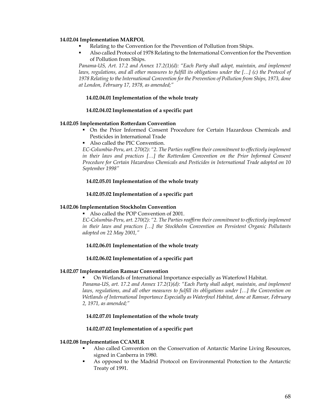## **14.02.04 Implementation MARPOL**

- Relating to the Convention for the Prevention of Pollution from Ships.
- Also called Protocol of 1978 Relating to the International Convention for the Prevention of Pollution from Ships.

*Panama-US, Art. 17.2 and Annex 17.2(1)(d): "Each Party shall adopt, maintain, and implement laws, regulations, and all other measures to fulfill its obligations under the [...] (c) the Protocol of 1978 Relating to the International Convention for the Prevention of Pollution from Ships, 1973, done at London, February 17, 1978, as amended;"* 

#### **14.02.04.01 Implementation of the whole treaty**

### **14.02.04.02 Implementation of a specific part**

# **14.02.05 Implementation Rotterdam Convention**

- On the Prior Informed Consent Procedure for Certain Hazardous Chemicals and Pesticides in International Trade
- Also called the PIC Convention.

*EC-Columbia-Peru, art. 270(2): "2. The Parties reaffirm their commitment to effectively implement in their laws and practices […] the Rotterdam Convention on the Prior Informed Consent Procedure for Certain Hazardous Chemicals and Pesticides in International Trade adopted on 10 September 1998"* 

#### **14.02.05.01 Implementation of the whole treaty**

#### **14.02.05.02 Implementation of a specific part**

#### **14.02.06 Implementation Stockholm Convention**

Also called the POP Convention of 2001.

*EC-Columbia-Peru, art. 270(2): "2. The Parties reaffirm their commitment to effectively implement in their laws and practices […] the Stockholm Convention on Persistent Organic Pollutants adopted on 22 May 2001,"* 

#### **14.02.06.01 Implementation of the whole treaty**

#### **14.02.06.02 Implementation of a specific part**

## **14.02.07 Implementation Ramsar Convention**

On Wetlands of International Importance especially as Waterfowl Habitat.

*Panama-US, art. 17.2 and Annex 17.2(1)(d): "Each Party shall adopt, maintain, and implement laws, regulations, and all other measures to fulfill its obligations under [...] the Convention on Wetlands of International Importance Especially as Waterfowl Habitat, done at Ramsar, February 2, 1971, as amended;"* 

#### **14.02.07.01 Implementation of the whole treaty**

## **14.02.07.02 Implementation of a specific part**

#### **14.02.08 Implementation CCAMLR**

- Also called Convention on the Conservation of Antarctic Marine Living Resources, signed in Canberra in 1980.
- As opposed to the Madrid Protocol on Environmental Protection to the Antarctic Treaty of 1991.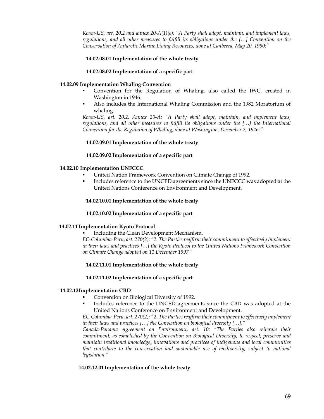*Korea-US, art. 20.2 and annex 20-A(1)(e): "A Party shall adopt, maintain, and implement laws, regulations, and all other measures to fulfill its obligations under the […] Convention on the Conservation of Antarctic Marine Living Resources, done at Canberra, May 20, 1980;"* 

# **14.02.08.01 Implementation of the whole treaty**

# **14.02.08.02 Implementation of a specific part**

# **14.02.09 Implementation Whaling Convention**

- Convention for the Regulation of Whaling, also called the IWC, created in Washington in 1946.
- Also includes the International Whaling Commission and the 1982 Moratorium of whaling.

*Korea-US, art. 20.2, Annex 20-A: "A Party shall adopt, maintain, and implement laws, regulations, and all other measures to fulfill its obligations under the […] the International Convention for the Regulation of Whaling, done at Washington, December 2, 1946;"* 

# **14.02.09.01 Implementation of the whole treaty**

# **14.02.09.02 Implementation of a specific part**

## **14.02.10 Implementation UNFCCC**

- United Nation Framework Convention on Climate Change of 1992.
- Includes reference to the UNCED agreements since the UNFCCC was adopted at the United Nations Conference on Environment and Development.

# **14.02.10.01 Implementation of the whole treaty**

## **14.02.10.02 Implementation of a specific part**

## **14.02.11 Implementation Kyoto Protocol**

Including the Clean Development Mechanism.

*EC-Columbia-Peru, art. 270(2): "2. The Parties reaffirm their commitment to effectively implement in their laws and practices […] the Kyoto Protocol to the United Nations Framework Convention on Climate Change adopted on 11 December 1997."* 

# **14.02.11.01 Implementation of the whole treaty**

## **14.02.11.02 Implementation of a specific part**

## **14.02.12Implementation CBD**

- Convention on Biological Diversity of 1992.
- Includes reference to the UNCED agreements since the CBD was adopted at the United Nations Conference on Environment and Development.

*EC-Columbia-Peru, art. 270(2): "2. The Parties reaffirm their commitment to effectively implement in their laws and practices […] the Convention on biological diversity […]."* 

*Canada-Panama Agreement on Environment, art. 10: "The Parties also reiterate their commitment, as established by the Convention on Biological Diversity, to respect, preserve and maintain traditional knowledge, innovations and practices of indigenous and local communities that contribute to the conservation and sustainable use of biodiversity, subject to national legislation."* 

## **14.02.12.01Implementation of the whole treaty**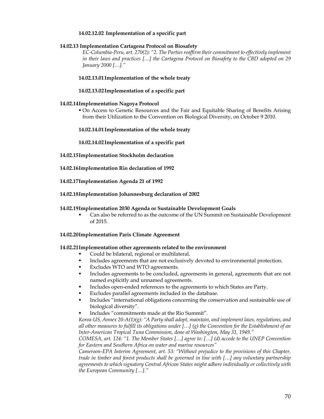## **14.02.12.02 Implementation of a specific part**

# **14.02.13 Implementation Cartagena Protocol on Biosafety**

*EC-Columbia-Peru, art. 270(2): "2. The Parties reaffirm their commitment to effectively implement in their laws and practices […] the Cartagena Protocol on Biosafety to the CBD adopted on 29 January 2000 […]."* 

# **14.02.13.01Implementation of the whole treaty**

# **14.02.13.02Implementation of a specific part**

# **14.02.14Implementation Nagoya Protocol**

 On Access to Genetic Resources and the Fair and Equitable Sharing of Benefits Arising from their Utilization to the Convention on Biological Diversity, on October 9 2010.

# **14.02.14.01Implementation of the whole treaty**

# **14.02.14.02Implementation of a specific part**

- **14.02.15Implementation Stockholm declaration**
- **14.02.16Implementation Rio declaration of 1992**

**14.02.17Implementation Agenda 21 of 1992** 

## **14.02.18Implementation Johannesburg declaration of 2002**

# **14.02.19Implementation 2030 Agenda or Sustainable Development Goals**

 Can also be referred to as the outcome of the UN Summit on Sustainable Development of 2015.

## **14.02.20Implementation Paris Climate Agreement**

## **14.02.21Implementation other agreements related to the environment**

- Could be bilateral, regional or multilateral.
- Includes agreements that are not exclusively devoted to environmental protection.
- Excludes WTO and WTO agreements.
- Includes agreements to be concluded, agreements in general, agreements that are not named explicitly and unnamed agreements.
- Includes open-ended references to the agreements to which States are Party.
- Excludes parallel agreements included in the database.
- Includes "international obligations concerning the conservation and sustainable use of biological diversity".
- Includes "commitments made at the Rio Summit".

*Korea-US, Annex 20-A(1)(g): "A Party shall adopt, maintain, and implement laws, regulations, and all other measures to fulfill its obligations under […] (g) the Convention for the Establishment of an Inter-American Tropical Tuna Commission, done at Washington, May 31, 1949."* 

*COMESA, art. 124: "1. The Member States […] agree to: […] (d) accede to the UNEP Convention for Eastern and Southern Africa on water and marine resources"* 

*Cameroon-EPA Interim Agreement, art. 53: "Without prejudice to the provisions of this Chapter, trade in timber and forest products shall be governed in line with […] any voluntary partnership agreements to which signatory Central African States might adhere individually or collectively with the European Community […]."*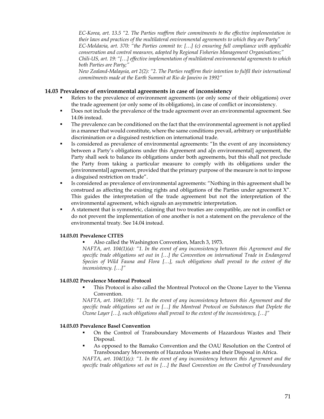*EC-Korea, art. 13.5 "2. The Parties reaffirm their commitments to the effective implementation in their laws and practices of the multilateral environmental agreements to which they are Party" EC-Moldavia, art. 370: "the Parties commit to: […] (c) ensuring full compliance with applicable conservation and control measures, adopted by Regional Fisheries Management Organisations;" Chili-US, art. 19: "[…] effective implementation of multilateral environmental agreements to which both Parties are Party;"* 

*New Zealand-Malaysia, art 2(2): "2. The Parties reaffirm their intention to fulfil their international commitments made at the Earth Summit at Rio de Janeiro in 1992"* 

# **14.03 Prevalence of environmental agreements in case of inconsistency**

- Refers to the prevalence of environment agreements (or only some of their obligations) over the trade agreement (or only some of its obligations), in case of conflict or inconsistency.
- Does not include the prevalence of the trade agreement over an environmental agreement. See 14.06 instead.
- The prevalence can be conditioned on the fact that the environmental agreement is not applied in a manner that would constitute, where the same conditions prevail, arbitrary or unjustifiable discrimination or a disguised restriction on international trade.
- Is considered as prevalence of environmental agreements: "In the event of any inconsistency between a Party's obligations under this Agreement and a[n environmental] agreement, the Party shall seek to balance its obligations under both agreements, but this shall not preclude the Party from taking a particular measure to comply with its obligations under the [environmental] agreement, provided that the primary purpose of the measure is not to impose a disguised restriction on trade".
- Is considered as prevalence of environmental agreements: "Nothing in this agreement shall be construed as affecting the existing rights and obligations of the Parties under agreement X". This guides the interpretation of the trade agreement but not the interpretation of the environmental agreement, which signals an asymmetric interpretation.
- A statement that is symmetric, claiming that two treaties are compatible, are not in conflict or do not prevent the implementation of one another is not a statement on the prevalence of the environmental treaty. See 14.04 instead.

#### **14.03.01 Prevalence CITES**

Also called the Washington Convention, March 3, 1973.

*NAFTA, art. 104(1)(a): "1. In the event of any inconsistency between this Agreement and the specific trade obligations set out in […] the Convention on international Trade in Endangered Species of Wild Fauna and Flora […], such obligations shall prevail to the extent of the inconsistency. […]"* 

#### **14.03.02 Prevalence Montreal Protocol**

 This Protocol is also called the Montreal Protocol on the Ozone Layer to the Vienna Convention.

*NAFTA, art. 104(1)(b): "1. In the event of any inconsistency between this Agreement and the specific trade obligations set out in […] the Montreal Protocol on Substances that Deplete the Ozone Layer […], such obligations shall prevail to the extent of the inconsistency, […]"* 

#### **14.03.03 Prevalence Basel Convention**

- On the Control of Transboundary Movements of Hazardous Wastes and Their Disposal.
- As opposed to the Bamako Convention and the OAU Resolution on the Control of Transboundary Movements of Hazardous Wastes and their Disposal in Africa.

*NAFTA, art. 104(1)(c): "1. In the event of any inconsistency between this Agreement and the specific trade obligations set out in […] the Basel Convention on the Control of Transboundary*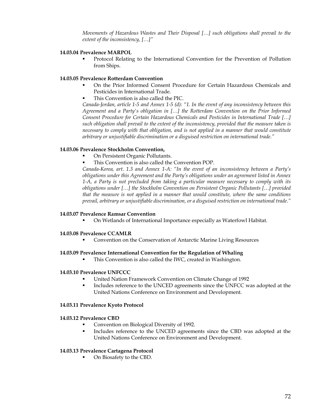*Movements of Hazardous Wastes and Their Disposal […] such obligations shall prevail to the extent of the inconsistency, […]"* 

### **14.03.04 Prevalence MARPOL**

 Protocol Relating to the International Convention for the Prevention of Pollution from Ships.

# **14.03.05 Prevalence Rotterdam Convention**

- On the Prior Informed Consent Procedure for Certain Hazardous Chemicals and Pesticides in International Trade.
- This Convention is also called the PIC.

*Canada-Jordan, article 1-5 and Annex 1-5 (d): "1. In the event of any inconsistency between this Agreement and a Party's obligation in […] the Rotterdam Convention on the Prior Informed Consent Procedure for Certain Hazardous Chemicals and Pesticides in International Trade […] such obligation shall prevail to the extent of the inconsistency, provided that the measure taken is necessary to comply with that obligation, and is not applied in a manner that would constitute arbitrary or unjustifiable discrimination or a disguised restriction on international trade."* 

# **14.03.06 Prevalence Stockholm Convention,**

- On Persistent Organic Pollutants.
- This Convention is also called the Convention POP.

*Canada-Korea, art. 1.3 and Annex 1-A: "In the event of an inconsistency between a Party's obligations under this Agreement and the Party's obligations under an agreement listed in Annex 1-A, a Party is not precluded from taking a particular measure necessary to comply with its obligations under […] the Stockholm Convention on Persistent Organic Pollutants […] provided that the measure is not applied in a manner that would constitute, where the same conditions prevail, arbitrary or unjustifiable discrimination, or a disguised restriction on international trade."* 

# **14.03.07 Prevalence Ramsar Convention**

On Wetlands of International Importance especially as Waterfowl Habitat.

#### **14.03.08 Prevalence CCAMLR**

**Convention on the Conservation of Antarctic Marine Living Resources** 

# **14.03.09 Prevalence International Convention for the Regulation of Whaling**

This Convention is also called the IWC, created in Washington.

#### **14.03.10 Prevalence UNFCCC**

- United Nation Framework Convention on Climate Change of 1992
- Includes reference to the UNCED agreements since the UNFCC was adopted at the United Nations Conference on Environment and Development.

# **14.03.11 Prevalence Kyoto Protocol**

#### **14.03.12 Prevalence CBD**

- Convention on Biological Diversity of 1992.
- Includes reference to the UNCED agreements since the CBD was adopted at the United Nations Conference on Environment and Development.

# **14.03.13 Prevalence Cartagena Protocol**

On Biosafety to the CBD.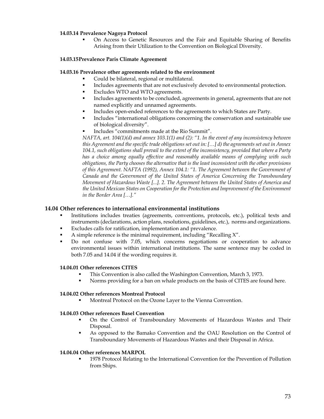### **14.03.14 Prevalence Nagoya Protocol**

 On Access to Genetic Resources and the Fair and Equitable Sharing of Benefits Arising from their Utilization to the Convention on Biological Diversity.

### **14.03.15Prevalence Paris Climate Agreement**

### **14.03.16 Prevalence other agreements related to the environment**

- Could be bilateral, regional or multilateral.
- Includes agreements that are not exclusively devoted to environmental protection.
- Excludes WTO and WTO agreements.
- Includes agreements to be concluded, agreements in general, agreements that are not named explicitly and unnamed agreements.
- Includes open-ended references to the agreements to which States are Party.
- Includes "international obligations concerning the conservation and sustainable use of biological diversity".
- Includes "commitments made at the Rio Summit".

*NAFTA, art. 104(1)(d) and annex 103.1(1) and (2): "1. In the event of any inconsistency between this Agreement and the specific trade obligations set out in: […] d) the agreements set out in Annex 104.1, such obligations shall prevail to the extent of the inconsistency, provided that where a Party*  has a choice among equally effective and reasonably available means of complying with such *obligations, the Party chooses the alternative that is the least inconsistent with the other provisions of this Agreement. NAFTA (1992), Annex 104.1: "1. The Agreement between the Government of Canada and the Government of the United States of America Concerning the Transboundary Movement of Hazardous Waste [...]. 2. The Agreement between the United States of America and the United Mexican States on Cooperation for the Protection and Improvement of the Environment in the Border Area […]."* 

### **14.04 Other references to international environmental institutions**

- Institutions includes treaties (agreements, conventions, protocols, etc.), political texts and instruments (declarations, action plans, resolutions, guidelines, etc.), norms and organizations.
- Excludes calls for ratification, implementation and prevalence.
- A simple reference is the minimal requirement, including "Recalling X".
- Do not confuse with 7.05, which concerns negotiations or cooperation to advance environmental issues within international institutions. The same sentence may be coded in both 7.05 and 14.04 if the wording requires it.

#### **14.04.01 Other references CITES**

- This Convention is also called the Washington Convention, March 3, 1973.
- Norms providing for a ban on whale products on the basis of CITES are found here.

# **14.04.02 Other references Montreal Protocol**

Montreal Protocol on the Ozone Layer to the Vienna Convention.

#### **14.04.03 Other references Basel Convention**

- On the Control of Transboundary Movements of Hazardous Wastes and Their Disposal.
- As opposed to the Bamako Convention and the OAU Resolution on the Control of Transboundary Movements of Hazardous Wastes and their Disposal in Africa.

#### **14.04.04 Other references MARPOL**

 1978 Protocol Relating to the International Convention for the Prevention of Pollution from Ships.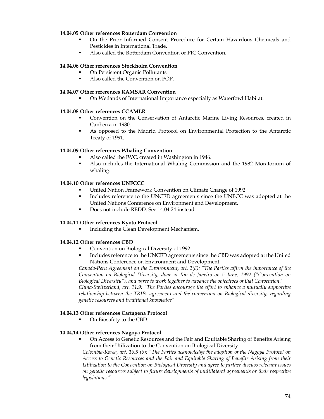### **14.04.05 Other references Rotterdam Convention**

- On the Prior Informed Consent Procedure for Certain Hazardous Chemicals and Pesticides in International Trade.
- Also called the Rotterdam Convention or PIC Convention.

# **14.04.06 Other references Stockholm Convention**

- On Persistent Organic Pollutants
- Also called the Convention on POP.

# **14.04.07 Other references RAMSAR Convention**

On Wetlands of International Importance especially as Waterfowl Habitat.

# **14.04.08 Other references CCAMLR**

- Convention on the Conservation of Antarctic Marine Living Resources, created in Canberra in 1980.
- As opposed to the Madrid Protocol on Environmental Protection to the Antarctic Treaty of 1991.

# **14.04.09 Other references Whaling Convention**

- Also called the IWC, created in Washington in 1946.
- Also includes the International Whaling Commission and the 1982 Moratorium of whaling.

# **14.04.10 Other references UNFCCC**

- United Nation Framework Convention on Climate Change of 1992.
- Includes reference to the UNCED agreements since the UNFCC was adopted at the United Nations Conference on Environment and Development.
- Does not include REDD. See 14.04.24 instead.

#### **14.04.11 Other references Kyoto Protocol**

Including the Clean Development Mechanism.

#### **14.04.12 Other references CBD**

- Convention on Biological Diversity of 1992.
- Includes reference to the UNCED agreements since the CBD was adopted at the United Nations Conference on Environment and Development.

*Canada-Peru Agreement on the Environment, art. 2(8): "The Parties affirm the importance of the Convention on Biological Diversity, done at Rio de Janeiro on 5 June, 1992 ("Convention on Biological Diversity"), and agree to work together to advance the objectives of that Convention." China-Switzerland, art. 11.9: "The Parties encourage the effort to enhance a mutually supportive relationship between the TRIPs agreement and the convention on Biological diversity, regarding genetic resources and traditional knowledge"* 

# **14.04.13 Other references Cartagena Protocol**

• On Biosafety to the CBD.

#### **14.04.14 Other references Nagoya Protocol**

 On Access to Genetic Resources and the Fair and Equitable Sharing of Benefits Arising from their Utilization to the Convention on Biological Diversity.

*Colombia-Korea, art. 16.5 (6): "The Parties acknowledge the adoption of the Nagoya Protocol on Access to Genetic Resources and the Fair and Equitable Sharing of Benefits Arising from their Utilization to the Convention on Biological Diversity and agree to further discuss relevant issues on genetic resources subject to future developments of multilateral agreements or their respective legislations."*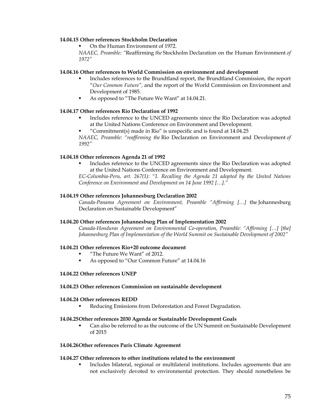#### **14.04.15 Other references Stockholm Declaration**

On the Human Environment of 1972.

*NAAEC, Preamble: "*Reaffirming *the* Stockholm Declaration on the Human Environment *of 1972"* 

### **14.04.16 Other references to World Commission on environment and development**

- Includes references to the Brundtland report, the Brundtland Commission, the report "*Our Common Future",* and the report of the World Commission on Environment and Development of 1985.
- As opposed to "The Future We Want" at 14.04.21.

# **14.04.17 Other references Rio Declaration of 1992**

- Includes reference to the UNCED agreements since the Rio Declaration was adopted at the United Nations Conference on Environment and Development.
- "Commitment(s) made in Rio" is unspecific and is found at 14.04.25

*NAAEC, Preamble: "reaffirming the* Rio Declaration on Environment and Development *of 1992"* 

# **14.04.18 Other references Agenda 21 of 1992**

 Includes reference to the UNCED agreements since the Rio Declaration was adopted at the United Nations Conference on Environment and Development.

*EC-Columbia-Peru, art. 267(1): "1. Recalling the Agenda 21 adopted by the United Nations Conference on Environment and Development on 14 June 1992 […]."* 

#### **14.04.19 Other references Johannesburg Declaration 2002**

*Canada-Panama Agreement on Environment, Preamble "Affirming […]* the Johannesburg Declaration on Sustainable Development"

#### **14.04.20 Other references Johannesburg Plan of Implementation 2002**

*Canada-Honduras Agreement on Environmental Co-operation, Preamble: "Affirming […] [the] Johannesburg Plan of Implementation of the World Summit on Sustainable Development of 2002"* 

#### **14.04.21 Other references Rio+20 outcome document**

- "The Future We Want" of 2012.
- As opposed to "Our Common Future" at 14.04.16

#### **14.04.22 Other references UNEP**

#### **14.04.23 Other references Commission on sustainable development**

#### **14.04.24 Other references REDD**

Reducing Emissions from Deforestation and Forest Degradation.

#### **14.04.25Other references 2030 Agenda or Sustainable Development Goals**

 Can also be referred to as the outcome of the UN Summit on Sustainable Development of 2015

# **14.04.26Other references Paris Climate Agreement**

# **14.04.27 Other references to other institutions related to the environment**

 Includes bilateral, regional or multilateral institutions. Includes agreements that are not exclusively devoted to environmental protection. They should nonetheless be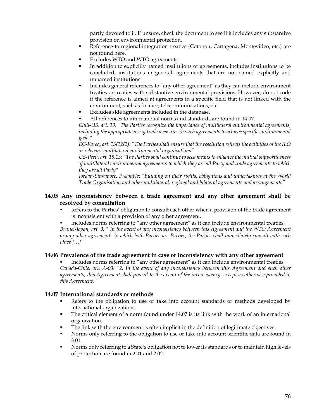partly devoted to it. If unsure, check the document to see if it includes any substantive provision on environmental protection.

- Reference to regional integration treaties (Cotonou, Cartagena, Montevideo, etc.) are not found here.
- Excludes WTO and WTO agreements.
- In addition to explicitly named institutions or agreements, includes institutions to be concluded, institutions in general, agreements that are not named explicitly and unnamed institutions.
- Includes general references to "any other agreement" as they can include environment treaties or treaties with substantive environmental provisions. However, do not code if the reference is aimed at agreements in a specific field that is not linked with the environment, such as finance, telecommunications, etc.
- Excludes side agreements included in the database.
- All references to international norms and standards are found in 14.07.

*Chili-US, art. 19: "The Parties recognize the importance of multilateral environmental agreements, including the appropriate use of trade measures in such agreements to achieve specific environmental goals"* 

*EC-Korea, art. 13(12(2): "The Parties shall ensure that the resolution reflects the activities of the ILO or relevant multilateral environmental organisations"* 

*US-Peru, art. 18.13: "The Parties shall continue to seek means to enhance the mutual supportiveness of multilateral environmental agreements to which they are all Party and trade agreements to which they are all Party"* 

*Jordan-Singapore, Preamble: "Building on their rights, obligations and undertakings at the World Trade Organisation and other multilateral, regional and bilateral agreements and arrangements"* 

# **14.05 Any inconsistency between a trade agreement and any other agreement shall be resolved by consultation**

 Refers to the Parties' obligation to consult each other when a provision of the trade agreement is inconsistent with a provision of any other agreement.

 Includes norms referring to "any other agreement" as it can include environmental treaties. *Brunei-Japan, art. 9: " In the event of any inconsistency between this Agreement and the WTO Agreement or any other agreements to which both Parties are Parties, the Parties shall immediately consult with each other […]"* 

# **14.06 Prevalence of the trade agreement in case of inconsistency with any other agreement**

 Includes norms referring to "any other agreement" as it can include environmental treaties. *Canada-Chile, art. A-03: "2. In the event of any inconsistency between this Agreement and such other agreements, this Agreement shall prevail to the extent of the inconsistency, except as otherwise provided in this Agreement."* 

#### **14.07 International standards or methods**

- Refers to the obligation to use or take into account standards or methods developed by international organizations.
- The critical element of a norm found under 14.07 is its link with the work of an international organization.
- The link with the environment is often implicit in the definition of legitimate objectives.
- Norms only referring to the obligation to use or take into account scientific data are found in 3.01.
- **Norms only referring to a State's obligation not to lower its standards or to maintain high levels** of protection are found in 2.01 and 2.02.